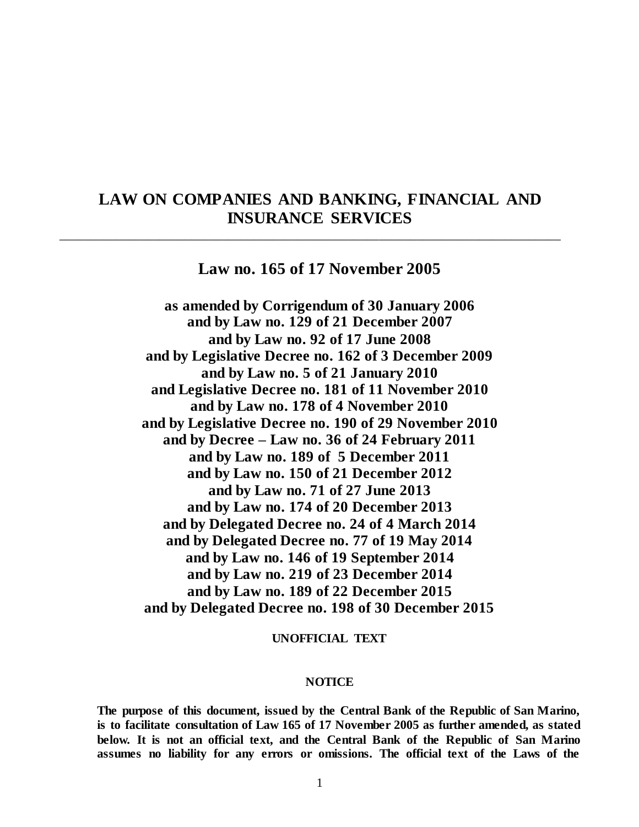# **LAW ON COMPANIES AND BANKING, FINANCIAL AND INSURANCE SERVICES**

\_\_\_\_\_\_\_\_\_\_\_\_\_\_\_\_\_\_\_\_\_\_\_\_\_\_\_\_\_\_\_\_\_\_\_\_\_\_\_\_\_\_\_\_\_\_\_\_\_\_\_\_\_\_\_\_\_\_\_\_\_\_\_\_\_\_\_\_\_\_\_\_\_\_\_\_\_\_\_\_

# **Law no. 165 of 17 November 2005**

**as amended by Corrigendum of 30 January 2006 and by Law no. 129 of 21 December 2007 and by Law no. 92 of 17 June 2008 and by Legislative Decree no. 162 of 3 December 2009 and by Law no. 5 of 21 January 2010 and Legislative Decree no. 181 of 11 November 2010 and by Law no. 178 of 4 November 2010 and by Legislative Decree no. 190 of 29 November 2010 and by Decree – Law no. 36 of 24 February 2011 and by Law no. 189 of 5 December 2011 and by Law no. 150 of 21 December 2012 and by Law no. 71 of 27 June 2013 and by Law no. 174 of 20 December 2013 and by Delegated Decree no. 24 of 4 March 2014 and by Delegated Decree no. 77 of 19 May 2014 and by Law no. 146 of 19 September 2014 and by Law no. 219 of 23 December 2014 and by Law no. 189 of 22 December 2015 and by Delegated Decree no. 198 of 30 December 2015**

#### **UNOFFICIAL TEXT**

#### **NOTICE**

**The purpose of this document, issued by the Central Bank of the Republic of San Marino, is to facilitate consultation of Law 165 of 17 November 2005 as further amended, as stated below. It is not an official text, and the Central Bank of the Republic of San Marino assumes no liability for any errors or omissions. The official text of the Laws of the**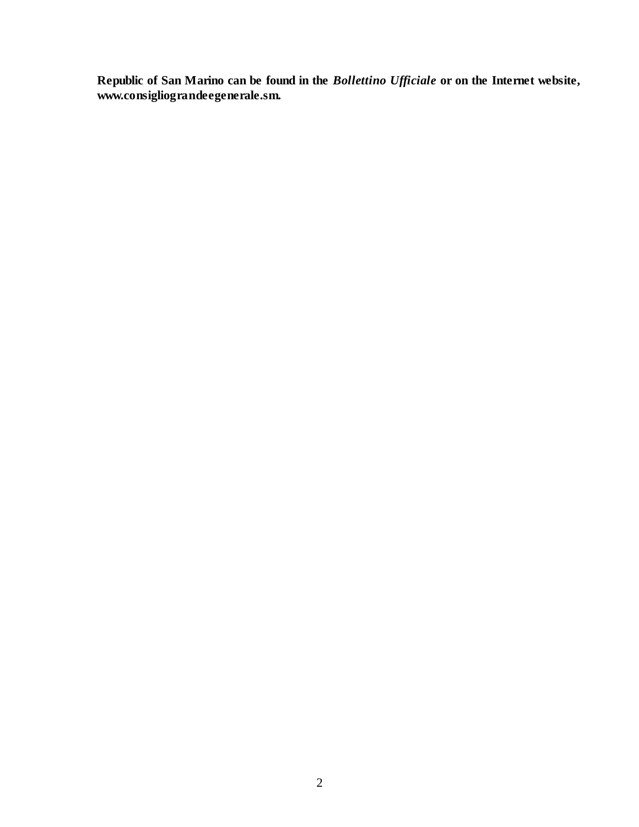**Republic of San Marino can be found in the** *Bollettino Ufficiale* **or on the Internet website, www.consigliograndeegenerale.sm.**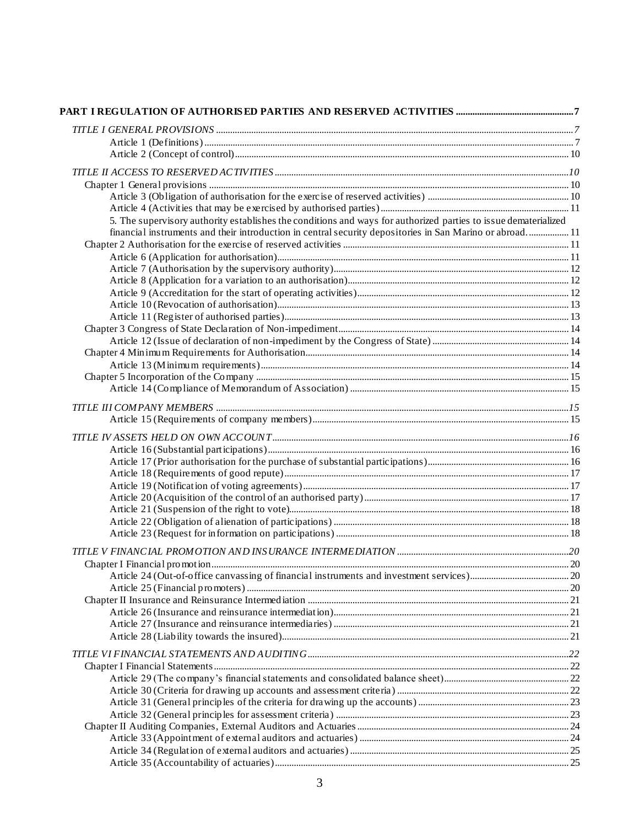| 5. The supervisory authority establishes the conditions and ways for authorized parties to issue dematerialized |  |
|-----------------------------------------------------------------------------------------------------------------|--|
| financial instruments and their introduction in central security depositories in San Marino or abroad 11        |  |
|                                                                                                                 |  |
|                                                                                                                 |  |
|                                                                                                                 |  |
|                                                                                                                 |  |
|                                                                                                                 |  |
|                                                                                                                 |  |
|                                                                                                                 |  |
|                                                                                                                 |  |
|                                                                                                                 |  |
|                                                                                                                 |  |
|                                                                                                                 |  |
|                                                                                                                 |  |
|                                                                                                                 |  |
|                                                                                                                 |  |
|                                                                                                                 |  |
|                                                                                                                 |  |
|                                                                                                                 |  |
|                                                                                                                 |  |
|                                                                                                                 |  |
|                                                                                                                 |  |
|                                                                                                                 |  |
|                                                                                                                 |  |
|                                                                                                                 |  |
|                                                                                                                 |  |
|                                                                                                                 |  |
|                                                                                                                 |  |
|                                                                                                                 |  |
|                                                                                                                 |  |
|                                                                                                                 |  |
|                                                                                                                 |  |
|                                                                                                                 |  |
|                                                                                                                 |  |
|                                                                                                                 |  |
|                                                                                                                 |  |
|                                                                                                                 |  |
|                                                                                                                 |  |
|                                                                                                                 |  |
|                                                                                                                 |  |
|                                                                                                                 |  |
|                                                                                                                 |  |
|                                                                                                                 |  |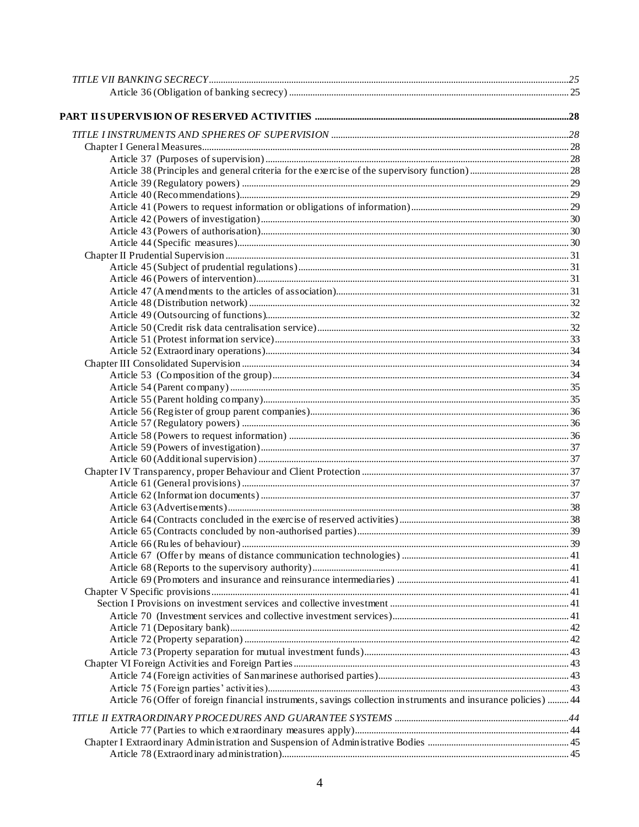| Article 76 (Offer of foreign financial instruments, savings collection instruments and insurance policies)  44 |  |
|----------------------------------------------------------------------------------------------------------------|--|
|                                                                                                                |  |
|                                                                                                                |  |
|                                                                                                                |  |
|                                                                                                                |  |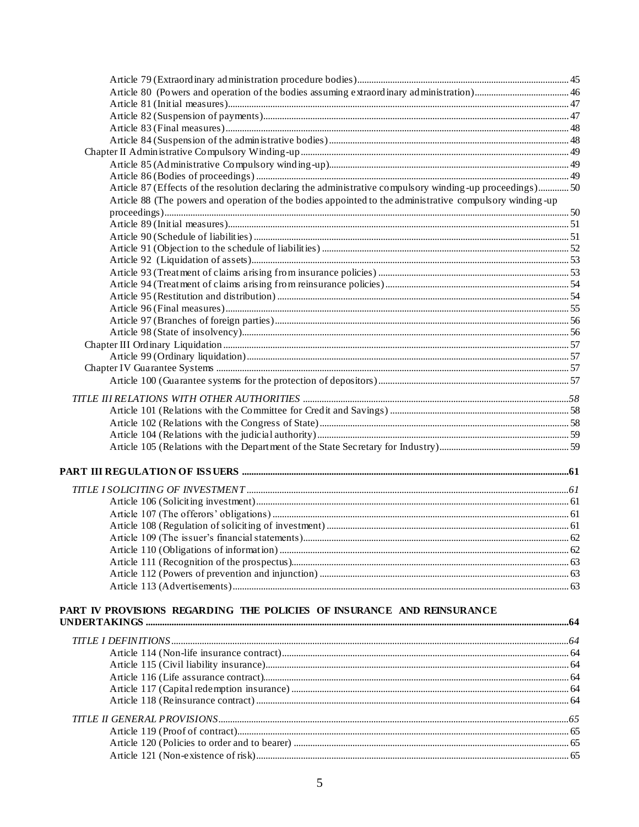| Article 87 (Effects of the resolution declaring the administrative compulsory winding-up proceedings)50   |  |
|-----------------------------------------------------------------------------------------------------------|--|
| Article 88 (The powers and operation of the bodies appointed to the administrative compulsory winding -up |  |
|                                                                                                           |  |
|                                                                                                           |  |
|                                                                                                           |  |
|                                                                                                           |  |
|                                                                                                           |  |
|                                                                                                           |  |
|                                                                                                           |  |
|                                                                                                           |  |
|                                                                                                           |  |
|                                                                                                           |  |
|                                                                                                           |  |
|                                                                                                           |  |
|                                                                                                           |  |
|                                                                                                           |  |
|                                                                                                           |  |
|                                                                                                           |  |
|                                                                                                           |  |
|                                                                                                           |  |
|                                                                                                           |  |
|                                                                                                           |  |
|                                                                                                           |  |
|                                                                                                           |  |
|                                                                                                           |  |
|                                                                                                           |  |
|                                                                                                           |  |
|                                                                                                           |  |
|                                                                                                           |  |
|                                                                                                           |  |
|                                                                                                           |  |
|                                                                                                           |  |
| PART IV PROVISIONS REGARDING THE POLICIES OF INSURANCE AND REINSURANCE                                    |  |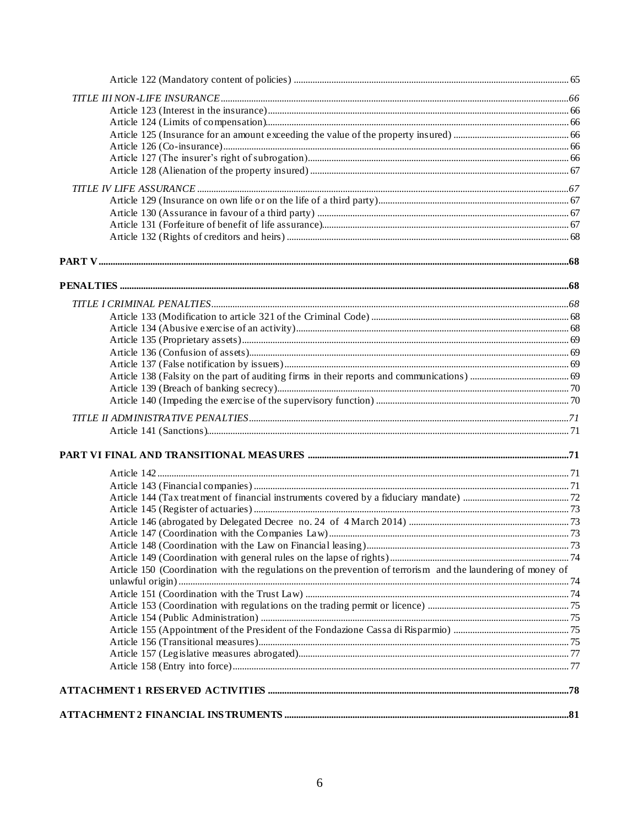| Article 150 (Coordination with the regulations on the prevention of terrorism and the laundering of money of |  |
|--------------------------------------------------------------------------------------------------------------|--|
|                                                                                                              |  |
|                                                                                                              |  |
|                                                                                                              |  |
|                                                                                                              |  |
|                                                                                                              |  |
|                                                                                                              |  |
|                                                                                                              |  |
|                                                                                                              |  |
|                                                                                                              |  |
|                                                                                                              |  |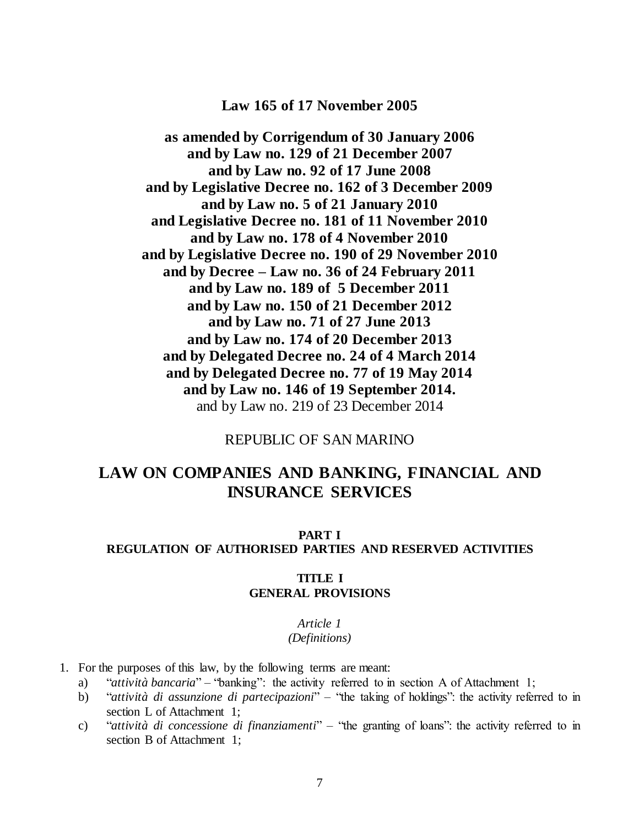# **Law 165 of 17 November 2005**

**as amended by Corrigendum of 30 January 2006 and by Law no. 129 of 21 December 2007 and by Law no. 92 of 17 June 2008 and by Legislative Decree no. 162 of 3 December 2009 and by Law no. 5 of 21 January 2010 and Legislative Decree no. 181 of 11 November 2010 and by Law no. 178 of 4 November 2010 and by Legislative Decree no. 190 of 29 November 2010 and by Decree – Law no. 36 of 24 February 2011 and by Law no. 189 of 5 December 2011 and by Law no. 150 of 21 December 2012 and by Law no. 71 of 27 June 2013 and by Law no. 174 of 20 December 2013 and by Delegated Decree no. 24 of 4 March 2014 and by Delegated Decree no. 77 of 19 May 2014 and by Law no. 146 of 19 September 2014.** and by Law no. 219 of 23 December 2014

# REPUBLIC OF SAN MARINO

# **LAW ON COMPANIES AND BANKING, FINANCIAL AND INSURANCE SERVICES**

## <span id="page-6-1"></span><span id="page-6-0"></span>**PART I REGULATION OF AUTHORISED PARTIES AND RESERVED ACTIVITIES**

#### **TITLE I GENERAL PROVISIONS**

## *Article 1*

#### *(Definitions)*

- <span id="page-6-2"></span>1. For the purposes of this law, by the following terms are meant:
	- a) "*attività bancaria*" "banking": the activity referred to in section A of Attachment 1;
	- b) "*attività di assunzione di partecipazioni*" "the taking of holdings": the activity referred to in section L of Attachment 1;
	- c) "*attività di concessione di finanziamenti*" "the granting of loans": the activity referred to in section B of Attachment 1;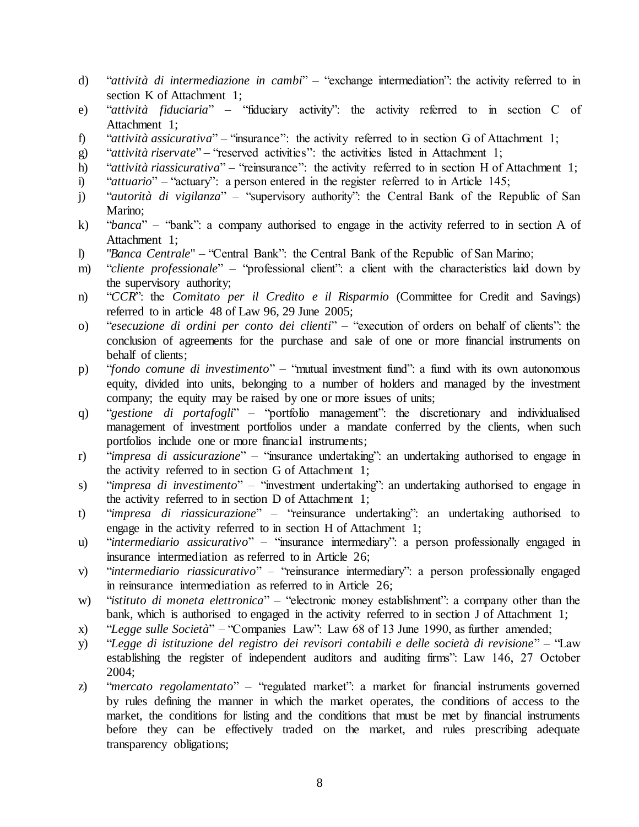- d) "*attività di intermediazione in cambi*" "exchange intermediation": the activity referred to in section K of Attachment 1:
- e) "*attività fiduciaria*" "fiduciary activity": the activity referred to in section C of Attachment 1;
- f) "*attività assicurativa*" "insurance": the activity referred to in section G of Attachment 1;
- g) "*attività riservate*" "reserved activities": the activities listed in Attachment 1;
- h) "*attività riassicurativa*" "reinsurance": the activity referred to in section H of Attachment 1;
- i) "*attuario*" "actuary": a person entered in the register referred to in Article 145;
- j) "*autorità di vigilanza*" "supervisory authority": the Central Bank of the Republic of San Marino;
- k) "*banca*" "bank": a company authorised to engage in the activity referred to in section A of Attachment 1;
- l) "*Banca Centrale*" "Central Bank": the Central Bank of the Republic of San Marino;
- m) "*cliente professionale*" "professional client": a client with the characteristics laid down by the supervisory authority;
- n) "*CCR*": the *Comitato per il Credito e il Risparmio* (Committee for Credit and Savings) referred to in article 48 of Law 96, 29 June 2005;
- o) "*esecuzione di ordini per conto dei clienti*" "execution of orders on behalf of clients": the conclusion of agreements for the purchase and sale of one or more financial instruments on behalf of clients;
- p) "*fondo comune di investimento*" "mutual investment fund": a fund with its own autonomous equity, divided into units, belonging to a number of holders and managed by the investment company; the equity may be raised by one or more issues of units;
- q) "*gestione di portafogli*" "portfolio management": the discretionary and individualised management of investment portfolios under a mandate conferred by the clients, when such portfolios include one or more financial instruments;
- r) "*impresa di assicurazione*" "insurance undertaking": an undertaking authorised to engage in the activity referred to in section G of Attachment 1;
- s) "*impresa di investimento*" "investment undertaking": an undertaking authorised to engage in the activity referred to in section D of Attachment 1;
- t) "*impresa di riassicurazione*" "reinsurance undertaking": an undertaking authorised to engage in the activity referred to in section H of Attachment 1;
- u) "*intermediario assicurativo*" "insurance intermediary": a person professionally engaged in insurance intermediation as referred to in Article 26;
- v) "*intermediario riassicurativo*" "reinsurance intermediary": a person professionally engaged in reinsurance intermediation as referred to in Article 26;
- w) "*istituto di moneta elettronica*" "electronic money establishment": a company other than the bank, which is authorised to engaged in the activity referred to in section J of Attachment 1;
- x) "*Legge sulle Società*" "Companies Law": Law 68 of 13 June 1990, as further amended;
- y) "*Legge di istituzione del registro dei revisori contabili e delle società di revisione*" "Law establishing the register of independent auditors and auditing firms": Law 146, 27 October 2004;
- z) "*mercato regolamentato*" "regulated market": a market for financial instruments governed by rules defining the manner in which the market operates, the conditions of access to the market, the conditions for listing and the conditions that must be met by financial instruments before they can be effectively traded on the market, and rules prescribing adequate transparency obligations;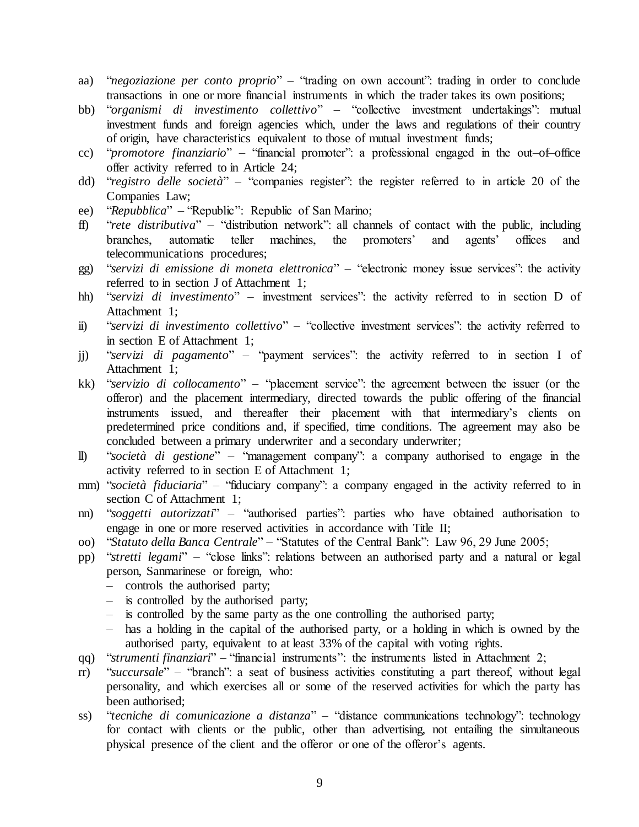- aa) "*negoziazione per conto proprio*" "trading on own account": trading in order to conclude transactions in one or more financial instruments in which the trader takes its own positions;
- bb) "*organismi di investimento collettivo*" "collective investment undertakings": mutual investment funds and foreign agencies which, under the laws and regulations of their country of origin, have characteristics equivalent to those of mutual investment funds;
- cc) "*promotore finanziario*" "financial promoter": a professional engaged in the out–of–office offer activity referred to in Article 24;
- dd) "*registro delle società*" "companies register": the register referred to in article 20 of the Companies Law;
- ee) "*Repubblica*" "Republic": Republic of San Marino;
- ff) "*rete distributiva*" "distribution network": all channels of contact with the public, including branches, automatic teller machines, the promoters' and agents' offices and telecommunications procedures;
- gg) "*servizi di emissione di moneta elettronica*" "electronic money issue services": the activity referred to in section J of Attachment 1;
- hh) "*servizi di investimento*" investment services": the activity referred to in section D of Attachment 1;
- ii) "*servizi di investimento collettivo*" "collective investment services": the activity referred to in section E of Attachment 1;
- jj) "*servizi di pagamento*" "payment services": the activity referred to in section I of Attachment 1;
- kk) "*servizio di collocamento*" "placement service": the agreement between the issuer (or the offeror) and the placement intermediary, directed towards the public offering of the financial instruments issued, and thereafter their placement with that intermediary's clients on predetermined price conditions and, if specified, time conditions. The agreement may also be concluded between a primary underwriter and a secondary underwriter;
- ll) "*società di gestione*" "management company": a company authorised to engage in the activity referred to in section E of Attachment 1;
- mm) "*società fiduciaria*" "fiduciary company": a company engaged in the activity referred to in section C of Attachment 1;
- nn) "*soggetti autorizzati*" "authorised parties": parties who have obtained authorisation to engage in one or more reserved activities in accordance with Title II;
- oo) "*Statuto della Banca Centrale*" "Statutes of the Central Bank": Law 96, 29 June 2005;
- pp) "*stretti legami*" "close links": relations between an authorised party and a natural or legal person, Sanmarinese or foreign, who:
	- controls the authorised party;
	- is controlled by the authorised party;
	- is controlled by the same party as the one controlling the authorised party;
	- has a holding in the capital of the authorised party, or a holding in which is owned by the authorised party, equivalent to at least 33% of the capital with voting rights.
- qq) "*strumenti finanziari*" "financial instruments": the instruments listed in Attachment 2;
- rr) "*succursale*" "branch": a seat of business activities constituting a part thereof, without legal personality, and which exercises all or some of the reserved activities for which the party has been authorised;
- ss) "*tecniche di comunicazione a distanza*" "distance communications technology": technology for contact with clients or the public, other than advertising, not entailing the simultaneous physical presence of the client and the offeror or one of the offeror's agents.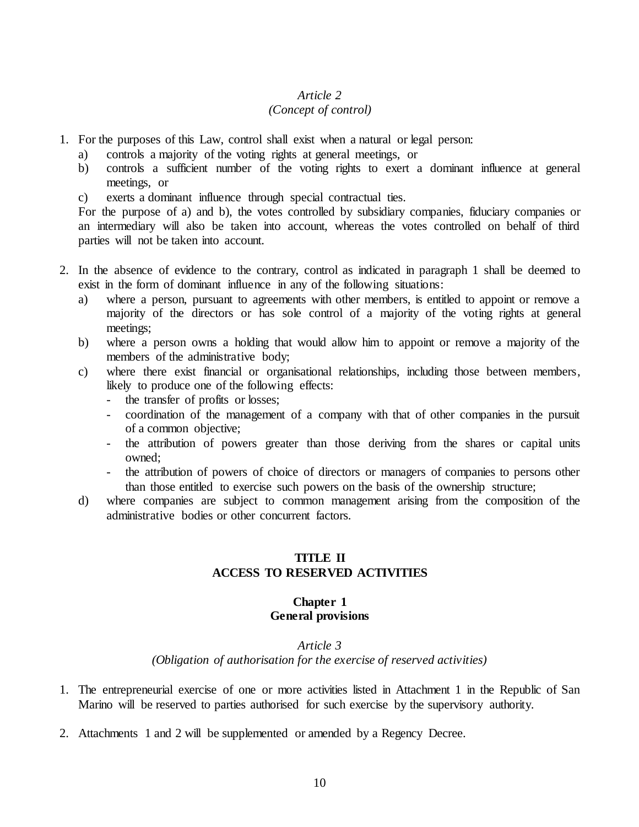# *(Concept of control)*

- <span id="page-9-0"></span>1. For the purposes of this Law, control shall exist when a natural or legal person:
	- a) controls a majority of the voting rights at general meetings, or
	- b) controls a sufficient number of the voting rights to exert a dominant influence at general meetings, or
	- c) exerts a dominant influence through special contractual ties.

For the purpose of a) and b), the votes controlled by subsidiary companies, fiduciary companies or an intermediary will also be taken into account, whereas the votes controlled on behalf of third parties will not be taken into account.

- 2. In the absence of evidence to the contrary, control as indicated in paragraph 1 shall be deemed to exist in the form of dominant influence in any of the following situations:
	- a) where a person, pursuant to agreements with other members, is entitled to appoint or remove a majority of the directors or has sole control of a majority of the voting rights at general meetings;
	- b) where a person owns a holding that would allow him to appoint or remove a majority of the members of the administrative body;
	- c) where there exist financial or organisational relationships, including those between members, likely to produce one of the following effects:
		- the transfer of profits or losses;
		- coordination of the management of a company with that of other companies in the pursuit of a common objective;
		- the attribution of powers greater than those deriving from the shares or capital units owned;
		- the attribution of powers of choice of directors or managers of companies to persons other than those entitled to exercise such powers on the basis of the ownership structure;
	- d) where companies are subject to common management arising from the composition of the administrative bodies or other concurrent factors.

# **TITLE II ACCESS TO RESERVED ACTIVITIES**

#### **Chapter 1 General provisions**

#### *Article 3*

*(Obligation of authorisation for the exercise of reserved activities)*

- <span id="page-9-3"></span><span id="page-9-2"></span><span id="page-9-1"></span>1. The entrepreneurial exercise of one or more activities listed in Attachment 1 in the Republic of San Marino will be reserved to parties authorised for such exercise by the supervisory authority.
- 2. Attachments 1 and 2 will be supplemented or amended by a Regency Decree.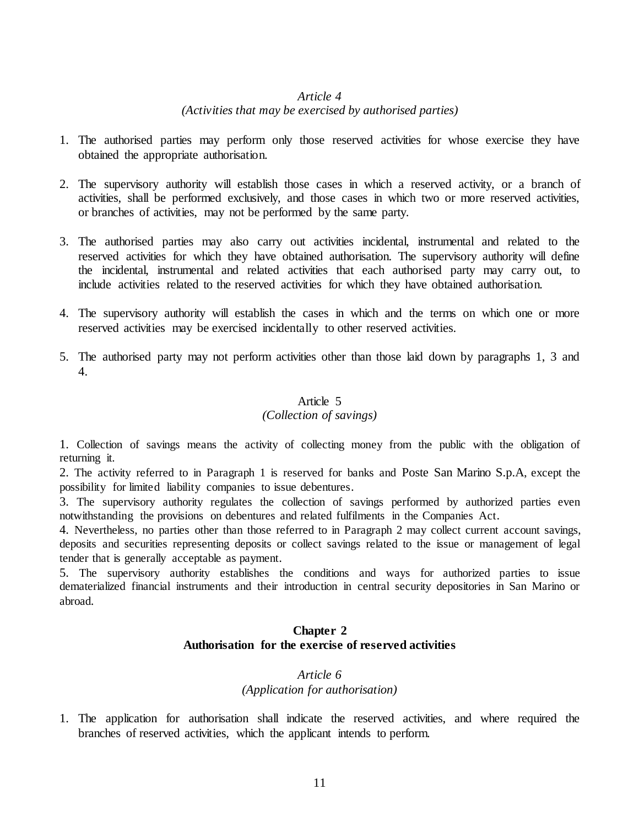#### *(Activities that may be exercised by authorised parties)*

- <span id="page-10-0"></span>1. The authorised parties may perform only those reserved activities for whose exercise they have obtained the appropriate authorisation.
- 2. The supervisory authority will establish those cases in which a reserved activity, or a branch of activities, shall be performed exclusively, and those cases in which two or more reserved activities, or branches of activities, may not be performed by the same party.
- 3. The authorised parties may also carry out activities incidental, instrumental and related to the reserved activities for which they have obtained authorisation. The supervisory authority will define the incidental, instrumental and related activities that each authorised party may carry out, to include activities related to the reserved activities for which they have obtained authorisation.
- 4. The supervisory authority will establish the cases in which and the terms on which one or more reserved activities may be exercised incidentally to other reserved activities.
- 5. The authorised party may not perform activities other than those laid down by paragraphs 1, 3 and 4.

#### Article 5

## *(Collection of savings)*

1. Collection of savings means the activity of collecting money from the public with the obligation of returning it.

2. The activity referred to in Paragraph 1 is reserved for banks and Poste San Marino S.p.A, except the possibility for limited liability companies to issue debentures.

3. The supervisory authority regulates the collection of savings performed by authorized parties even notwithstanding the provisions on debentures and related fulfilments in the Companies Act.

4. Nevertheless, no parties other than those referred to in Paragraph 2 may collect current account savings, deposits and securities representing deposits or collect savings related to the issue or management of legal tender that is generally acceptable as payment.

<span id="page-10-2"></span><span id="page-10-1"></span>5. The supervisory authority establishes the conditions and ways for authorized parties to issue dematerialized financial instruments and their introduction in central security depositories in San Marino or abroad.

#### **Chapter 2 Authorisation for the exercise of reserved activities**

#### *Article 6 (Application for authorisation)*

<span id="page-10-3"></span>1. The application for authorisation shall indicate the reserved activities, and where required the branches of reserved activities, which the applicant intends to perform.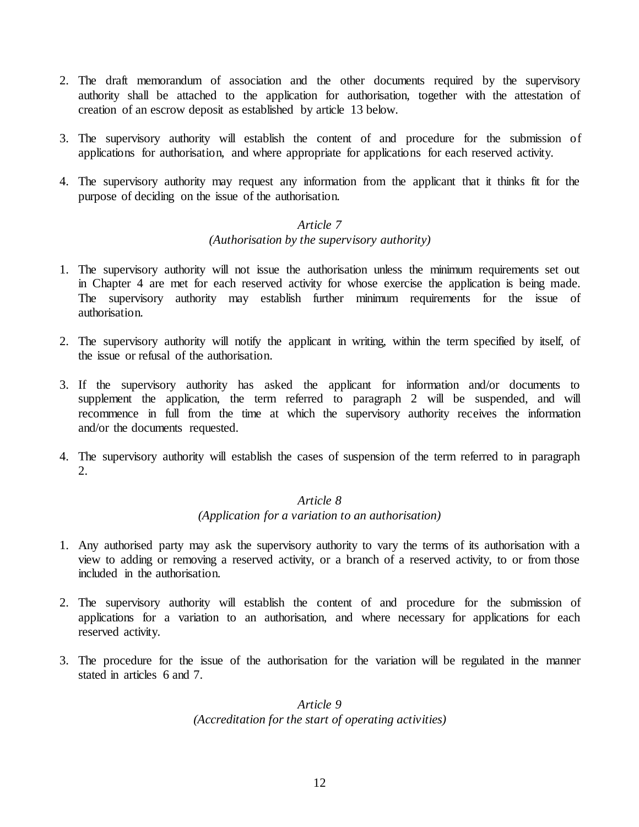- 2. The draft memorandum of association and the other documents required by the supervisory authority shall be attached to the application for authorisation, together with the attestation of creation of an escrow deposit as established by article 13 below.
- 3. The supervisory authority will establish the content of and procedure for the submission of applications for authorisation, and where appropriate for applications for each reserved activity.
- <span id="page-11-0"></span>4. The supervisory authority may request any information from the applicant that it thinks fit for the purpose of deciding on the issue of the authorisation.

#### *(Authorisation by the supervisory authority)*

- 1. The supervisory authority will not issue the authorisation unless the minimum requirements set out in Chapter 4 are met for each reserved activity for whose exercise the application is being made. The supervisory authority may establish further minimum requirements for the issue of authorisation.
- 2. The supervisory authority will notify the applicant in writing, within the term specified by itself, of the issue or refusal of the authorisation.
- 3. If the supervisory authority has asked the applicant for information and/or documents to supplement the application, the term referred to paragraph 2 will be suspended, and will recommence in full from the time at which the supervisory authority receives the information and/or the documents requested.
- <span id="page-11-1"></span>4. The supervisory authority will establish the cases of suspension of the term referred to in paragraph 2.

# *Article 8*

#### *(Application for a variation to an authorisation)*

- 1. Any authorised party may ask the supervisory authority to vary the terms of its authorisation with a view to adding or removing a reserved activity, or a branch of a reserved activity, to or from those included in the authorisation.
- 2. The supervisory authority will establish the content of and procedure for the submission of applications for a variation to an authorisation, and where necessary for applications for each reserved activity.
- <span id="page-11-2"></span>3. The procedure for the issue of the authorisation for the variation will be regulated in the manner stated in articles 6 and 7.

## *Article 9 (Accreditation for the start of operating activities)*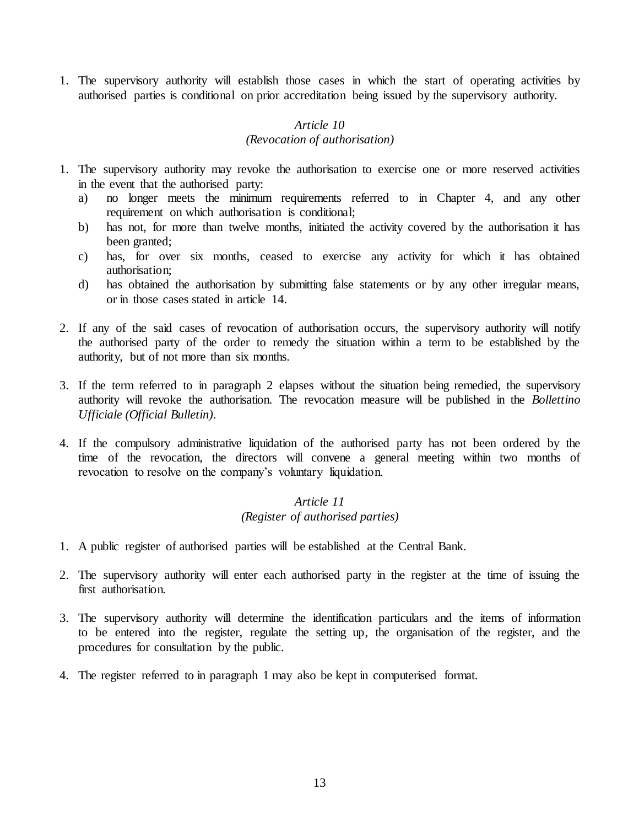1. The supervisory authority will establish those cases in which the start of operating activities by authorised parties is conditional on prior accreditation being issued by the supervisory authority.

#### *Article 10 (Revocation of authorisation)*

- <span id="page-12-0"></span>1. The supervisory authority may revoke the authorisation to exercise one or more reserved activities in the event that the authorised party:
	- a) no longer meets the minimum requirements referred to in Chapter 4, and any other requirement on which authorisation is conditional;
	- b) has not, for more than twelve months, initiated the activity covered by the authorisation it has been granted;
	- c) has, for over six months, ceased to exercise any activity for which it has obtained authorisation;
	- d) has obtained the authorisation by submitting false statements or by any other irregular means, or in those cases stated in article 14.
- 2. If any of the said cases of revocation of authorisation occurs, the supervisory authority will notify the authorised party of the order to remedy the situation within a term to be established by the authority, but of not more than six months.
- 3. If the term referred to in paragraph 2 elapses without the situation being remedied, the supervisory authority will revoke the authorisation. The revocation measure will be published in the *Bollettino Ufficiale (Official Bulletin)*.
- 4. If the compulsory administrative liquidation of the authorised party has not been ordered by the time of the revocation, the directors will convene a general meeting within two months of revocation to resolve on the company's voluntary liquidation.

# *Article 11 (Register of authorised parties)*

- <span id="page-12-1"></span>1. A public register of authorised parties will be established at the Central Bank.
- 2. The supervisory authority will enter each authorised party in the register at the time of issuing the first authorisation.
- 3. The supervisory authority will determine the identification particulars and the items of information to be entered into the register, regulate the setting up, the organisation of the register, and the procedures for consultation by the public.
- 4. The register referred to in paragraph 1 may also be kept in computerised format.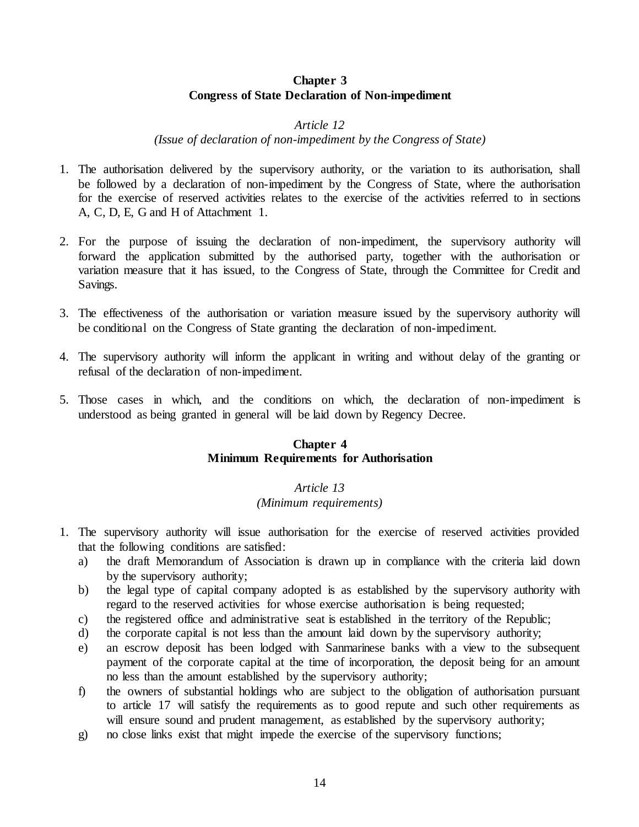#### **Chapter 3 Congress of State Declaration of Non-impediment**

#### *Article 12*

*(Issue of declaration of non-impediment by the Congress of State)*

- <span id="page-13-1"></span><span id="page-13-0"></span>1. The authorisation delivered by the supervisory authority, or the variation to its authorisation, shall be followed by a declaration of non-impediment by the Congress of State, where the authorisation for the exercise of reserved activities relates to the exercise of the activities referred to in sections A, C, D, E, G and H of Attachment 1.
- 2. For the purpose of issuing the declaration of non-impediment, the supervisory authority will forward the application submitted by the authorised party, together with the authorisation or variation measure that it has issued, to the Congress of State, through the Committee for Credit and Savings.
- 3. The effectiveness of the authorisation or variation measure issued by the supervisory authority will be conditional on the Congress of State granting the declaration of non-impediment.
- 4. The supervisory authority will inform the applicant in writing and without delay of the granting or refusal of the declaration of non-impediment.
- <span id="page-13-2"></span>5. Those cases in which, and the conditions on which, the declaration of non-impediment is understood as being granted in general will be laid down by Regency Decree.

## **Chapter 4 Minimum Requirements for Authorisation**

#### *Article 13*

#### *(Minimum requirements)*

- <span id="page-13-3"></span>1. The supervisory authority will issue authorisation for the exercise of reserved activities provided that the following conditions are satisfied:
	- a) the draft Memorandum of Association is drawn up in compliance with the criteria laid down by the supervisory authority;
	- b) the legal type of capital company adopted is as established by the supervisory authority with regard to the reserved activities for whose exercise authorisation is being requested;
	- c) the registered office and administrative seat is established in the territory of the Republic;
	- d) the corporate capital is not less than the amount laid down by the supervisory authority;
	- e) an escrow deposit has been lodged with Sanmarinese banks with a view to the subsequent payment of the corporate capital at the time of incorporation, the deposit being for an amount no less than the amount established by the supervisory authority;
	- f) the owners of substantial holdings who are subject to the obligation of authorisation pursuant to article 17 will satisfy the requirements as to good repute and such other requirements as will ensure sound and prudent management, as established by the supervisory authority;
	- g) no close links exist that might impede the exercise of the supervisory functions;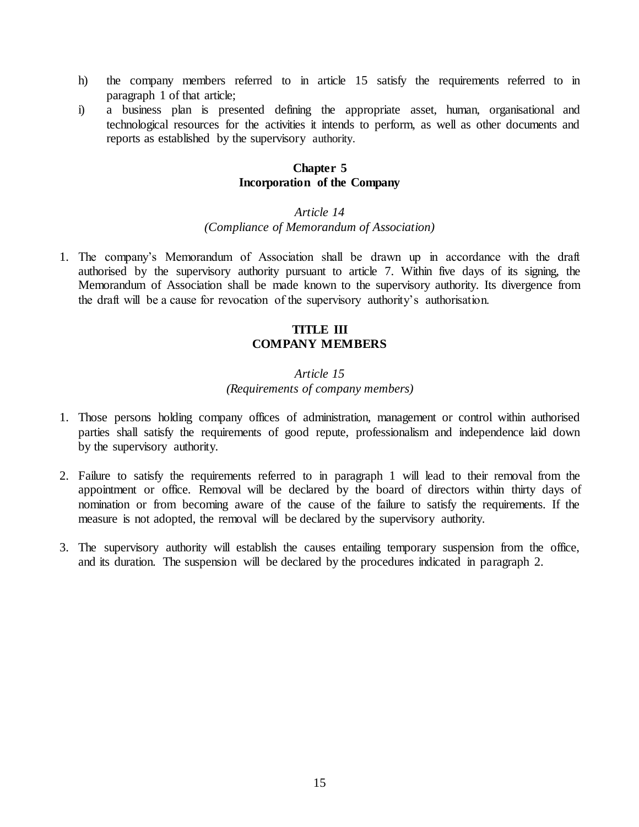- h) the company members referred to in article 15 satisfy the requirements referred to in paragraph 1 of that article;
- <span id="page-14-0"></span>i) a business plan is presented defining the appropriate asset, human, organisational and technological resources for the activities it intends to perform, as well as other documents and reports as established by the supervisory authority.

#### **Chapter 5 Incorporation of the Company**

#### *Article 14*

#### *(Compliance of Memorandum of Association)*

<span id="page-14-2"></span><span id="page-14-1"></span>1. The company's Memorandum of Association shall be drawn up in accordance with the draft authorised by the supervisory authority pursuant to article 7. Within five days of its signing, the Memorandum of Association shall be made known to the supervisory authority. Its divergence from the draft will be a cause for revocation of the supervisory authority's authorisation.

## **TITLE III COMPANY MEMBERS**

## *Article 15 (Requirements of company members)*

- <span id="page-14-3"></span>1. Those persons holding company offices of administration, management or control within authorised parties shall satisfy the requirements of good repute, professionalism and independence laid down by the supervisory authority.
- 2. Failure to satisfy the requirements referred to in paragraph 1 will lead to their removal from the appointment or office. Removal will be declared by the board of directors within thirty days of nomination or from becoming aware of the cause of the failure to satisfy the requirements. If the measure is not adopted, the removal will be declared by the supervisory authority.
- 3. The supervisory authority will establish the causes entailing temporary suspension from the office, and its duration. The suspension will be declared by the procedures indicated in paragraph 2.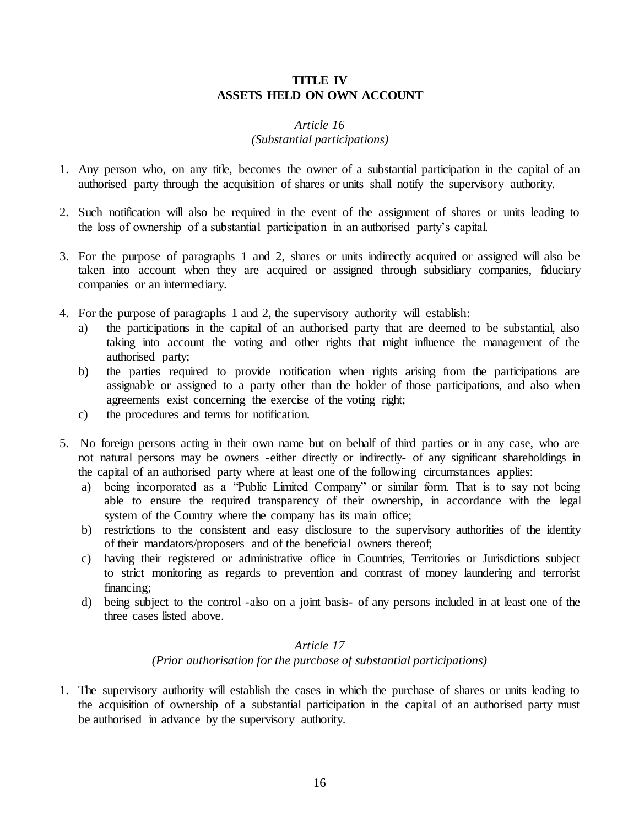## **TITLE IV ASSETS HELD ON OWN ACCOUNT**

## *Article 16*

## *(Substantial participations)*

- <span id="page-15-1"></span><span id="page-15-0"></span>1. Any person who, on any title, becomes the owner of a substantial participation in the capital of an authorised party through the acquisition of shares or units shall notify the supervisory authority.
- 2. Such notification will also be required in the event of the assignment of shares or units leading to the loss of ownership of a substantial participation in an authorised party's capital.
- 3. For the purpose of paragraphs 1 and 2, shares or units indirectly acquired or assigned will also be taken into account when they are acquired or assigned through subsidiary companies, fiduciary companies or an intermediary.
- 4. For the purpose of paragraphs 1 and 2, the supervisory authority will establish:
	- a) the participations in the capital of an authorised party that are deemed to be substantial, also taking into account the voting and other rights that might influence the management of the authorised party;
	- b) the parties required to provide notification when rights arising from the participations are assignable or assigned to a party other than the holder of those participations, and also when agreements exist concerning the exercise of the voting right;
	- c) the procedures and terms for notification.
- 5. No foreign persons acting in their own name but on behalf of third parties or in any case, who are not natural persons may be owners -either directly or indirectly- of any significant shareholdings in the capital of an authorised party where at least one of the following circumstances applies:
	- a) being incorporated as a "Public Limited Company" or similar form. That is to say not being able to ensure the required transparency of their ownership, in accordance with the legal system of the Country where the company has its main office;
	- b) restrictions to the consistent and easy disclosure to the supervisory authorities of the identity of their mandators/proposers and of the beneficial owners thereof;
	- c) having their registered or administrative office in Countries, Territories or Jurisdictions subject to strict monitoring as regards to prevention and contrast of money laundering and terrorist financing;
	- d) being subject to the control -also on a joint basis- of any persons included in at least one of the three cases listed above.

## *Article 17*

*(Prior authorisation for the purchase of substantial participations)*

<span id="page-15-2"></span>1. The supervisory authority will establish the cases in which the purchase of shares or units leading to the acquisition of ownership of a substantial participation in the capital of an authorised party must be authorised in advance by the supervisory authority.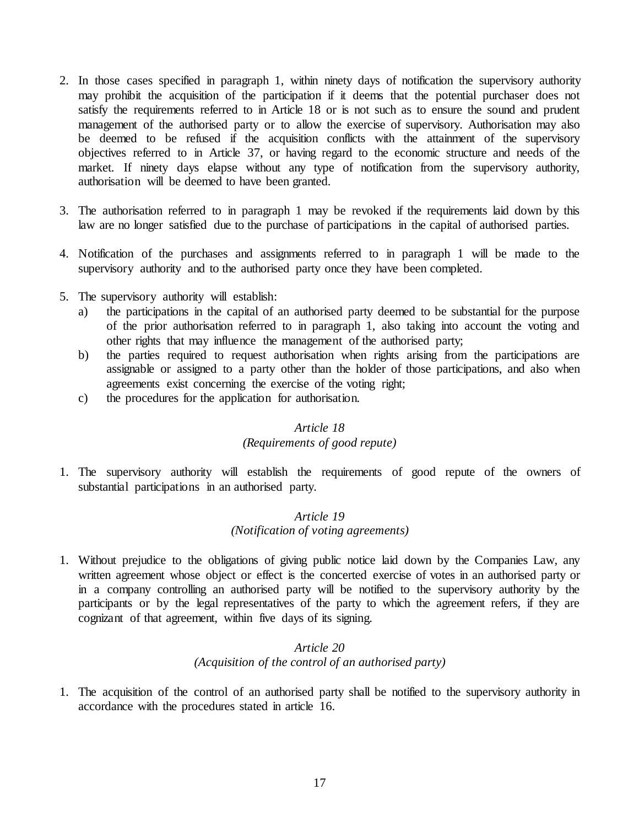- 2. In those cases specified in paragraph 1, within ninety days of notification the supervisory authority may prohibit the acquisition of the participation if it deems that the potential purchaser does not satisfy the requirements referred to in Article 18 or is not such as to ensure the sound and prudent management of the authorised party or to allow the exercise of supervisory. Authorisation may also be deemed to be refused if the acquisition conflicts with the attainment of the supervisory objectives referred to in Article 37, or having regard to the economic structure and needs of the market. If ninety days elapse without any type of notification from the supervisory authority, authorisation will be deemed to have been granted.
- 3. The authorisation referred to in paragraph 1 may be revoked if the requirements laid down by this law are no longer satisfied due to the purchase of participations in the capital of authorised parties.
- 4. Notification of the purchases and assignments referred to in paragraph 1 will be made to the supervisory authority and to the authorised party once they have been completed.
- 5. The supervisory authority will establish:
	- a) the participations in the capital of an authorised party deemed to be substantial for the purpose of the prior authorisation referred to in paragraph 1, also taking into account the voting and other rights that may influence the management of the authorised party;
	- b) the parties required to request authorisation when rights arising from the participations are assignable or assigned to a party other than the holder of those participations, and also when agreements exist concerning the exercise of the voting right;
	- c) the procedures for the application for authorisation.

## *(Requirements of good repute)*

<span id="page-16-1"></span><span id="page-16-0"></span>1. The supervisory authority will establish the requirements of good repute of the owners of substantial participations in an authorised party.

## *Article 19 (Notification of voting agreements)*

1. Without prejudice to the obligations of giving public notice laid down by the Companies Law, any written agreement whose object or effect is the concerted exercise of votes in an authorised party or in a company controlling an authorised party will be notified to the supervisory authority by the participants or by the legal representatives of the party to which the agreement refers, if they are cognizant of that agreement, within five days of its signing.

#### *Article 20 (Acquisition of the control of an authorised party)*

<span id="page-16-2"></span>1. The acquisition of the control of an authorised party shall be notified to the supervisory authority in accordance with the procedures stated in article 16.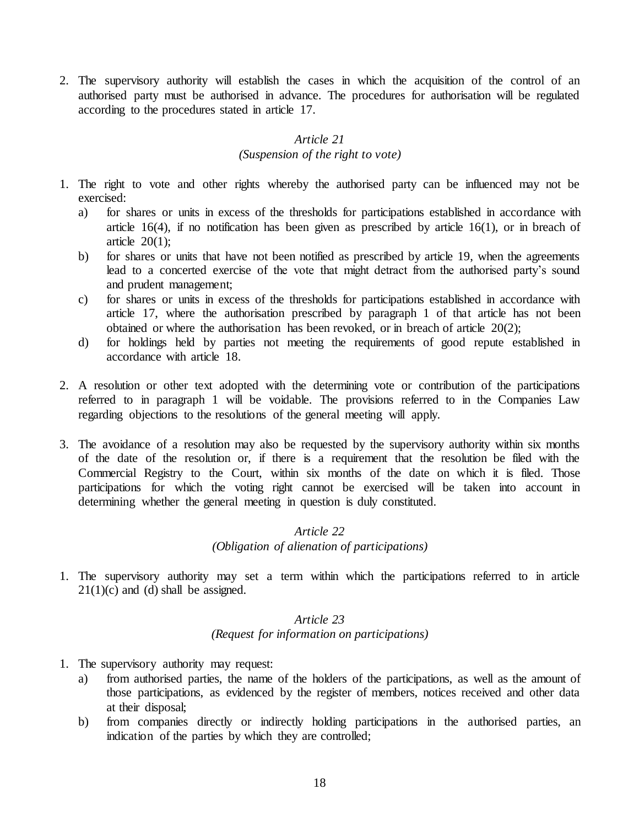2. The supervisory authority will establish the cases in which the acquisition of the control of an authorised party must be authorised in advance. The procedures for authorisation will be regulated according to the procedures stated in article 17.

# *Article 21*

#### *(Suspension of the right to vote)*

- <span id="page-17-0"></span>1. The right to vote and other rights whereby the authorised party can be influenced may not be exercised:
	- a) for shares or units in excess of the thresholds for participations established in accordance with article 16(4), if no notification has been given as prescribed by article 16(1), or in breach of article  $20(1)$ ;
	- b) for shares or units that have not been notified as prescribed by article 19, when the agreements lead to a concerted exercise of the vote that might detract from the authorised party's sound and prudent management;
	- c) for shares or units in excess of the thresholds for participations established in accordance with article 17, where the authorisation prescribed by paragraph 1 of that article has not been obtained or where the authorisation has been revoked, or in breach of article 20(2);
	- d) for holdings held by parties not meeting the requirements of good repute established in accordance with article 18.
- 2. A resolution or other text adopted with the determining vote or contribution of the participations referred to in paragraph 1 will be voidable. The provisions referred to in the Companies Law regarding objections to the resolutions of the general meeting will apply.
- 3. The avoidance of a resolution may also be requested by the supervisory authority within six months of the date of the resolution or, if there is a requirement that the resolution be filed with the Commercial Registry to the Court, within six months of the date on which it is filed. Those participations for which the voting right cannot be exercised will be taken into account in determining whether the general meeting in question is duly constituted.

# *Article 22 (Obligation of alienation of participations)*

<span id="page-17-2"></span><span id="page-17-1"></span>1. The supervisory authority may set a term within which the participations referred to in article  $21(1)(c)$  and (d) shall be assigned.

# *Article 23 (Request for information on participations)*

- 1. The supervisory authority may request:
	- a) from authorised parties, the name of the holders of the participations, as well as the amount of those participations, as evidenced by the register of members, notices received and other data at their disposal;
	- b) from companies directly or indirectly holding participations in the authorised parties, an indication of the parties by which they are controlled;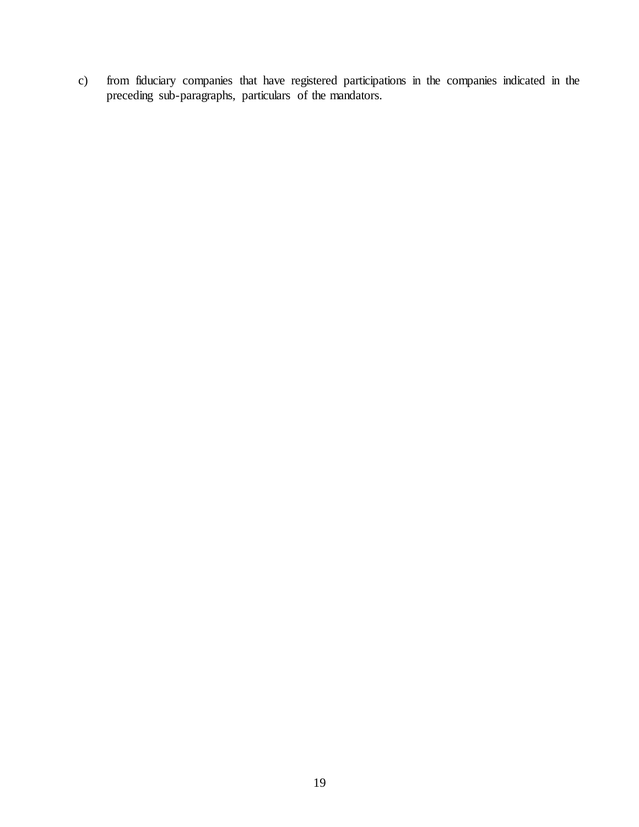c) from fiduciary companies that have registered participations in the companies indicated in the preceding sub-paragraphs, particulars of the mandators.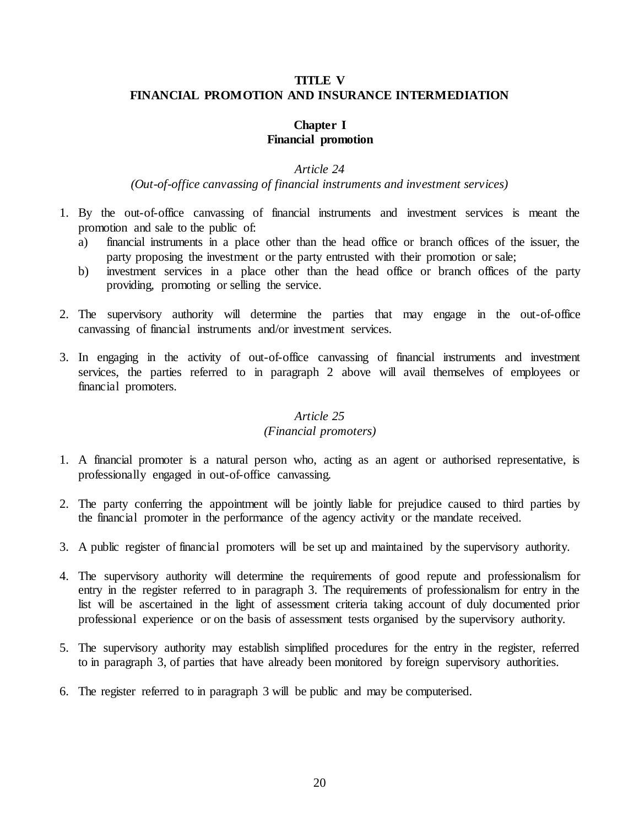# <span id="page-19-1"></span><span id="page-19-0"></span>**TITLE V FINANCIAL PROMOTION AND INSURANCE INTERMEDIATION**

## **Chapter I Financial promotion**

## *Article 24*

# *(Out-of-office canvassing of financial instruments and investment services)*

- <span id="page-19-2"></span>1. By the out-of-office canvassing of financial instruments and investment services is meant the promotion and sale to the public of:
	- a) financial instruments in a place other than the head office or branch offices of the issuer, the party proposing the investment or the party entrusted with their promotion or sale;
	- b) investment services in a place other than the head office or branch offices of the party providing, promoting or selling the service.
- 2. The supervisory authority will determine the parties that may engage in the out-of-office canvassing of financial instruments and/or investment services.
- 3. In engaging in the activity of out-of-office canvassing of financial instruments and investment services, the parties referred to in paragraph 2 above will avail themselves of employees or financial promoters.

## *Article 25*

#### *(Financial promoters)*

- <span id="page-19-3"></span>1. A financial promoter is a natural person who, acting as an agent or authorised representative, is professionally engaged in out-of-office canvassing.
- 2. The party conferring the appointment will be jointly liable for prejudice caused to third parties by the financial promoter in the performance of the agency activity or the mandate received.
- 3. A public register of financial promoters will be set up and maintained by the supervisory authority.
- 4. The supervisory authority will determine the requirements of good repute and professionalism for entry in the register referred to in paragraph 3. The requirements of professionalism for entry in the list will be ascertained in the light of assessment criteria taking account of duly documented prior professional experience or on the basis of assessment tests organised by the supervisory authority.
- 5. The supervisory authority may establish simplified procedures for the entry in the register, referred to in paragraph 3, of parties that have already been monitored by foreign supervisory authorities.
- 6. The register referred to in paragraph 3 will be public and may be computerised.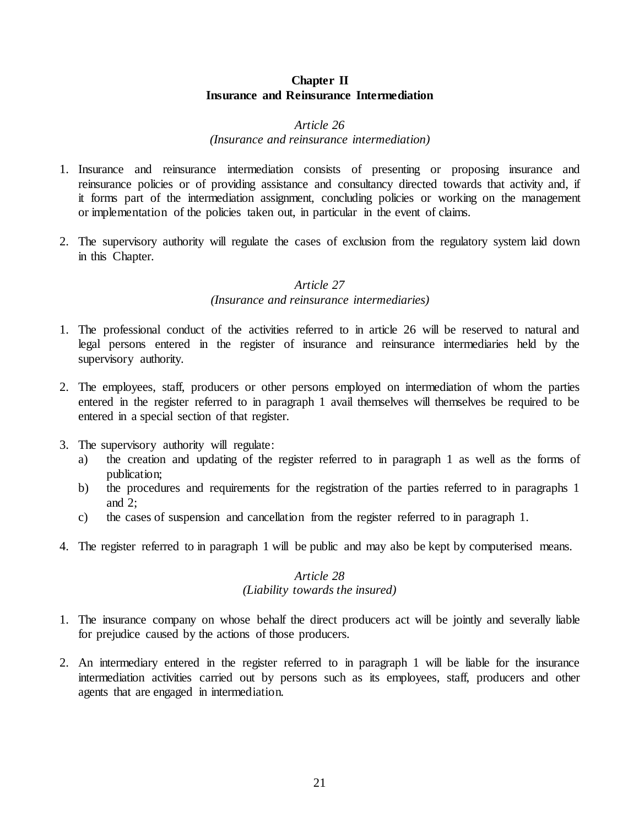## **Chapter II Insurance and Reinsurance Intermediation**

#### *Article 26*

#### *(Insurance and reinsurance intermediation)*

- <span id="page-20-1"></span><span id="page-20-0"></span>1. Insurance and reinsurance intermediation consists of presenting or proposing insurance and reinsurance policies or of providing assistance and consultancy directed towards that activity and, if it forms part of the intermediation assignment, concluding policies or working on the management or implementation of the policies taken out, in particular in the event of claims.
- <span id="page-20-2"></span>2. The supervisory authority will regulate the cases of exclusion from the regulatory system laid down in this Chapter.

#### *Article 27*

#### *(Insurance and reinsurance intermediaries)*

- 1. The professional conduct of the activities referred to in article 26 will be reserved to natural and legal persons entered in the register of insurance and reinsurance intermediaries held by the supervisory authority.
- 2. The employees, staff, producers or other persons employed on intermediation of whom the parties entered in the register referred to in paragraph 1 avail themselves will themselves be required to be entered in a special section of that register.
- 3. The supervisory authority will regulate:
	- a) the creation and updating of the register referred to in paragraph 1 as well as the forms of publication;
	- b) the procedures and requirements for the registration of the parties referred to in paragraphs 1 and 2;
	- c) the cases of suspension and cancellation from the register referred to in paragraph 1.
- <span id="page-20-3"></span>4. The register referred to in paragraph 1 will be public and may also be kept by computerised means.

## *Article 28 (Liability towards the insured)*

- 1. The insurance company on whose behalf the direct producers act will be jointly and severally liable for prejudice caused by the actions of those producers.
- 2. An intermediary entered in the register referred to in paragraph 1 will be liable for the insurance intermediation activities carried out by persons such as its employees, staff, producers and other agents that are engaged in intermediation.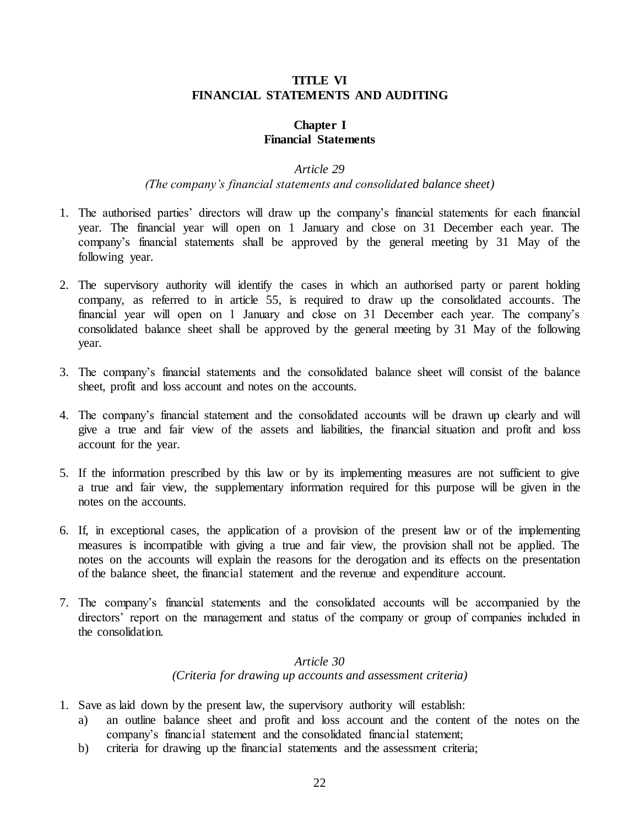## **TITLE VI FINANCIAL STATEMENTS AND AUDITING**

## **Chapter I Financial Statements**

## *Article 29*

## *(The company's financial statements and consolidated balance sheet)*

- <span id="page-21-2"></span><span id="page-21-1"></span><span id="page-21-0"></span>1. The authorised parties' directors will draw up the company's financial statements for each financial year. The financial year will open on 1 January and close on 31 December each year. The company's financial statements shall be approved by the general meeting by 31 May of the following year.
- 2. The supervisory authority will identify the cases in which an authorised party or parent holding company, as referred to in article 55, is required to draw up the consolidated accounts. The financial year will open on 1 January and close on 31 December each year. The company's consolidated balance sheet shall be approved by the general meeting by 31 May of the following year.
- 3. The company's financial statements and the consolidated balance sheet will consist of the balance sheet, profit and loss account and notes on the accounts.
- 4. The company's financial statement and the consolidated accounts will be drawn up clearly and will give a true and fair view of the assets and liabilities, the financial situation and profit and loss account for the year.
- 5. If the information prescribed by this law or by its implementing measures are not sufficient to give a true and fair view, the supplementary information required for this purpose will be given in the notes on the accounts.
- 6. If, in exceptional cases, the application of a provision of the present law or of the implementing measures is incompatible with giving a true and fair view, the provision shall not be applied. The notes on the accounts will explain the reasons for the derogation and its effects on the presentation of the balance sheet, the financial statement and the revenue and expenditure account.
- 7. The company's financial statements and the consolidated accounts will be accompanied by the directors' report on the management and status of the company or group of companies included in the consolidation.

## *Article 30 (Criteria for drawing up accounts and assessment criteria)*

- <span id="page-21-3"></span>1. Save as laid down by the present law, the supervisory authority will establish:
	- a) an outline balance sheet and profit and loss account and the content of the notes on the company's financial statement and the consolidated financial statement;
	- b) criteria for drawing up the financial statements and the assessment criteria;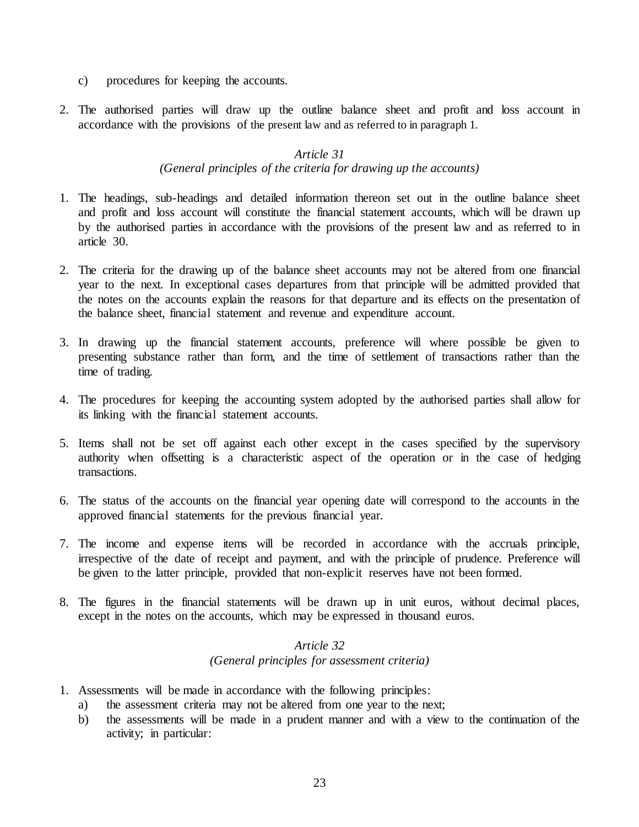- c) procedures for keeping the accounts.
- <span id="page-22-0"></span>2. The authorised parties will draw up the outline balance sheet and profit and loss account in accordance with the provisions of the present law and as referred to in paragraph 1.

# *Article 31 (General principles of the criteria for drawing up the accounts)*

- 1. The headings, sub-headings and detailed information thereon set out in the outline balance sheet and profit and loss account will constitute the financial statement accounts, which will be drawn up by the authorised parties in accordance with the provisions of the present law and as referred to in article 30.
- 2. The criteria for the drawing up of the balance sheet accounts may not be altered from one financial year to the next. In exceptional cases departures from that principle will be admitted provided that the notes on the accounts explain the reasons for that departure and its effects on the presentation of the balance sheet, financial statement and revenue and expenditure account.
- 3. In drawing up the financial statement accounts, preference will where possible be given to presenting substance rather than form, and the time of settlement of transactions rather than the time of trading.
- 4. The procedures for keeping the accounting system adopted by the authorised parties shall allow for its linking with the financial statement accounts.
- 5. Items shall not be set off against each other except in the cases specified by the supervisory authority when offsetting is a characteristic aspect of the operation or in the case of hedging transactions.
- 6. The status of the accounts on the financial year opening date will correspond to the accounts in the approved financial statements for the previous financial year.
- 7. The income and expense items will be recorded in accordance with the accruals principle, irrespective of the date of receipt and payment, and with the principle of prudence. Preference will be given to the latter principle, provided that non-explicit reserves have not been formed.
- <span id="page-22-1"></span>8. The figures in the financial statements will be drawn up in unit euros, without decimal places, except in the notes on the accounts, which may be expressed in thousand euros.

## *Article 32 (General principles for assessment criteria)*

- 1. Assessments will be made in accordance with the following principles:
	- a) the assessment criteria may not be altered from one year to the next;
	- b) the assessments will be made in a prudent manner and with a view to the continuation of the activity; in particular: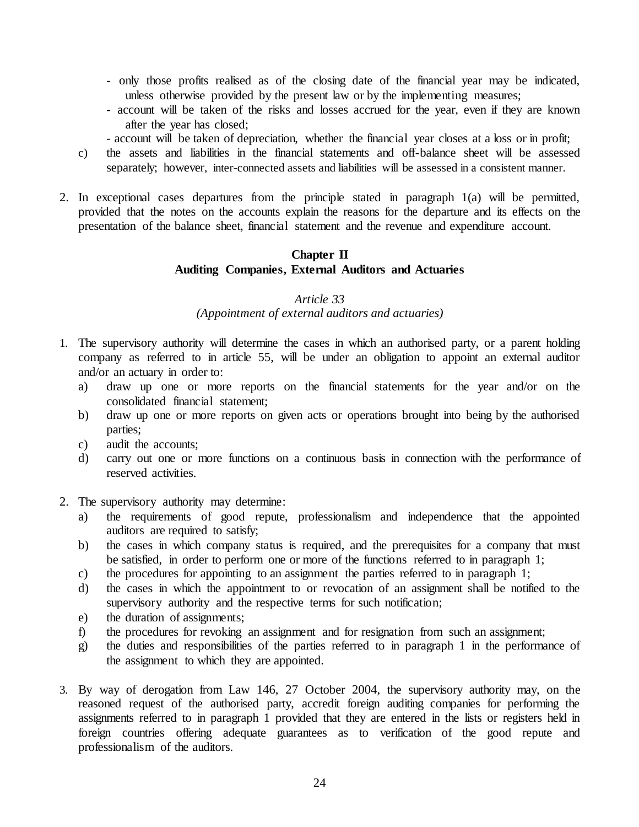- only those profits realised as of the closing date of the financial year may be indicated, unless otherwise provided by the present law or by the implementing measures;
- account will be taken of the risks and losses accrued for the year, even if they are known after the year has closed;
- account will be taken of depreciation, whether the financial year closes at a loss or in profit;
- c) the assets and liabilities in the financial statements and off-balance sheet will be assessed separately; however, inter-connected assets and liabilities will be assessed in a consistent manner.
- <span id="page-23-0"></span>2. In exceptional cases departures from the principle stated in paragraph 1(a) will be permitted, provided that the notes on the accounts explain the reasons for the departure and its effects on the presentation of the balance sheet, financial statement and the revenue and expenditure account.

# **Chapter II Auditing Companies, External Auditors and Actuaries**

#### *Article 33*

#### *(Appointment of external auditors and actuaries)*

- <span id="page-23-1"></span>1. The supervisory authority will determine the cases in which an authorised party, or a parent holding company as referred to in article 55, will be under an obligation to appoint an external auditor and/or an actuary in order to:
	- a) draw up one or more reports on the financial statements for the year and/or on the consolidated financial statement;
	- b) draw up one or more reports on given acts or operations brought into being by the authorised parties;
	- c) audit the accounts;
	- d) carry out one or more functions on a continuous basis in connection with the performance of reserved activities.
- 2. The supervisory authority may determine:
	- a) the requirements of good repute, professionalism and independence that the appointed auditors are required to satisfy;
	- b) the cases in which company status is required, and the prerequisites for a company that must be satisfied, in order to perform one or more of the functions referred to in paragraph 1;
	- c) the procedures for appointing to an assignment the parties referred to in paragraph 1;
	- d) the cases in which the appointment to or revocation of an assignment shall be notified to the supervisory authority and the respective terms for such notification;
	- e) the duration of assignments;
	- f) the procedures for revoking an assignment and for resignation from such an assignment;
	- g) the duties and responsibilities of the parties referred to in paragraph 1 in the performance of the assignment to which they are appointed.
- 3. By way of derogation from Law 146, 27 October 2004, the supervisory authority may, on the reasoned request of the authorised party, accredit foreign auditing companies for performing the assignments referred to in paragraph 1 provided that they are entered in the lists or registers held in foreign countries offering adequate guarantees as to verification of the good repute and professionalism of the auditors.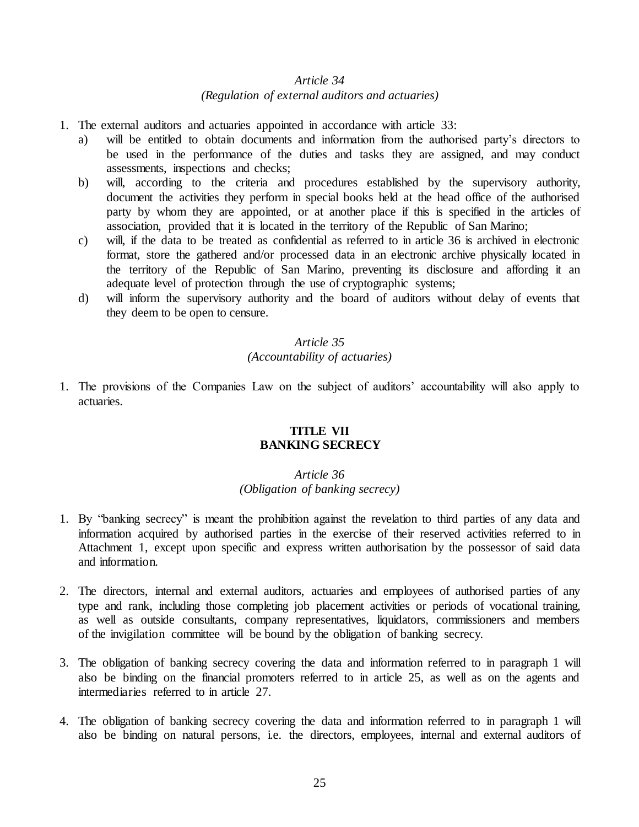#### *(Regulation of external auditors and actuaries)*

- <span id="page-24-0"></span>1. The external auditors and actuaries appointed in accordance with article 33:
	- a) will be entitled to obtain documents and information from the authorised party's directors to be used in the performance of the duties and tasks they are assigned, and may conduct assessments, inspections and checks;
	- b) will, according to the criteria and procedures established by the supervisory authority, document the activities they perform in special books held at the head office of the authorised party by whom they are appointed, or at another place if this is specified in the articles of association, provided that it is located in the territory of the Republic of San Marino;
	- c) will, if the data to be treated as confidential as referred to in article 36 is archived in electronic format, store the gathered and/or processed data in an electronic archive physically located in the territory of the Republic of San Marino, preventing its disclosure and affording it an adequate level of protection through the use of cryptographic systems;
	- d) will inform the supervisory authority and the board of auditors without delay of events that they deem to be open to censure.

#### *Article 35*

## *(Accountability of actuaries)*

<span id="page-24-2"></span><span id="page-24-1"></span>1. The provisions of the Companies Law on the subject of auditors' accountability will also apply to actuaries.

#### **TITLE VII BANKING SECRECY**

#### *Article 36 (Obligation of banking secrecy)*

- <span id="page-24-3"></span>1. By "banking secrecy" is meant the prohibition against the revelation to third parties of any data and information acquired by authorised parties in the exercise of their reserved activities referred to in Attachment 1, except upon specific and express written authorisation by the possessor of said data and information.
- 2. The directors, internal and external auditors, actuaries and employees of authorised parties of any type and rank, including those completing job placement activities or periods of vocational training, as well as outside consultants, company representatives, liquidators, commissioners and members of the invigilation committee will be bound by the obligation of banking secrecy.
- 3. The obligation of banking secrecy covering the data and information referred to in paragraph 1 will also be binding on the financial promoters referred to in article 25, as well as on the agents and intermediaries referred to in article 27.
- 4. The obligation of banking secrecy covering the data and information referred to in paragraph 1 will also be binding on natural persons, i.e. the directors, employees, internal and external auditors of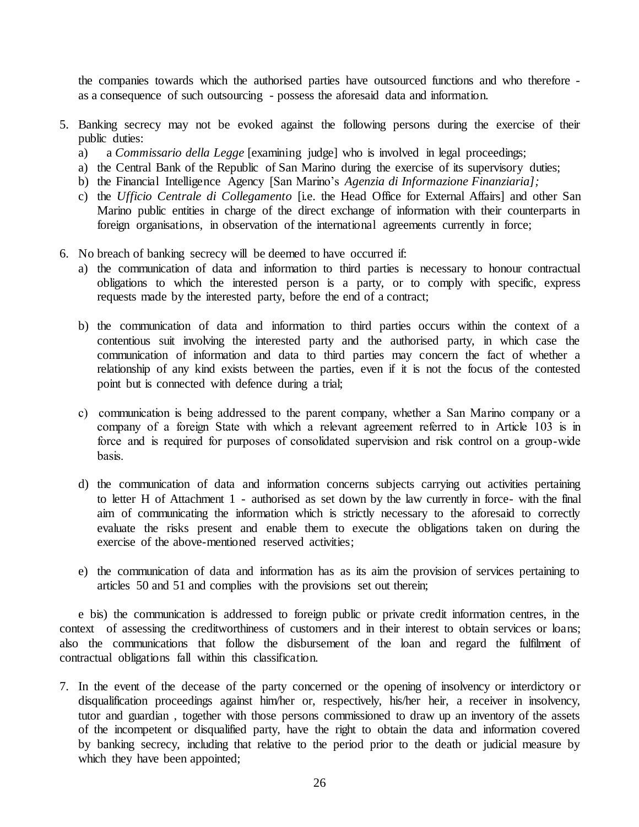the companies towards which the authorised parties have outsourced functions and who therefore as a consequence of such outsourcing - possess the aforesaid data and information.

- 5. Banking secrecy may not be evoked against the following persons during the exercise of their public duties:
	- a) a *Commissario della Legge* [examining judge] who is involved in legal proceedings;
	- a) the Central Bank of the Republic of San Marino during the exercise of its supervisory duties;
	- b) the Financial Intelligence Agency [San Marino's *Agenzia di Informazione Finanziaria];*
	- c) the *Ufficio Centrale di Collegamento* [i.e. the Head Office for External Affairs] and other San Marino public entities in charge of the direct exchange of information with their counterparts in foreign organisations, in observation of the international agreements currently in force;
- 6. No breach of banking secrecy will be deemed to have occurred if:
	- a) the communication of data and information to third parties is necessary to honour contractual obligations to which the interested person is a party, or to comply with specific, express requests made by the interested party, before the end of a contract;
	- b) the communication of data and information to third parties occurs within the context of a contentious suit involving the interested party and the authorised party, in which case the communication of information and data to third parties may concern the fact of whether a relationship of any kind exists between the parties, even if it is not the focus of the contested point but is connected with defence during a trial;
	- c) communication is being addressed to the parent company, whether a San Marino company or a company of a foreign State with which a relevant agreement referred to in Article 103 is in force and is required for purposes of consolidated supervision and risk control on a group-wide basis.
	- d) the communication of data and information concerns subjects carrying out activities pertaining to letter H of Attachment 1 - authorised as set down by the law currently in force- with the final aim of communicating the information which is strictly necessary to the aforesaid to correctly evaluate the risks present and enable them to execute the obligations taken on during the exercise of the above-mentioned reserved activities;
	- e) the communication of data and information has as its aim the provision of services pertaining to articles 50 and 51 and complies with the provisions set out therein;

 e bis) the communication is addressed to foreign public or private credit information centres, in the context of assessing the creditworthiness of customers and in their interest to obtain services or loans; also the communications that follow the disbursement of the loan and regard the fulfilment of contractual obligations fall within this classification.

7. In the event of the decease of the party concerned or the opening of insolvency or interdictory or disqualification proceedings against him/her or, respectively, his/her heir, a receiver in insolvency, tutor and guardian , together with those persons commissioned to draw up an inventory of the assets of the incompetent or disqualified party, have the right to obtain the data and information covered by banking secrecy, including that relative to the period prior to the death or judicial measure by which they have been appointed;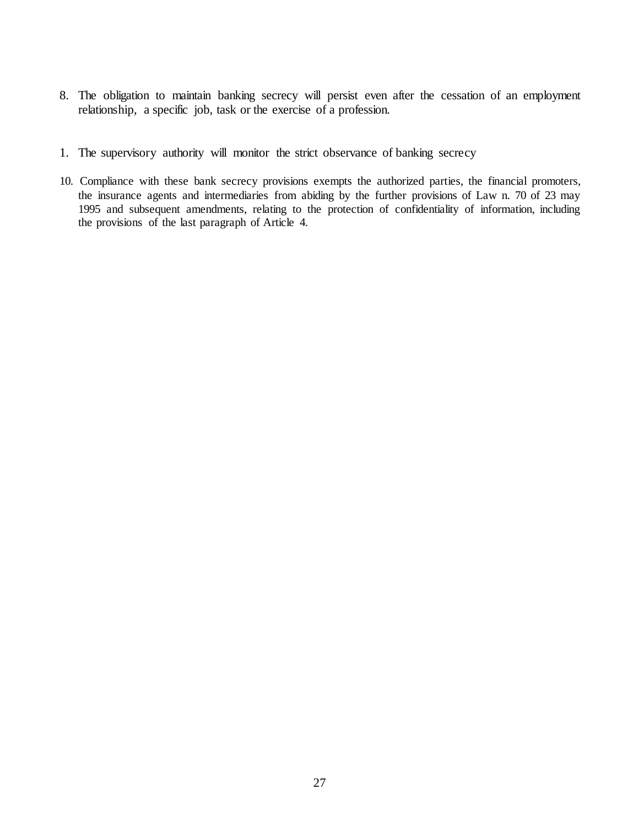- 8. The obligation to maintain banking secrecy will persist even after the cessation of an employment relationship, a specific job, task or the exercise of a profession.
- 1. The supervisory authority will monitor the strict observance of banking secrecy
- 10. Compliance with these bank secrecy provisions exempts the authorized parties, the financial promoters, the insurance agents and intermediaries from abiding by the further provisions of Law n. 70 of 23 may 1995 and subsequent amendments, relating to the protection of confidentiality of information, including the provisions of the last paragraph of Article 4.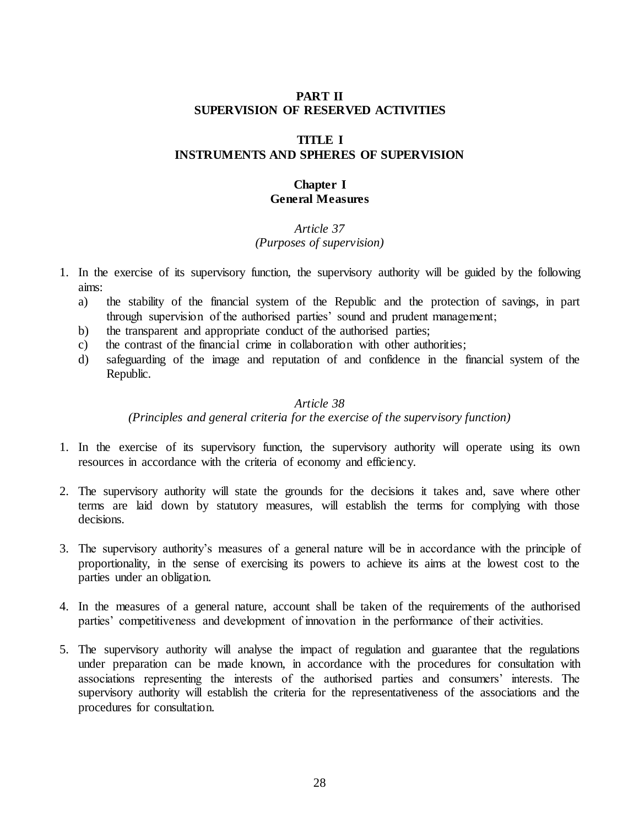## **PART II SUPERVISION OF RESERVED ACTIVITIES**

## **TITLE I**

## <span id="page-27-1"></span><span id="page-27-0"></span>**INSTRUMENTS AND SPHERES OF SUPERVISION**

## **Chapter I General Measures**

# *Article 37 (Purposes of supervision)*

- <span id="page-27-3"></span><span id="page-27-2"></span>1. In the exercise of its supervisory function, the supervisory authority will be guided by the following aims:
	- a) the stability of the financial system of the Republic and the protection of savings, in part through supervision of the authorised parties' sound and prudent management;
	- b) the transparent and appropriate conduct of the authorised parties;
	- c) the contrast of the financial crime in collaboration with other authorities;
	- d) safeguarding of the image and reputation of and confidence in the financial system of the Republic.

## *Article 38*

*(Principles and general criteria for the exercise of the supervisory function)*

- <span id="page-27-4"></span>1. In the exercise of its supervisory function, the supervisory authority will operate using its own resources in accordance with the criteria of economy and efficiency.
- 2. The supervisory authority will state the grounds for the decisions it takes and, save where other terms are laid down by statutory measures, will establish the terms for complying with those decisions.
- 3. The supervisory authority's measures of a general nature will be in accordance with the principle of proportionality, in the sense of exercising its powers to achieve its aims at the lowest cost to the parties under an obligation.
- 4. In the measures of a general nature, account shall be taken of the requirements of the authorised parties' competitiveness and development of innovation in the performance of their activities.
- 5. The supervisory authority will analyse the impact of regulation and guarantee that the regulations under preparation can be made known, in accordance with the procedures for consultation with associations representing the interests of the authorised parties and consumers' interests. The supervisory authority will establish the criteria for the representativeness of the associations and the procedures for consultation.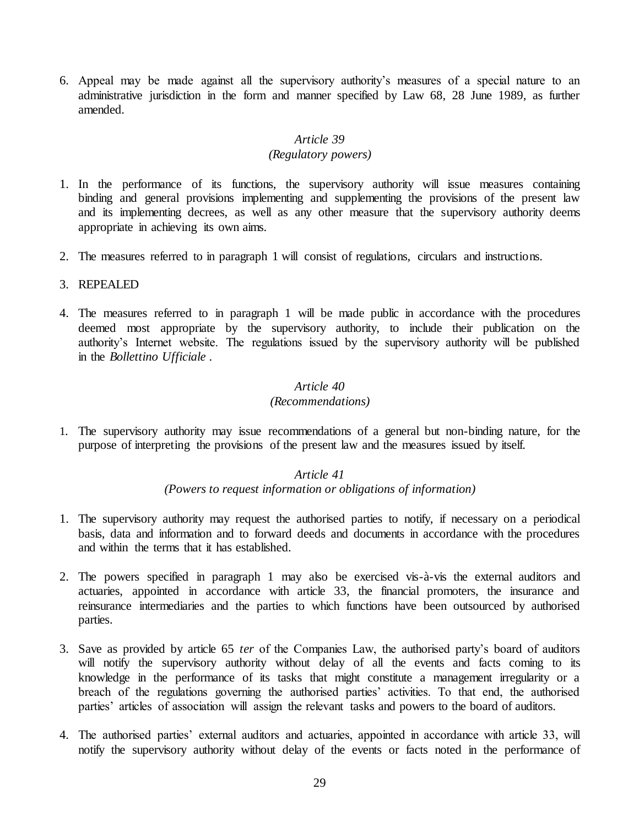6. Appeal may be made against all the supervisory authority's measures of a special nature to an administrative jurisdiction in the form and manner specified by Law 68, 28 June 1989, as further amended.

## *Article 39*

#### *(Regulatory powers)*

- <span id="page-28-0"></span>1. In the performance of its functions, the supervisory authority will issue measures containing binding and general provisions implementing and supplementing the provisions of the present law and its implementing decrees, as well as any other measure that the supervisory authority deems appropriate in achieving its own aims.
- 2. The measures referred to in paragraph 1 will consist of regulations, circulars and instructions.
- 3. REPEALED
- 4. The measures referred to in paragraph 1 will be made public in accordance with the procedures deemed most appropriate by the supervisory authority, to include their publication on the authority's Internet website. The regulations issued by the supervisory authority will be published in the *Bollettino Ufficiale* .

#### *Article 40*

#### *(Recommendations)*

<span id="page-28-2"></span><span id="page-28-1"></span>1. The supervisory authority may issue recommendations of a general but non-binding nature, for the purpose of interpreting the provisions of the present law and the measures issued by itself.

#### *Article 41 (Powers to request information or obligations of information)*

- 1. The supervisory authority may request the authorised parties to notify, if necessary on a periodical basis, data and information and to forward deeds and documents in accordance with the procedures and within the terms that it has established.
- 2. The powers specified in paragraph 1 may also be exercised vis-à-vis the external auditors and actuaries, appointed in accordance with article 33, the financial promoters, the insurance and reinsurance intermediaries and the parties to which functions have been outsourced by authorised parties.
- 3. Save as provided by article 65 *ter* of the Companies Law, the authorised party's board of auditors will notify the supervisory authority without delay of all the events and facts coming to its knowledge in the performance of its tasks that might constitute a management irregularity or a breach of the regulations governing the authorised parties' activities. To that end, the authorised parties' articles of association will assign the relevant tasks and powers to the board of auditors.
- 4. The authorised parties' external auditors and actuaries, appointed in accordance with article 33, will notify the supervisory authority without delay of the events or facts noted in the performance of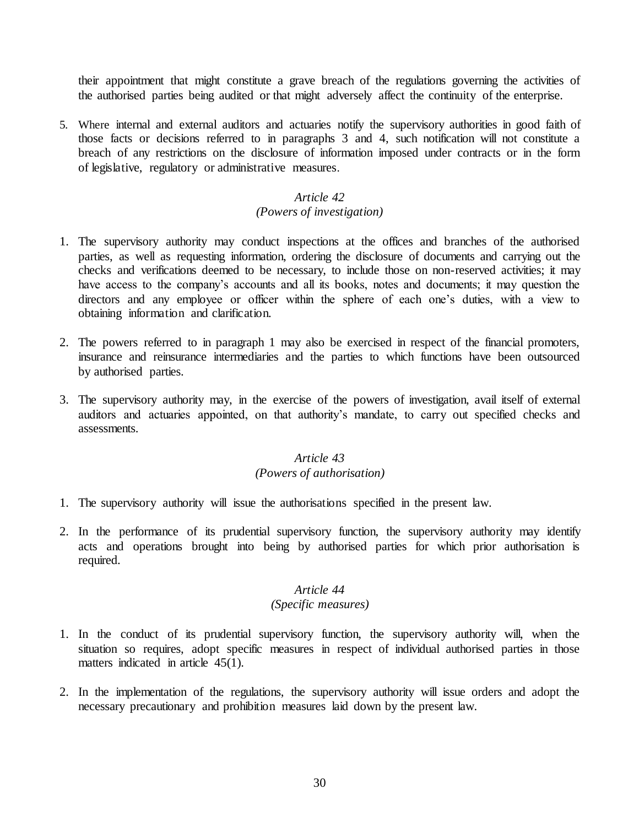their appointment that might constitute a grave breach of the regulations governing the activities of the authorised parties being audited or that might adversely affect the continuity of the enterprise.

5. Where internal and external auditors and actuaries notify the supervisory authorities in good faith of those facts or decisions referred to in paragraphs 3 and 4, such notification will not constitute a breach of any restrictions on the disclosure of information imposed under contracts or in the form of legislative, regulatory or administrative measures.

# *Article 42*

# *(Powers of investigation)*

- <span id="page-29-0"></span>1. The supervisory authority may conduct inspections at the offices and branches of the authorised parties, as well as requesting information, ordering the disclosure of documents and carrying out the checks and verifications deemed to be necessary, to include those on non-reserved activities; it may have access to the company's accounts and all its books, notes and documents; it may question the directors and any employee or officer within the sphere of each one's duties, with a view to obtaining information and clarification.
- 2. The powers referred to in paragraph 1 may also be exercised in respect of the financial promoters, insurance and reinsurance intermediaries and the parties to which functions have been outsourced by authorised parties.
- 3. The supervisory authority may, in the exercise of the powers of investigation, avail itself of external auditors and actuaries appointed, on that authority's mandate, to carry out specified checks and assessments.

## *Article 43 (Powers of authorisation)*

- <span id="page-29-1"></span>1. The supervisory authority will issue the authorisations specified in the present law.
- 2. In the performance of its prudential supervisory function, the supervisory authority may identify acts and operations brought into being by authorised parties for which prior authorisation is required.

# *Article 44*

# *(Specific measures)*

- <span id="page-29-2"></span>1. In the conduct of its prudential supervisory function, the supervisory authority will, when the situation so requires, adopt specific measures in respect of individual authorised parties in those matters indicated in article 45(1).
- 2. In the implementation of the regulations, the supervisory authority will issue orders and adopt the necessary precautionary and prohibition measures laid down by the present law.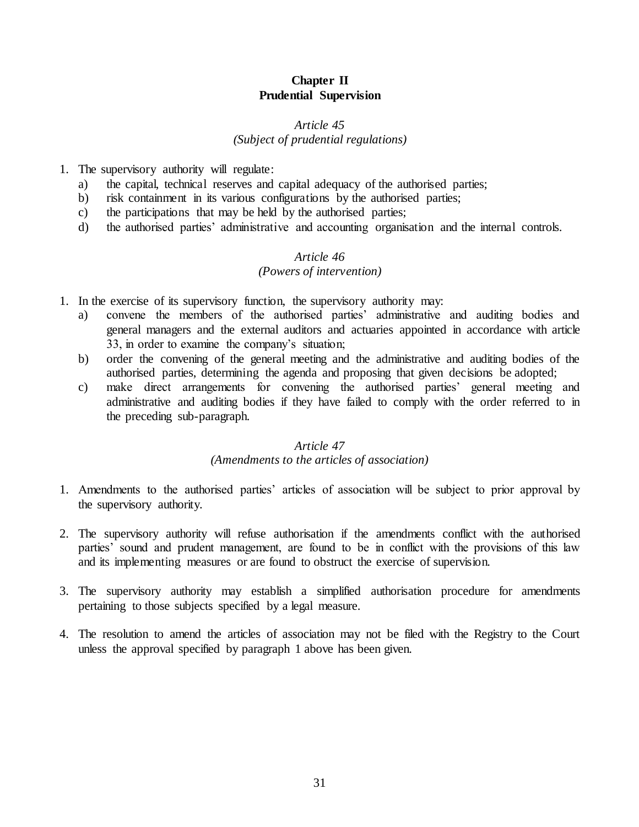# **Chapter II Prudential Supervision**

#### *Article 45*

#### *(Subject of prudential regulations)*

- <span id="page-30-1"></span><span id="page-30-0"></span>1. The supervisory authority will regulate:
	- a) the capital, technical reserves and capital adequacy of the authorised parties;
	- b) risk containment in its various configurations by the authorised parties;
	- c) the participations that may be held by the authorised parties;
	- d) the authorised parties' administrative and accounting organisation and the internal controls.

#### *Article 46 (Powers of intervention)*

- <span id="page-30-2"></span>1. In the exercise of its supervisory function, the supervisory authority may:
	- a) convene the members of the authorised parties' administrative and auditing bodies and general managers and the external auditors and actuaries appointed in accordance with article 33, in order to examine the company's situation;
	- b) order the convening of the general meeting and the administrative and auditing bodies of the authorised parties, determining the agenda and proposing that given decisions be adopted;
	- c) make direct arrangements for convening the authorised parties' general meeting and administrative and auditing bodies if they have failed to comply with the order referred to in the preceding sub-paragraph.

#### *Article 47*

#### *(Amendments to the articles of association)*

- <span id="page-30-3"></span>1. Amendments to the authorised parties' articles of association will be subject to prior approval by the supervisory authority.
- 2. The supervisory authority will refuse authorisation if the amendments conflict with the authorised parties' sound and prudent management, are found to be in conflict with the provisions of this law and its implementing measures or are found to obstruct the exercise of supervision.
- 3. The supervisory authority may establish a simplified authorisation procedure for amendments pertaining to those subjects specified by a legal measure.
- 4. The resolution to amend the articles of association may not be filed with the Registry to the Court unless the approval specified by paragraph 1 above has been given.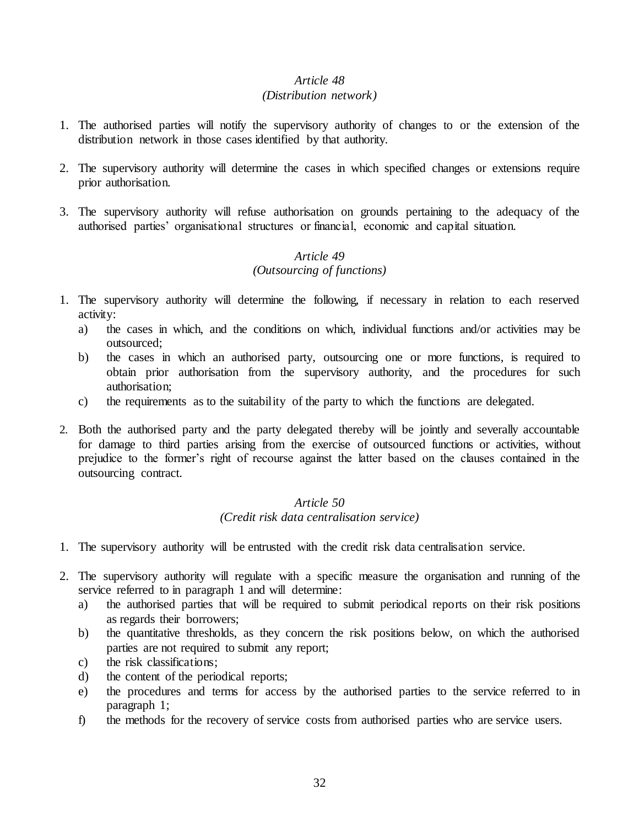## *(Distribution network)*

- <span id="page-31-0"></span>1. The authorised parties will notify the supervisory authority of changes to or the extension of the distribution network in those cases identified by that authority.
- 2. The supervisory authority will determine the cases in which specified changes or extensions require prior authorisation.
- 3. The supervisory authority will refuse authorisation on grounds pertaining to the adequacy of the authorised parties' organisational structures or financial, economic and capital situation.

# *Article 49 (Outsourcing of functions)*

- <span id="page-31-1"></span>1. The supervisory authority will determine the following, if necessary in relation to each reserved activity:
	- a) the cases in which, and the conditions on which, individual functions and/or activities may be outsourced;
	- b) the cases in which an authorised party, outsourcing one or more functions, is required to obtain prior authorisation from the supervisory authority, and the procedures for such authorisation;
	- c) the requirements as to the suitability of the party to which the functions are delegated.
- 2. Both the authorised party and the party delegated thereby will be jointly and severally accountable for damage to third parties arising from the exercise of outsourced functions or activities, without prejudice to the former's right of recourse against the latter based on the clauses contained in the outsourcing contract.

# *Article 50 (Credit risk data centralisation service)*

- <span id="page-31-2"></span>1. The supervisory authority will be entrusted with the credit risk data centralisation service.
- 2. The supervisory authority will regulate with a specific measure the organisation and running of the service referred to in paragraph 1 and will determine:
	- a) the authorised parties that will be required to submit periodical reports on their risk positions as regards their borrowers;
	- b) the quantitative thresholds, as they concern the risk positions below, on which the authorised parties are not required to submit any report;
	- c) the risk classifications;
	- d) the content of the periodical reports;
	- e) the procedures and terms for access by the authorised parties to the service referred to in paragraph 1;
	- f) the methods for the recovery of service costs from authorised parties who are service users.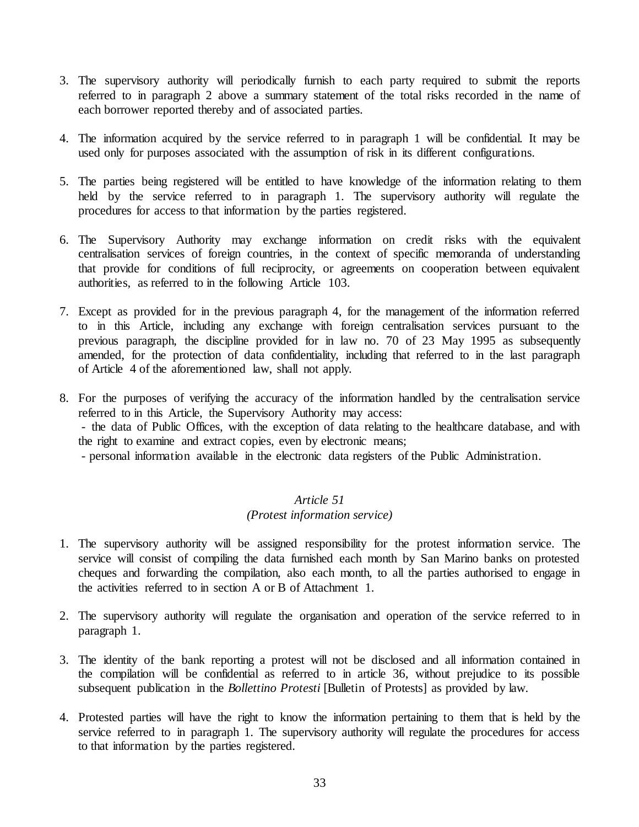- 3. The supervisory authority will periodically furnish to each party required to submit the reports referred to in paragraph 2 above a summary statement of the total risks recorded in the name of each borrower reported thereby and of associated parties.
- 4. The information acquired by the service referred to in paragraph 1 will be confidential. It may be used only for purposes associated with the assumption of risk in its different configurations.
- 5. The parties being registered will be entitled to have knowledge of the information relating to them held by the service referred to in paragraph 1. The supervisory authority will regulate the procedures for access to that information by the parties registered.
- 6. The Supervisory Authority may exchange information on credit risks with the equivalent centralisation services of foreign countries, in the context of specific memoranda of understanding that provide for conditions of full reciprocity, or agreements on cooperation between equivalent authorities, as referred to in the following Article 103.
- 7. Except as provided for in the previous paragraph 4, for the management of the information referred to in this Article, including any exchange with foreign centralisation services pursuant to the previous paragraph, the discipline provided for in law no. 70 of 23 May 1995 as subsequently amended, for the protection of data confidentiality, including that referred to in the last paragraph of Article 4 of the aforementioned law, shall not apply.
- 8. For the purposes of verifying the accuracy of the information handled by the centralisation service referred to in this Article, the Supervisory Authority may access: - the data of Public Offices, with the exception of data relating to the healthcare database, and with the right to examine and extract copies, even by electronic means; - personal information available in the electronic data registers of the Public Administration.

# *Article 51 (Protest information service)*

- <span id="page-32-0"></span>1. The supervisory authority will be assigned responsibility for the protest information service. The service will consist of compiling the data furnished each month by San Marino banks on protested cheques and forwarding the compilation, also each month, to all the parties authorised to engage in the activities referred to in section A or B of Attachment 1.
- 2. The supervisory authority will regulate the organisation and operation of the service referred to in paragraph 1.
- 3. The identity of the bank reporting a protest will not be disclosed and all information contained in the compilation will be confidential as referred to in article 36, without prejudice to its possible subsequent publication in the *Bollettino Protesti* [Bulletin of Protests] as provided by law.
- 4. Protested parties will have the right to know the information pertaining to them that is held by the service referred to in paragraph 1. The supervisory authority will regulate the procedures for access to that information by the parties registered.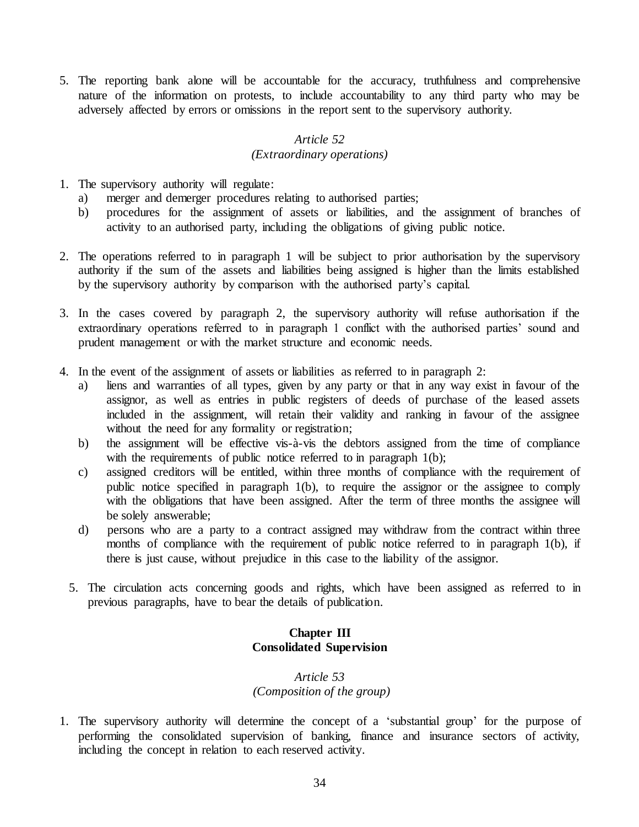5. The reporting bank alone will be accountable for the accuracy, truthfulness and comprehensive nature of the information on protests, to include accountability to any third party who may be adversely affected by errors or omissions in the report sent to the supervisory authority.

# *Article 52*

## *(Extraordinary operations)*

- <span id="page-33-0"></span>1. The supervisory authority will regulate:
	- a) merger and demerger procedures relating to authorised parties;
	- b) procedures for the assignment of assets or liabilities, and the assignment of branches of activity to an authorised party, including the obligations of giving public notice.
- 2. The operations referred to in paragraph 1 will be subject to prior authorisation by the supervisory authority if the sum of the assets and liabilities being assigned is higher than the limits established by the supervisory authority by comparison with the authorised party's capital.
- 3. In the cases covered by paragraph 2, the supervisory authority will refuse authorisation if the extraordinary operations referred to in paragraph 1 conflict with the authorised parties' sound and prudent management or with the market structure and economic needs.
- 4. In the event of the assignment of assets or liabilities as referred to in paragraph 2:
	- a) liens and warranties of all types, given by any party or that in any way exist in favour of the assignor, as well as entries in public registers of deeds of purchase of the leased assets included in the assignment, will retain their validity and ranking in favour of the assignee without the need for any formality or registration;
	- b) the assignment will be effective vis-à-vis the debtors assigned from the time of compliance with the requirements of public notice referred to in paragraph 1(b);
	- c) assigned creditors will be entitled, within three months of compliance with the requirement of public notice specified in paragraph 1(b), to require the assignor or the assignee to comply with the obligations that have been assigned. After the term of three months the assignee will be solely answerable;
	- d) persons who are a party to a contract assigned may withdraw from the contract within three months of compliance with the requirement of public notice referred to in paragraph 1(b), if there is just cause, without prejudice in this case to the liability of the assignor.
	- 5. The circulation acts concerning goods and rights, which have been assigned as referred to in previous paragraphs, have to bear the details of publication.

# **Chapter III Consolidated Supervision**

# *Article 53 (Composition of the group)*

<span id="page-33-2"></span><span id="page-33-1"></span>1. The supervisory authority will determine the concept of a 'substantial group' for the purpose of performing the consolidated supervision of banking, finance and insurance sectors of activity, including the concept in relation to each reserved activity.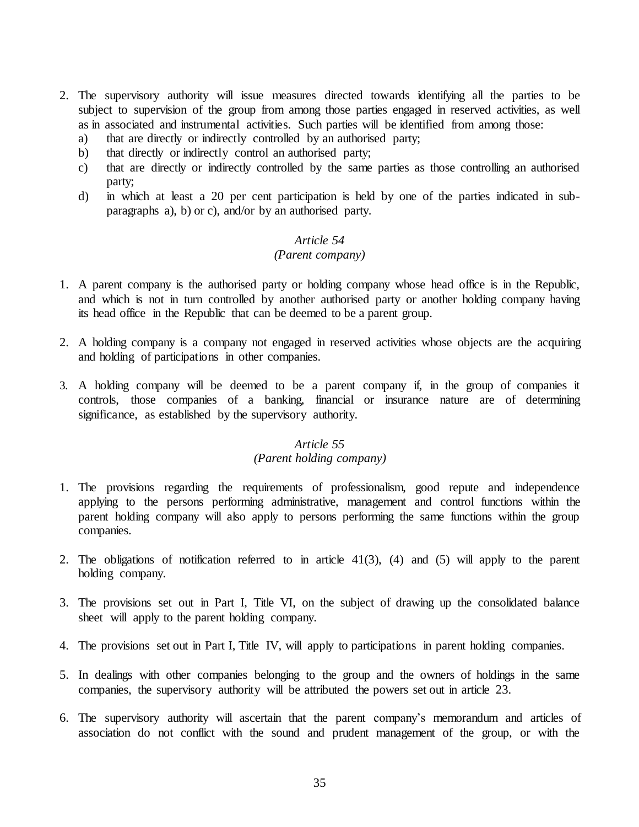- 2. The supervisory authority will issue measures directed towards identifying all the parties to be subject to supervision of the group from among those parties engaged in reserved activities, as well as in associated and instrumental activities. Such parties will be identified from among those:
	- a) that are directly or indirectly controlled by an authorised party;
	- b) that directly or indirectly control an authorised party;
	- c) that are directly or indirectly controlled by the same parties as those controlling an authorised party;
	- d) in which at least a 20 per cent participation is held by one of the parties indicated in subparagraphs a), b) or c), and/or by an authorised party.

#### *(Parent company)*

- <span id="page-34-0"></span>1. A parent company is the authorised party or holding company whose head office is in the Republic, and which is not in turn controlled by another authorised party or another holding company having its head office in the Republic that can be deemed to be a parent group.
- 2. A holding company is a company not engaged in reserved activities whose objects are the acquiring and holding of participations in other companies.
- 3. A holding company will be deemed to be a parent company if, in the group of companies it controls, those companies of a banking, financial or insurance nature are of determining significance, as established by the supervisory authority.

#### *Article 55*

# *(Parent holding company)*

- <span id="page-34-1"></span>1. The provisions regarding the requirements of professionalism, good repute and independence applying to the persons performing administrative, management and control functions within the parent holding company will also apply to persons performing the same functions within the group companies.
- 2. The obligations of notification referred to in article 41(3), (4) and (5) will apply to the parent holding company.
- 3. The provisions set out in Part I, Title VI, on the subject of drawing up the consolidated balance sheet will apply to the parent holding company.
- 4. The provisions set out in Part I, Title IV, will apply to participations in parent holding companies.
- 5. In dealings with other companies belonging to the group and the owners of holdings in the same companies, the supervisory authority will be attributed the powers set out in article 23.
- 6. The supervisory authority will ascertain that the parent company's memorandum and articles of association do not conflict with the sound and prudent management of the group, or with the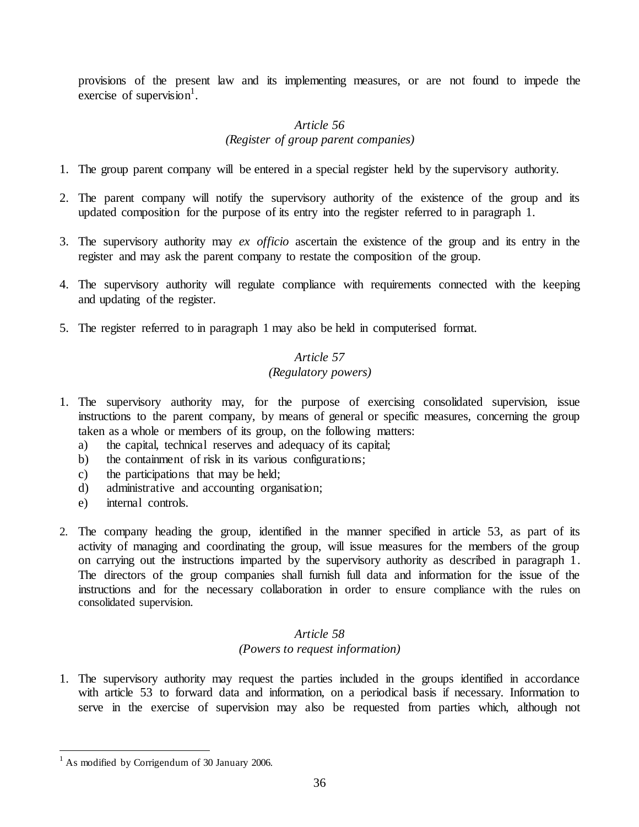provisions of the present law and its implementing measures, or are not found to impede the exercise of supervision<sup>1</sup>.

# *Article 56 (Register of group parent companies)*

- <span id="page-35-0"></span>1. The group parent company will be entered in a special register held by the supervisory authority.
- 2. The parent company will notify the supervisory authority of the existence of the group and its updated composition for the purpose of its entry into the register referred to in paragraph 1.
- 3. The supervisory authority may *ex officio* ascertain the existence of the group and its entry in the register and may ask the parent company to restate the composition of the group.
- 4. The supervisory authority will regulate compliance with requirements connected with the keeping and updating of the register.
- <span id="page-35-1"></span>5. The register referred to in paragraph 1 may also be held in computerised format.

# *Article 57*

# *(Regulatory powers)*

- 1. The supervisory authority may, for the purpose of exercising consolidated supervision, issue instructions to the parent company, by means of general or specific measures, concerning the group taken as a whole or members of its group, on the following matters:
	- a) the capital, technical reserves and adequacy of its capital;
	- b) the containment of risk in its various configurations;
	- c) the participations that may be held;
	- d) administrative and accounting organisation;
	- e) internal controls.
- 2. The company heading the group, identified in the manner specified in article 53, as part of its activity of managing and coordinating the group, will issue measures for the members of the group on carrying out the instructions imparted by the supervisory authority as described in paragraph 1. The directors of the group companies shall furnish full data and information for the issue of the instructions and for the necessary collaboration in order to ensure compliance with the rules on consolidated supervision.

# *Article 58 (Powers to request information)*

<span id="page-35-2"></span>1. The supervisory authority may request the parties included in the groups identified in accordance with article 53 to forward data and information, on a periodical basis if necessary. Information to serve in the exercise of supervision may also be requested from parties which, although not

 $\overline{a}$ 

 $<sup>1</sup>$  As modified by Corrigendum of 30 January 2006.</sup>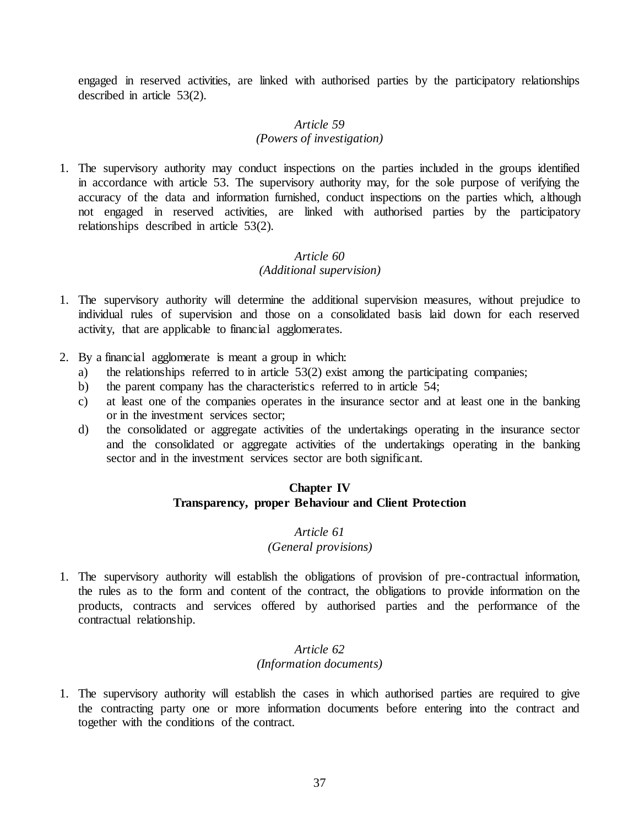engaged in reserved activities, are linked with authorised parties by the participatory relationships described in article 53(2).

#### *Article 59 (Powers of investigation)*

1. The supervisory authority may conduct inspections on the parties included in the groups identified in accordance with article 53. The supervisory authority may, for the sole purpose of verifying the accuracy of the data and information furnished, conduct inspections on the parties which, although not engaged in reserved activities, are linked with authorised parties by the participatory relationships described in article 53(2).

## *Article 60 (Additional supervision)*

- 1. The supervisory authority will determine the additional supervision measures, without prejudice to individual rules of supervision and those on a consolidated basis laid down for each reserved activity, that are applicable to financial agglomerates.
- 2. By a financial agglomerate is meant a group in which:
	- a) the relationships referred to in article 53(2) exist among the participating companies;
	- b) the parent company has the characteristics referred to in article 54;
	- c) at least one of the companies operates in the insurance sector and at least one in the banking or in the investment services sector;
	- d) the consolidated or aggregate activities of the undertakings operating in the insurance sector and the consolidated or aggregate activities of the undertakings operating in the banking sector and in the investment services sector are both significant.

## **Chapter IV Transparency, proper Behaviour and Client Protection**

# *Article 61 (General provisions)*

1. The supervisory authority will establish the obligations of provision of pre-contractual information, the rules as to the form and content of the contract, the obligations to provide information on the products, contracts and services offered by authorised parties and the performance of the contractual relationship.

### *Article 62 (Information documents)*

1. The supervisory authority will establish the cases in which authorised parties are required to give the contracting party one or more information documents before entering into the contract and together with the conditions of the contract.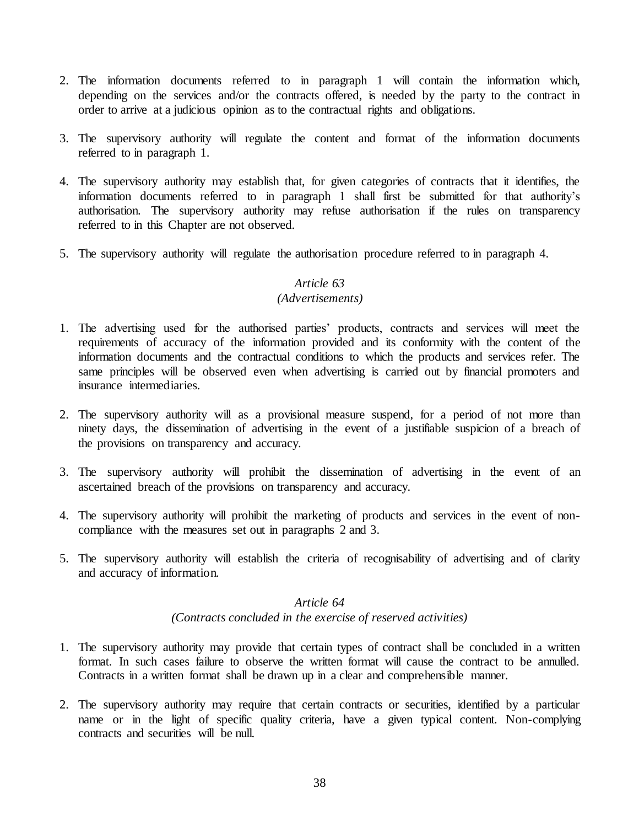- 2. The information documents referred to in paragraph 1 will contain the information which, depending on the services and/or the contracts offered, is needed by the party to the contract in order to arrive at a judicious opinion as to the contractual rights and obligations.
- 3. The supervisory authority will regulate the content and format of the information documents referred to in paragraph 1.
- 4. The supervisory authority may establish that, for given categories of contracts that it identifies, the information documents referred to in paragraph 1 shall first be submitted for that authority's authorisation. The supervisory authority may refuse authorisation if the rules on transparency referred to in this Chapter are not observed.
- 5. The supervisory authority will regulate the authorisation procedure referred to in paragraph 4.

#### *(Advertisements)*

- 1. The advertising used for the authorised parties' products, contracts and services will meet the requirements of accuracy of the information provided and its conformity with the content of the information documents and the contractual conditions to which the products and services refer. The same principles will be observed even when advertising is carried out by financial promoters and insurance intermediaries.
- 2. The supervisory authority will as a provisional measure suspend, for a period of not more than ninety days, the dissemination of advertising in the event of a justifiable suspicion of a breach of the provisions on transparency and accuracy.
- 3. The supervisory authority will prohibit the dissemination of advertising in the event of an ascertained breach of the provisions on transparency and accuracy.
- 4. The supervisory authority will prohibit the marketing of products and services in the event of noncompliance with the measures set out in paragraphs 2 and 3.
- 5. The supervisory authority will establish the criteria of recognisability of advertising and of clarity and accuracy of information.

# *Article 64 (Contracts concluded in the exercise of reserved activities)*

- 1. The supervisory authority may provide that certain types of contract shall be concluded in a written format. In such cases failure to observe the written format will cause the contract to be annulled. Contracts in a written format shall be drawn up in a clear and comprehensible manner.
- 2. The supervisory authority may require that certain contracts or securities, identified by a particular name or in the light of specific quality criteria, have a given typical content. Non-complying contracts and securities will be null.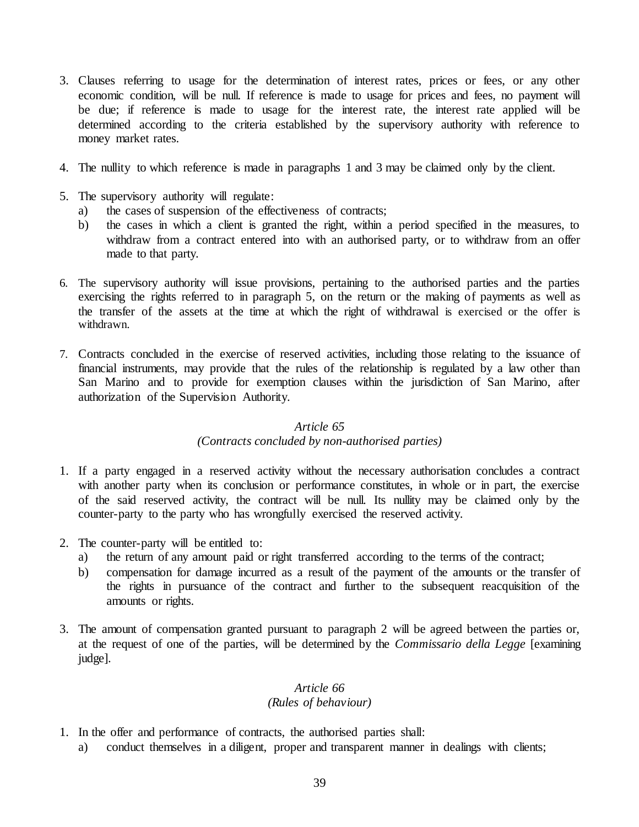- 3. Clauses referring to usage for the determination of interest rates, prices or fees, or any other economic condition, will be null. If reference is made to usage for prices and fees, no payment will be due; if reference is made to usage for the interest rate, the interest rate applied will be determined according to the criteria established by the supervisory authority with reference to money market rates.
- 4. The nullity to which reference is made in paragraphs 1 and 3 may be claimed only by the client.
- 5. The supervisory authority will regulate:
	- a) the cases of suspension of the effectiveness of contracts;
	- b) the cases in which a client is granted the right, within a period specified in the measures, to withdraw from a contract entered into with an authorised party, or to withdraw from an offer made to that party.
- 6. The supervisory authority will issue provisions, pertaining to the authorised parties and the parties exercising the rights referred to in paragraph 5, on the return or the making of payments as well as the transfer of the assets at the time at which the right of withdrawal is exercised or the offer is withdrawn.
- 7. Contracts concluded in the exercise of reserved activities, including those relating to the issuance of financial instruments, may provide that the rules of the relationship is regulated by a law other than San Marino and to provide for exemption clauses within the jurisdiction of San Marino, after authorization of the Supervision Authority.

### *(Contracts concluded by non-authorised parties)*

- 1. If a party engaged in a reserved activity without the necessary authorisation concludes a contract with another party when its conclusion or performance constitutes, in whole or in part, the exercise of the said reserved activity, the contract will be null. Its nullity may be claimed only by the counter-party to the party who has wrongfully exercised the reserved activity.
- 2. The counter-party will be entitled to:
	- a) the return of any amount paid or right transferred according to the terms of the contract;
	- b) compensation for damage incurred as a result of the payment of the amounts or the transfer of the rights in pursuance of the contract and further to the subsequent reacquisition of the amounts or rights.
- 3. The amount of compensation granted pursuant to paragraph 2 will be agreed between the parties or, at the request of one of the parties, will be determined by the *Commissario della Legge* [examining judge].

### *Article 66 (Rules of behaviour)*

- 1. In the offer and performance of contracts, the authorised parties shall:
	- a) conduct themselves in a diligent, proper and transparent manner in dealings with clients;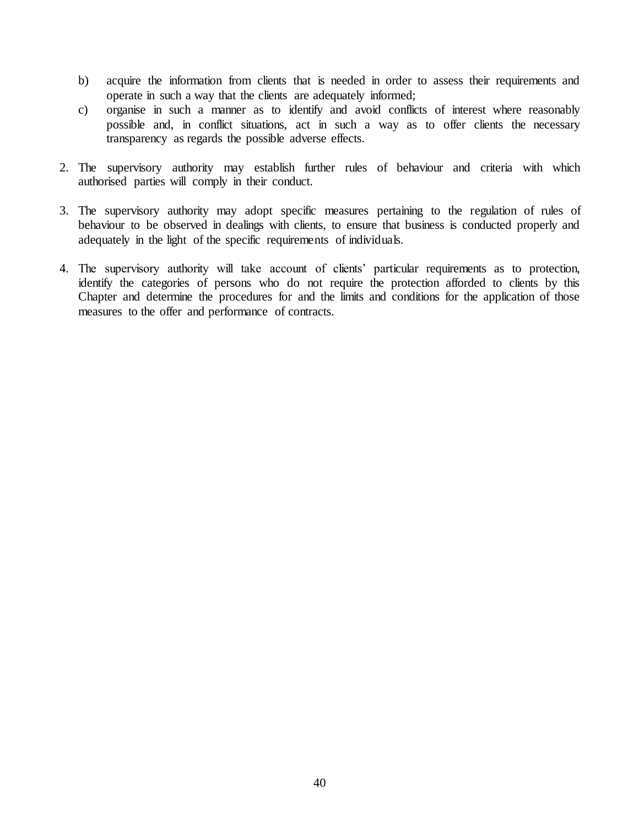- b) acquire the information from clients that is needed in order to assess their requirements and operate in such a way that the clients are adequately informed;
- c) organise in such a manner as to identify and avoid conflicts of interest where reasonably possible and, in conflict situations, act in such a way as to offer clients the necessary transparency as regards the possible adverse effects.
- 2. The supervisory authority may establish further rules of behaviour and criteria with which authorised parties will comply in their conduct.
- 3. The supervisory authority may adopt specific measures pertaining to the regulation of rules of behaviour to be observed in dealings with clients, to ensure that business is conducted properly and adequately in the light of the specific requirements of individuals.
- 4. The supervisory authority will take account of clients' particular requirements as to protection, identify the categories of persons who do not require the protection afforded to clients by this Chapter and determine the procedures for and the limits and conditions for the application of those measures to the offer and performance of contracts.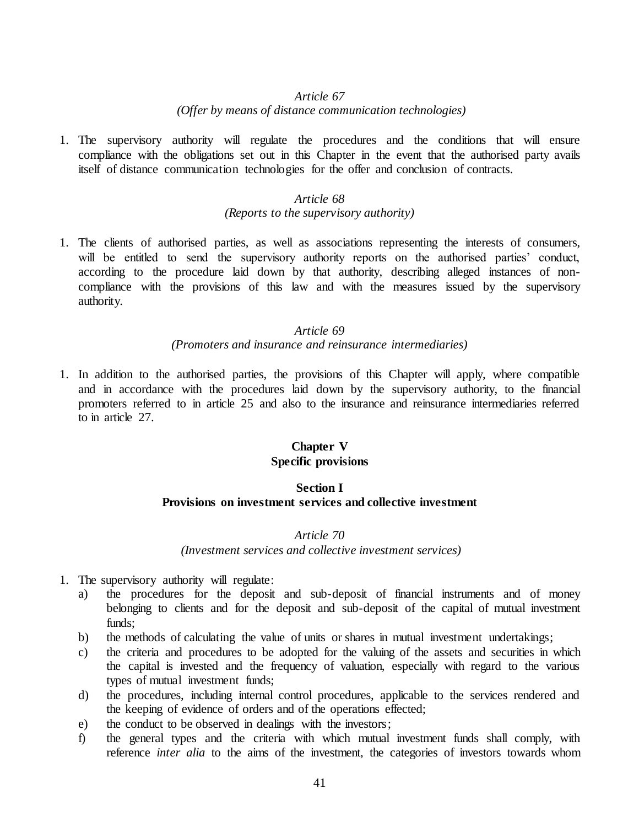#### *(Offer by means of distance communication technologies)*

1. The supervisory authority will regulate the procedures and the conditions that will ensure compliance with the obligations set out in this Chapter in the event that the authorised party avails itself of distance communication technologies for the offer and conclusion of contracts.

## *Article 68*

## *(Reports to the supervisory authority)*

1. The clients of authorised parties, as well as associations representing the interests of consumers, will be entitled to send the supervisory authority reports on the authorised parties' conduct, according to the procedure laid down by that authority, describing alleged instances of noncompliance with the provisions of this law and with the measures issued by the supervisory authority.

#### *Article 69*

### *(Promoters and insurance and reinsurance intermediaries)*

1. In addition to the authorised parties, the provisions of this Chapter will apply, where compatible and in accordance with the procedures laid down by the supervisory authority, to the financial promoters referred to in article 25 and also to the insurance and reinsurance intermediaries referred to in article 27.

## **Chapter V Specific provisions**

## **Section I Provisions on investment services and collective investment**

## *Article 70*

#### *(Investment services and collective investment services)*

- 1. The supervisory authority will regulate:
	- a) the procedures for the deposit and sub-deposit of financial instruments and of money belonging to clients and for the deposit and sub-deposit of the capital of mutual investment funds;
	- b) the methods of calculating the value of units or shares in mutual investment undertakings;
	- c) the criteria and procedures to be adopted for the valuing of the assets and securities in which the capital is invested and the frequency of valuation, especially with regard to the various types of mutual investment funds;
	- d) the procedures, including internal control procedures, applicable to the services rendered and the keeping of evidence of orders and of the operations effected;
	- e) the conduct to be observed in dealings with the investors;
	- f) the general types and the criteria with which mutual investment funds shall comply, with reference *inter alia* to the aims of the investment, the categories of investors towards whom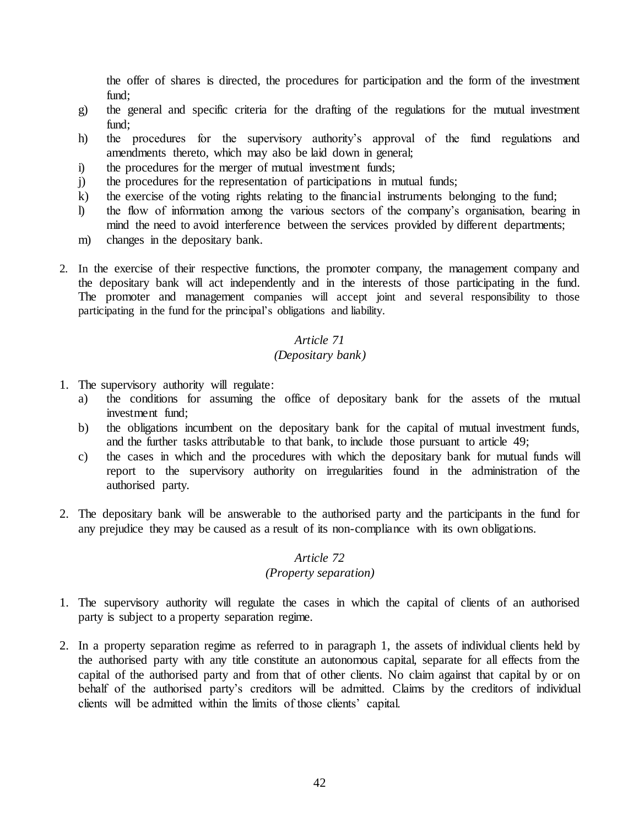the offer of shares is directed, the procedures for participation and the form of the investment fund:

- g) the general and specific criteria for the drafting of the regulations for the mutual investment  $find:$
- h) the procedures for the supervisory authority's approval of the fund regulations and amendments thereto, which may also be laid down in general;
- i) the procedures for the merger of mutual investment funds;
- j) the procedures for the representation of participations in mutual funds;
- k) the exercise of the voting rights relating to the financial instruments belonging to the fund;
- l) the flow of information among the various sectors of the company's organisation, bearing in mind the need to avoid interference between the services provided by different departments;
- m) changes in the depositary bank.
- 2. In the exercise of their respective functions, the promoter company, the management company and the depositary bank will act independently and in the interests of those participating in the fund. The promoter and management companies will accept joint and several responsibility to those participating in the fund for the principal's obligations and liability.

### *Article 71*

### *(Depositary bank)*

- 1. The supervisory authority will regulate:
	- a) the conditions for assuming the office of depositary bank for the assets of the mutual investment fund;
	- b) the obligations incumbent on the depositary bank for the capital of mutual investment funds, and the further tasks attributable to that bank, to include those pursuant to article 49;
	- c) the cases in which and the procedures with which the depositary bank for mutual funds will report to the supervisory authority on irregularities found in the administration of the authorised party.
- 2. The depositary bank will be answerable to the authorised party and the participants in the fund for any prejudice they may be caused as a result of its non-compliance with its own obligations.

### *Article 72*

### *(Property separation)*

- 1. The supervisory authority will regulate the cases in which the capital of clients of an authorised party is subject to a property separation regime.
- 2. In a property separation regime as referred to in paragraph 1, the assets of individual clients held by the authorised party with any title constitute an autonomous capital, separate for all effects from the capital of the authorised party and from that of other clients. No claim against that capital by or on behalf of the authorised party's creditors will be admitted. Claims by the creditors of individual clients will be admitted within the limits of those clients' capital.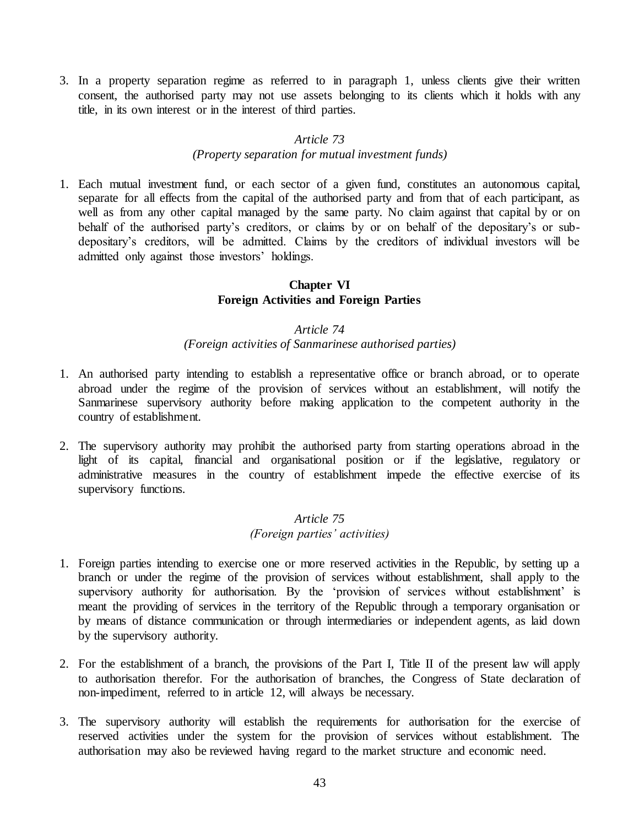3. In a property separation regime as referred to in paragraph 1, unless clients give their written consent, the authorised party may not use assets belonging to its clients which it holds with any title, in its own interest or in the interest of third parties.

### *Article 73*

#### *(Property separation for mutual investment funds)*

1. Each mutual investment fund, or each sector of a given fund, constitutes an autonomous capital, separate for all effects from the capital of the authorised party and from that of each participant, as well as from any other capital managed by the same party. No claim against that capital by or on behalf of the authorised party's creditors, or claims by or on behalf of the depositary's or subdepositary's creditors, will be admitted. Claims by the creditors of individual investors will be admitted only against those investors' holdings.

## **Chapter VI Foreign Activities and Foreign Parties**

## *Article 74*

#### *(Foreign activities of Sanmarinese authorised parties)*

- 1. An authorised party intending to establish a representative office or branch abroad, or to operate abroad under the regime of the provision of services without an establishment, will notify the Sanmarinese supervisory authority before making application to the competent authority in the country of establishment.
- 2. The supervisory authority may prohibit the authorised party from starting operations abroad in the light of its capital, financial and organisational position or if the legislative, regulatory or administrative measures in the country of establishment impede the effective exercise of its supervisory functions.

### *Article 75 (Foreign parties' activities)*

- 1. Foreign parties intending to exercise one or more reserved activities in the Republic, by setting up a branch or under the regime of the provision of services without establishment, shall apply to the supervisory authority for authorisation. By the 'provision of services without establishment' is meant the providing of services in the territory of the Republic through a temporary organisation or by means of distance communication or through intermediaries or independent agents, as laid down by the supervisory authority.
- 2. For the establishment of a branch, the provisions of the Part I, Title II of the present law will apply to authorisation therefor. For the authorisation of branches, the Congress of State declaration of non-impediment, referred to in article 12, will always be necessary.
- 3. The supervisory authority will establish the requirements for authorisation for the exercise of reserved activities under the system for the provision of services without establishment. The authorisation may also be reviewed having regard to the market structure and economic need.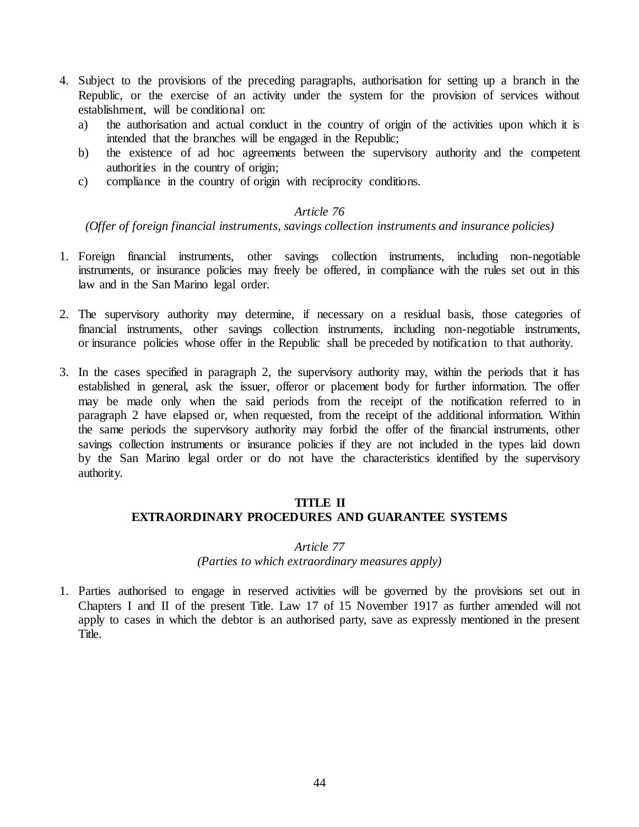- 4. Subject to the provisions of the preceding paragraphs, authorisation for setting up a branch in the Republic, or the exercise of an activity under the system for the provision of services without establishment, will be conditional on:
	- a) the authorisation and actual conduct in the country of origin of the activities upon which it is intended that the branches will be engaged in the Republic;
	- b) the existence of ad hoc agreements between the supervisory authority and the competent authorities in the country of origin;
	- c) compliance in the country of origin with reciprocity conditions.

*(Offer of foreign financial instruments, savings collection instruments and insurance policies)*

- 1. Foreign financial instruments, other savings collection instruments, including non-negotiable instruments, or insurance policies may freely be offered, in compliance with the rules set out in this law and in the San Marino legal order.
- 2. The supervisory authority may determine, if necessary on a residual basis, those categories of financial instruments, other savings collection instruments, including non-negotiable instruments, or insurance policies whose offer in the Republic shall be preceded by notification to that authority.
- 3. In the cases specified in paragraph 2, the supervisory authority may, within the periods that it has established in general, ask the issuer, offeror or placement body for further information. The offer may be made only when the said periods from the receipt of the notification referred to in paragraph 2 have elapsed or, when requested, from the receipt of the additional information. Within the same periods the supervisory authority may forbid the offer of the financial instruments, other savings collection instruments or insurance policies if they are not included in the types laid down by the San Marino legal order or do not have the characteristics identified by the supervisory authority.

#### **TITLE II**

# **EXTRAORDINARY PROCEDURES AND GUARANTEE SYSTEMS**

## *Article 77*

#### *(Parties to which extraordinary measures apply)*

1. Parties authorised to engage in reserved activities will be governed by the provisions set out in Chapters I and II of the present Title. Law 17 of 15 November 1917 as further amended will not apply to cases in which the debtor is an authorised party, save as expressly mentioned in the present Title.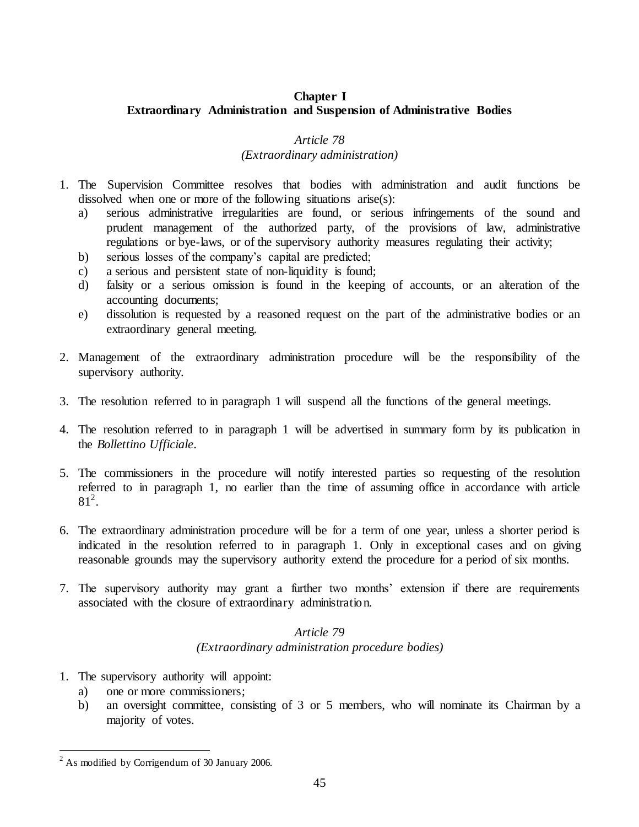# **Chapter I Extraordinary Administration and Suspension of Administrative Bodies**

## *Article 78*

## *(Extraordinary administration)*

- 1. The Supervision Committee resolves that bodies with administration and audit functions be dissolved when one or more of the following situations arise(s):
	- a) serious administrative irregularities are found, or serious infringements of the sound and prudent management of the authorized party, of the provisions of law, administrative regulations or bye-laws, or of the supervisory authority measures regulating their activity;
	- b) serious losses of the company's capital are predicted;
	- c) a serious and persistent state of non-liquidity is found;
	- d) falsity or a serious omission is found in the keeping of accounts, or an alteration of the accounting documents;
	- e) dissolution is requested by a reasoned request on the part of the administrative bodies or an extraordinary general meeting.
- 2. Management of the extraordinary administration procedure will be the responsibility of the supervisory authority.
- 3. The resolution referred to in paragraph 1 will suspend all the functions of the general meetings.
- 4. The resolution referred to in paragraph 1 will be advertised in summary form by its publication in the *Bollettino Ufficiale*.
- 5. The commissioners in the procedure will notify interested parties so requesting of the resolution referred to in paragraph 1, no earlier than the time of assuming office in accordance with article  $81^2$ .
- 6. The extraordinary administration procedure will be for a term of one year, unless a shorter period is indicated in the resolution referred to in paragraph 1. Only in exceptional cases and on giving reasonable grounds may the supervisory authority extend the procedure for a period of six months.
- 7. The supervisory authority may grant a further two months' extension if there are requirements associated with the closure of extraordinary administration.

# *Article 79 (Extraordinary administration procedure bodies)*

- 1. The supervisory authority will appoint:
	- a) one or more commissioners;
	- b) an oversight committee, consisting of 3 or 5 members, who will nominate its Chairman by a majority of votes.

 $\overline{a}$ 

<sup>&</sup>lt;sup>2</sup> As modified by Corrigendum of 30 January 2006.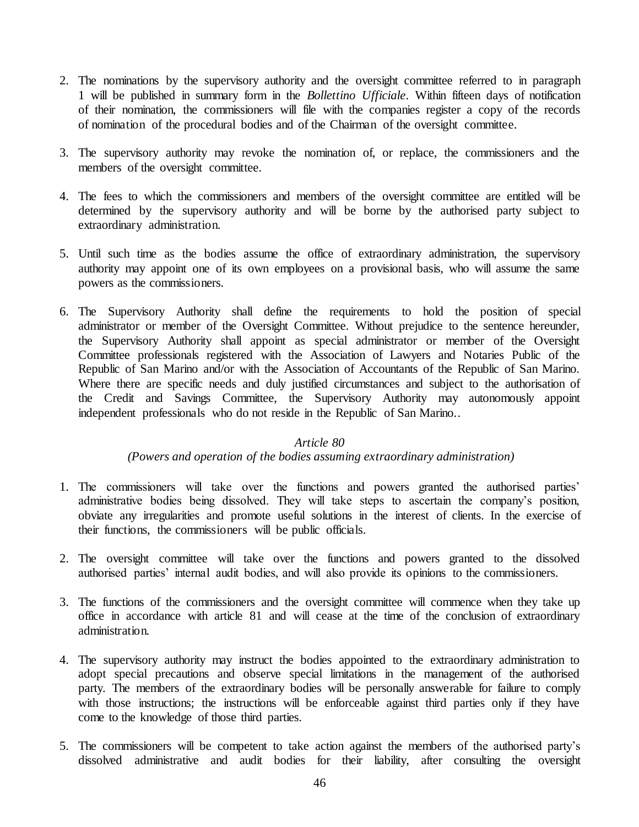- 2. The nominations by the supervisory authority and the oversight committee referred to in paragraph 1 will be published in summary form in the *Bollettino Ufficiale*. Within fifteen days of notification of their nomination, the commissioners will file with the companies register a copy of the records of nomination of the procedural bodies and of the Chairman of the oversight committee.
- 3. The supervisory authority may revoke the nomination of, or replace, the commissioners and the members of the oversight committee.
- 4. The fees to which the commissioners and members of the oversight committee are entitled will be determined by the supervisory authority and will be borne by the authorised party subject to extraordinary administration.
- 5. Until such time as the bodies assume the office of extraordinary administration, the supervisory authority may appoint one of its own employees on a provisional basis, who will assume the same powers as the commissioners.
- 6. The Supervisory Authority shall define the requirements to hold the position of special administrator or member of the Oversight Committee. Without prejudice to the sentence hereunder, the Supervisory Authority shall appoint as special administrator or member of the Oversight Committee professionals registered with the Association of Lawyers and Notaries Public of the Republic of San Marino and/or with the Association of Accountants of the Republic of San Marino. Where there are specific needs and duly justified circumstances and subject to the authorisation of the Credit and Savings Committee, the Supervisory Authority may autonomously appoint independent professionals who do not reside in the Republic of San Marino..

### *(Powers and operation of the bodies assuming extraordinary administration)*

- 1. The commissioners will take over the functions and powers granted the authorised parties' administrative bodies being dissolved. They will take steps to ascertain the company's position, obviate any irregularities and promote useful solutions in the interest of clients. In the exercise of their functions, the commissioners will be public officials.
- 2. The oversight committee will take over the functions and powers granted to the dissolved authorised parties' internal audit bodies, and will also provide its opinions to the commissioners.
- 3. The functions of the commissioners and the oversight committee will commence when they take up office in accordance with article 81 and will cease at the time of the conclusion of extraordinary administration.
- 4. The supervisory authority may instruct the bodies appointed to the extraordinary administration to adopt special precautions and observe special limitations in the management of the authorised party. The members of the extraordinary bodies will be personally answerable for failure to comply with those instructions; the instructions will be enforceable against third parties only if they have come to the knowledge of those third parties.
- 5. The commissioners will be competent to take action against the members of the authorised party's dissolved administrative and audit bodies for their liability, after consulting the oversight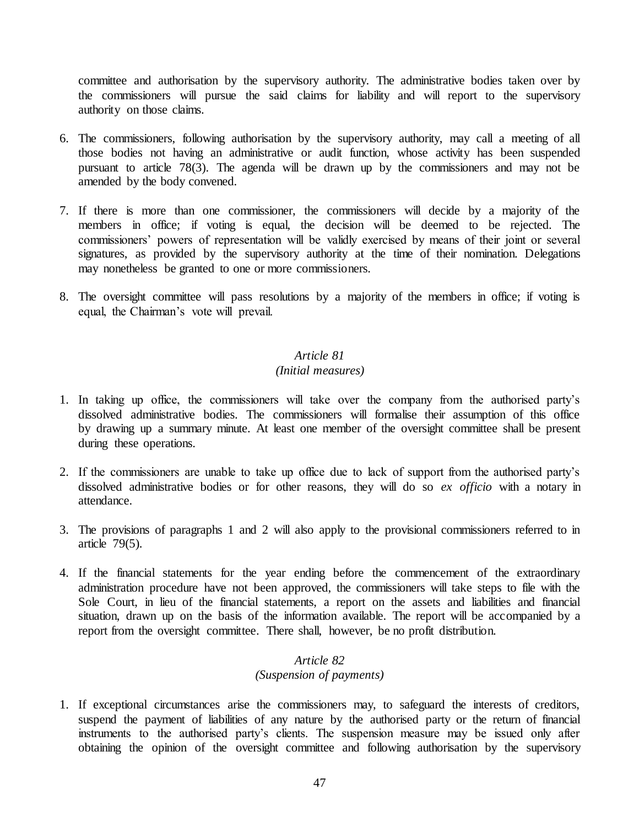committee and authorisation by the supervisory authority. The administrative bodies taken over by the commissioners will pursue the said claims for liability and will report to the supervisory authority on those claims.

- 6. The commissioners, following authorisation by the supervisory authority, may call a meeting of all those bodies not having an administrative or audit function, whose activity has been suspended pursuant to article 78(3). The agenda will be drawn up by the commissioners and may not be amended by the body convened.
- 7. If there is more than one commissioner, the commissioners will decide by a majority of the members in office; if voting is equal, the decision will be deemed to be rejected. The commissioners' powers of representation will be validly exercised by means of their joint or several signatures, as provided by the supervisory authority at the time of their nomination. Delegations may nonetheless be granted to one or more commissioners.
- 8. The oversight committee will pass resolutions by a majority of the members in office; if voting is equal, the Chairman's vote will prevail.

## *Article 81*

### *(Initial measures)*

- 1. In taking up office, the commissioners will take over the company from the authorised party's dissolved administrative bodies. The commissioners will formalise their assumption of this office by drawing up a summary minute. At least one member of the oversight committee shall be present during these operations.
- 2. If the commissioners are unable to take up office due to lack of support from the authorised party's dissolved administrative bodies or for other reasons, they will do so *ex officio* with a notary in attendance.
- 3. The provisions of paragraphs 1 and 2 will also apply to the provisional commissioners referred to in article 79(5).
- 4. If the financial statements for the year ending before the commencement of the extraordinary administration procedure have not been approved, the commissioners will take steps to file with the Sole Court, in lieu of the financial statements, a report on the assets and liabilities and financial situation, drawn up on the basis of the information available. The report will be accompanied by a report from the oversight committee. There shall, however, be no profit distribution.

# *Article 82*

# *(Suspension of payments)*

1. If exceptional circumstances arise the commissioners may, to safeguard the interests of creditors, suspend the payment of liabilities of any nature by the authorised party or the return of financial instruments to the authorised party's clients. The suspension measure may be issued only after obtaining the opinion of the oversight committee and following authorisation by the supervisory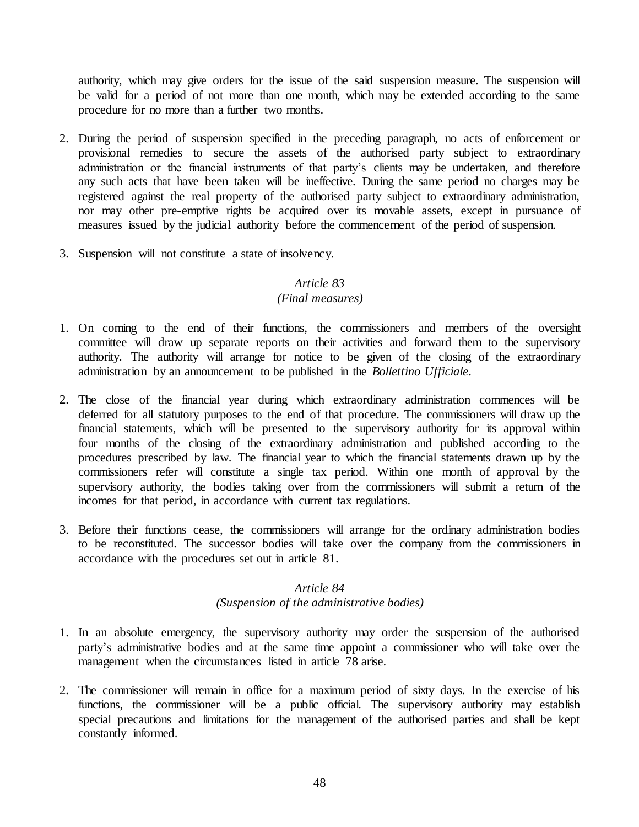authority, which may give orders for the issue of the said suspension measure. The suspension will be valid for a period of not more than one month, which may be extended according to the same procedure for no more than a further two months.

- 2. During the period of suspension specified in the preceding paragraph, no acts of enforcement or provisional remedies to secure the assets of the authorised party subject to extraordinary administration or the financial instruments of that party's clients may be undertaken, and therefore any such acts that have been taken will be ineffective. During the same period no charges may be registered against the real property of the authorised party subject to extraordinary administration, nor may other pre-emptive rights be acquired over its movable assets, except in pursuance of measures issued by the judicial authority before the commencement of the period of suspension.
- 3. Suspension will not constitute a state of insolvency.

#### *Article 83*

#### *(Final measures)*

- 1. On coming to the end of their functions, the commissioners and members of the oversight committee will draw up separate reports on their activities and forward them to the supervisory authority. The authority will arrange for notice to be given of the closing of the extraordinary administration by an announcement to be published in the *Bollettino Ufficiale*.
- 2. The close of the financial year during which extraordinary administration commences will be deferred for all statutory purposes to the end of that procedure. The commissioners will draw up the financial statements, which will be presented to the supervisory authority for its approval within four months of the closing of the extraordinary administration and published according to the procedures prescribed by law. The financial year to which the financial statements drawn up by the commissioners refer will constitute a single tax period. Within one month of approval by the supervisory authority, the bodies taking over from the commissioners will submit a return of the incomes for that period, in accordance with current tax regulations.
- 3. Before their functions cease, the commissioners will arrange for the ordinary administration bodies to be reconstituted. The successor bodies will take over the company from the commissioners in accordance with the procedures set out in article 81.

### *Article 84 (Suspension of the administrative bodies)*

- 1. In an absolute emergency, the supervisory authority may order the suspension of the authorised party's administrative bodies and at the same time appoint a commissioner who will take over the management when the circumstances listed in article 78 arise.
- 2. The commissioner will remain in office for a maximum period of sixty days. In the exercise of his functions, the commissioner will be a public official. The supervisory authority may establish special precautions and limitations for the management of the authorised parties and shall be kept constantly informed.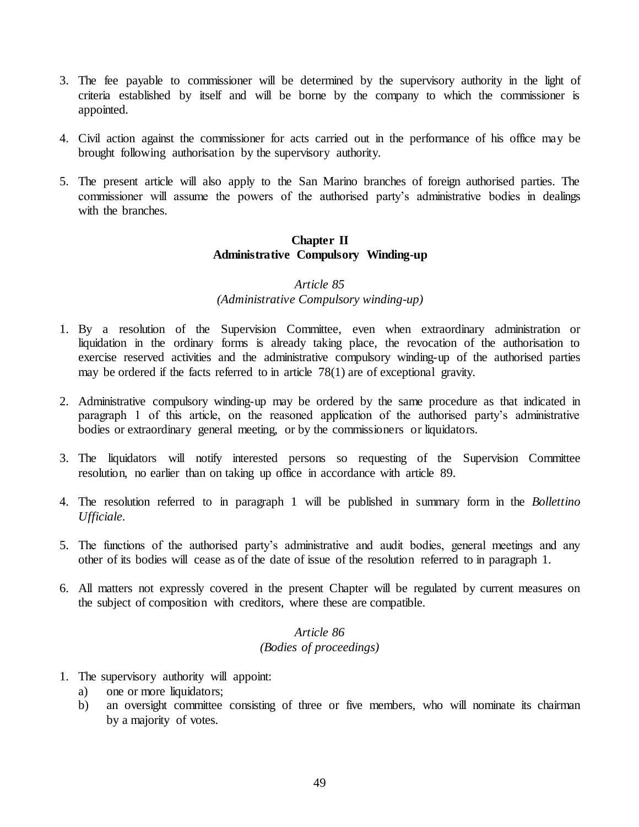- 3. The fee payable to commissioner will be determined by the supervisory authority in the light of criteria established by itself and will be borne by the company to which the commissioner is appointed.
- 4. Civil action against the commissioner for acts carried out in the performance of his office may be brought following authorisation by the supervisory authority.
- 5. The present article will also apply to the San Marino branches of foreign authorised parties. The commissioner will assume the powers of the authorised party's administrative bodies in dealings with the branches.

## **Chapter II Administrative Compulsory Winding-up**

#### *Article 85*

# *(Administrative Compulsory winding-up)*

- 1. By a resolution of the Supervision Committee, even when extraordinary administration or liquidation in the ordinary forms is already taking place, the revocation of the authorisation to exercise reserved activities and the administrative compulsory winding-up of the authorised parties may be ordered if the facts referred to in article 78(1) are of exceptional gravity.
- 2. Administrative compulsory winding-up may be ordered by the same procedure as that indicated in paragraph 1 of this article, on the reasoned application of the authorised party's administrative bodies or extraordinary general meeting, or by the commissioners or liquidators.
- 3. The liquidators will notify interested persons so requesting of the Supervision Committee resolution, no earlier than on taking up office in accordance with article 89.
- 4. The resolution referred to in paragraph 1 will be published in summary form in the *Bollettino Ufficiale*.
- 5. The functions of the authorised party's administrative and audit bodies, general meetings and any other of its bodies will cease as of the date of issue of the resolution referred to in paragraph 1.
- 6. All matters not expressly covered in the present Chapter will be regulated by current measures on the subject of composition with creditors, where these are compatible.

# *Article 86 (Bodies of proceedings)*

- 1. The supervisory authority will appoint:
	- a) one or more liquidators:
	- b) an oversight committee consisting of three or five members, who will nominate its chairman by a majority of votes.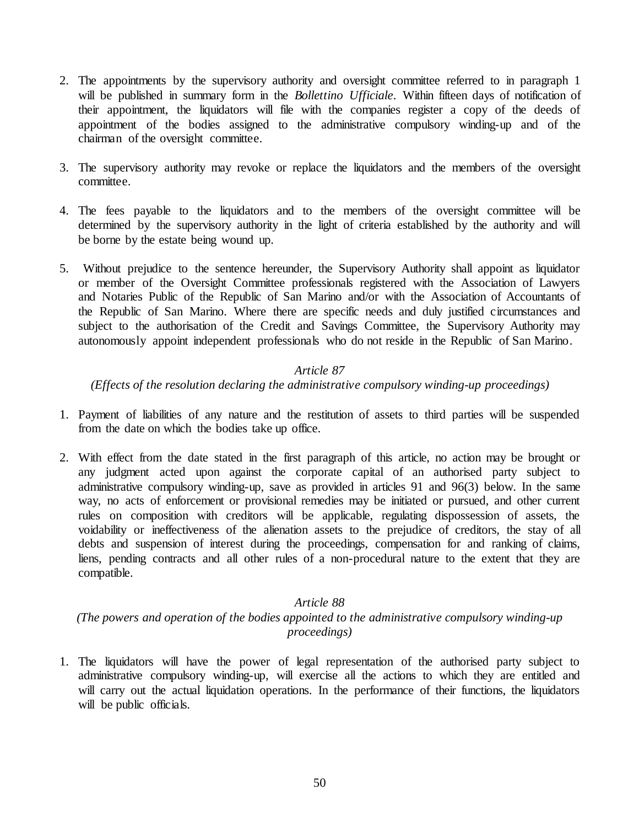- 2. The appointments by the supervisory authority and oversight committee referred to in paragraph 1 will be published in summary form in the *Bollettino Ufficiale*. Within fifteen days of notification of their appointment, the liquidators will file with the companies register a copy of the deeds of appointment of the bodies assigned to the administrative compulsory winding-up and of the chairman of the oversight committee.
- 3. The supervisory authority may revoke or replace the liquidators and the members of the oversight committee.
- 4. The fees payable to the liquidators and to the members of the oversight committee will be determined by the supervisory authority in the light of criteria established by the authority and will be borne by the estate being wound up.
- 5. Without prejudice to the sentence hereunder, the Supervisory Authority shall appoint as liquidator or member of the Oversight Committee professionals registered with the Association of Lawyers and Notaries Public of the Republic of San Marino and/or with the Association of Accountants of the Republic of San Marino. Where there are specific needs and duly justified circumstances and subject to the authorisation of the Credit and Savings Committee, the Supervisory Authority may autonomously appoint independent professionals who do not reside in the Republic of San Marino.

### *(Effects of the resolution declaring the administrative compulsory winding-up proceedings)*

- 1. Payment of liabilities of any nature and the restitution of assets to third parties will be suspended from the date on which the bodies take up office.
- 2. With effect from the date stated in the first paragraph of this article, no action may be brought or any judgment acted upon against the corporate capital of an authorised party subject to administrative compulsory winding-up, save as provided in articles 91 and 96(3) below. In the same way, no acts of enforcement or provisional remedies may be initiated or pursued, and other current rules on composition with creditors will be applicable, regulating dispossession of assets, the voidability or ineffectiveness of the alienation assets to the prejudice of creditors, the stay of all debts and suspension of interest during the proceedings, compensation for and ranking of claims, liens, pending contracts and all other rules of a non-procedural nature to the extent that they are compatible.

#### *Article 88*

# *(The powers and operation of the bodies appointed to the administrative compulsory winding-up proceedings)*

1. The liquidators will have the power of legal representation of the authorised party subject to administrative compulsory winding-up, will exercise all the actions to which they are entitled and will carry out the actual liquidation operations. In the performance of their functions, the liquidators will be public officials.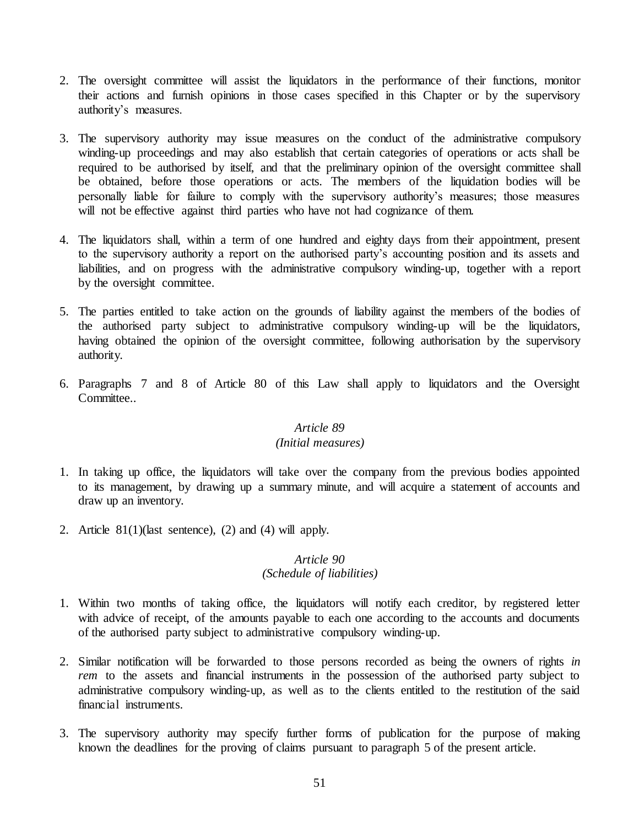- 2. The oversight committee will assist the liquidators in the performance of their functions, monitor their actions and furnish opinions in those cases specified in this Chapter or by the supervisory authority's measures.
- 3. The supervisory authority may issue measures on the conduct of the administrative compulsory winding-up proceedings and may also establish that certain categories of operations or acts shall be required to be authorised by itself, and that the preliminary opinion of the oversight committee shall be obtained, before those operations or acts. The members of the liquidation bodies will be personally liable for failure to comply with the supervisory authority's measures; those measures will not be effective against third parties who have not had cognizance of them.
- 4. The liquidators shall, within a term of one hundred and eighty days from their appointment, present to the supervisory authority a report on the authorised party's accounting position and its assets and liabilities, and on progress with the administrative compulsory winding-up, together with a report by the oversight committee.
- 5. The parties entitled to take action on the grounds of liability against the members of the bodies of the authorised party subject to administrative compulsory winding-up will be the liquidators, having obtained the opinion of the oversight committee, following authorisation by the supervisory authority.
- 6. Paragraphs 7 and 8 of Article 80 of this Law shall apply to liquidators and the Oversight Committee.

### *Article 89 (Initial measures)*

- 1. In taking up office, the liquidators will take over the company from the previous bodies appointed to its management, by drawing up a summary minute, and will acquire a statement of accounts and draw up an inventory.
- 2. Article  $81(1)($ last sentence), (2) and (4) will apply.

# *Article 90*

# *(Schedule of liabilities)*

- 1. Within two months of taking office, the liquidators will notify each creditor, by registered letter with advice of receipt, of the amounts payable to each one according to the accounts and documents of the authorised party subject to administrative compulsory winding-up.
- 2. Similar notification will be forwarded to those persons recorded as being the owners of rights *in rem* to the assets and financial instruments in the possession of the authorised party subject to administrative compulsory winding-up, as well as to the clients entitled to the restitution of the said financial instruments.
- 3. The supervisory authority may specify further forms of publication for the purpose of making known the deadlines for the proving of claims pursuant to paragraph 5 of the present article.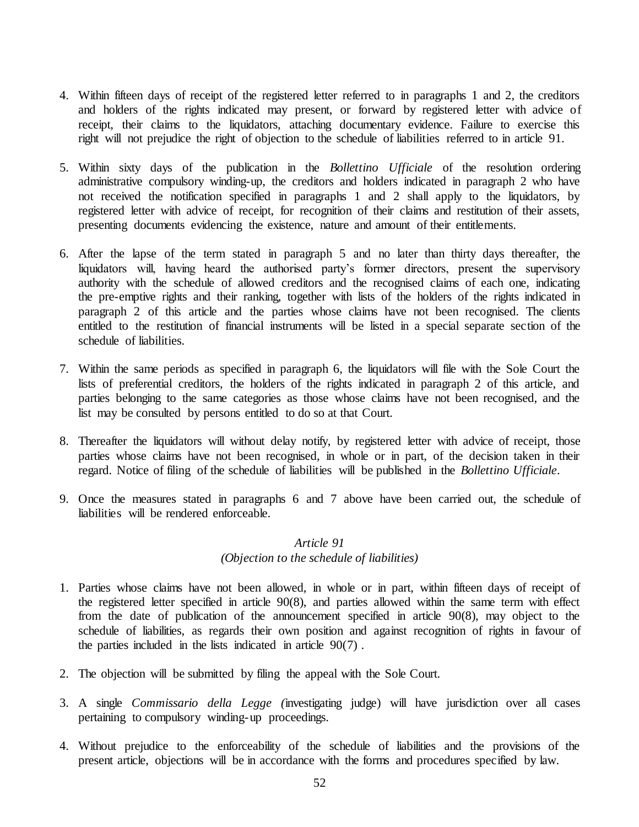- 4. Within fifteen days of receipt of the registered letter referred to in paragraphs 1 and 2, the creditors and holders of the rights indicated may present, or forward by registered letter with advice of receipt, their claims to the liquidators, attaching documentary evidence. Failure to exercise this right will not prejudice the right of objection to the schedule of liabilities referred to in article 91.
- 5. Within sixty days of the publication in the *Bollettino Ufficiale* of the resolution ordering administrative compulsory winding-up, the creditors and holders indicated in paragraph 2 who have not received the notification specified in paragraphs 1 and 2 shall apply to the liquidators, by registered letter with advice of receipt, for recognition of their claims and restitution of their assets, presenting documents evidencing the existence, nature and amount of their entitlements.
- 6. After the lapse of the term stated in paragraph 5 and no later than thirty days thereafter, the liquidators will, having heard the authorised party's former directors, present the supervisory authority with the schedule of allowed creditors and the recognised claims of each one, indicating the pre-emptive rights and their ranking, together with lists of the holders of the rights indicated in paragraph 2 of this article and the parties whose claims have not been recognised. The clients entitled to the restitution of financial instruments will be listed in a special separate section of the schedule of liabilities.
- 7. Within the same periods as specified in paragraph 6, the liquidators will file with the Sole Court the lists of preferential creditors, the holders of the rights indicated in paragraph 2 of this article, and parties belonging to the same categories as those whose claims have not been recognised, and the list may be consulted by persons entitled to do so at that Court.
- 8. Thereafter the liquidators will without delay notify, by registered letter with advice of receipt, those parties whose claims have not been recognised, in whole or in part, of the decision taken in their regard. Notice of filing of the schedule of liabilities will be published in the *Bollettino Ufficiale*.
- 9. Once the measures stated in paragraphs 6 and 7 above have been carried out, the schedule of liabilities will be rendered enforceable.

#### *(Objection to the schedule of liabilities)*

- 1. Parties whose claims have not been allowed, in whole or in part, within fifteen days of receipt of the registered letter specified in article 90(8), and parties allowed within the same term with effect from the date of publication of the announcement specified in article 90(8), may object to the schedule of liabilities, as regards their own position and against recognition of rights in favour of the parties included in the lists indicated in article 90(7) .
- 2. The objection will be submitted by filing the appeal with the Sole Court.
- 3. A single *Commissario della Legge (*investigating judge) will have jurisdiction over all cases pertaining to compulsory winding-up proceedings.
- 4. Without prejudice to the enforceability of the schedule of liabilities and the provisions of the present article, objections will be in accordance with the forms and procedures specified by law.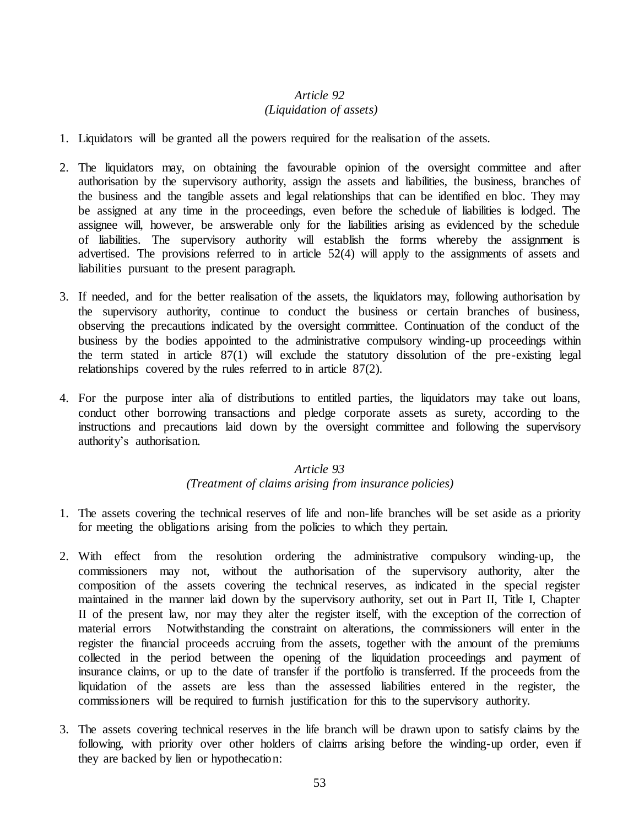# *Article 92 (Liquidation of assets)*

- 1. Liquidators will be granted all the powers required for the realisation of the assets.
- 2. The liquidators may, on obtaining the favourable opinion of the oversight committee and after authorisation by the supervisory authority, assign the assets and liabilities, the business, branches of the business and the tangible assets and legal relationships that can be identified en bloc. They may be assigned at any time in the proceedings, even before the schedule of liabilities is lodged. The assignee will, however, be answerable only for the liabilities arising as evidenced by the schedule of liabilities. The supervisory authority will establish the forms whereby the assignment is advertised. The provisions referred to in article 52(4) will apply to the assignments of assets and liabilities pursuant to the present paragraph.
- 3. If needed, and for the better realisation of the assets, the liquidators may, following authorisation by the supervisory authority, continue to conduct the business or certain branches of business, observing the precautions indicated by the oversight committee. Continuation of the conduct of the business by the bodies appointed to the administrative compulsory winding-up proceedings within the term stated in article 87(1) will exclude the statutory dissolution of the pre-existing legal relationships covered by the rules referred to in article 87(2).
- 4. For the purpose inter alia of distributions to entitled parties, the liquidators may take out loans, conduct other borrowing transactions and pledge corporate assets as surety, according to the instructions and precautions laid down by the oversight committee and following the supervisory authority's authorisation.

## *Article 93 (Treatment of claims arising from insurance policies)*

- 1. The assets covering the technical reserves of life and non-life branches will be set aside as a priority for meeting the obligations arising from the policies to which they pertain.
- 2. With effect from the resolution ordering the administrative compulsory winding-up, the commissioners may not, without the authorisation of the supervisory authority, alter the composition of the assets covering the technical reserves, as indicated in the special register maintained in the manner laid down by the supervisory authority, set out in Part II, Title I, Chapter II of the present law, nor may they alter the register itself, with the exception of the correction of material errors Notwithstanding the constraint on alterations, the commissioners will enter in the register the financial proceeds accruing from the assets, together with the amount of the premiums collected in the period between the opening of the liquidation proceedings and payment of insurance claims, or up to the date of transfer if the portfolio is transferred. If the proceeds from the liquidation of the assets are less than the assessed liabilities entered in the register, the commissioners will be required to furnish justification for this to the supervisory authority.
- 3. The assets covering technical reserves in the life branch will be drawn upon to satisfy claims by the following, with priority over other holders of claims arising before the winding-up order, even if they are backed by lien or hypothecation: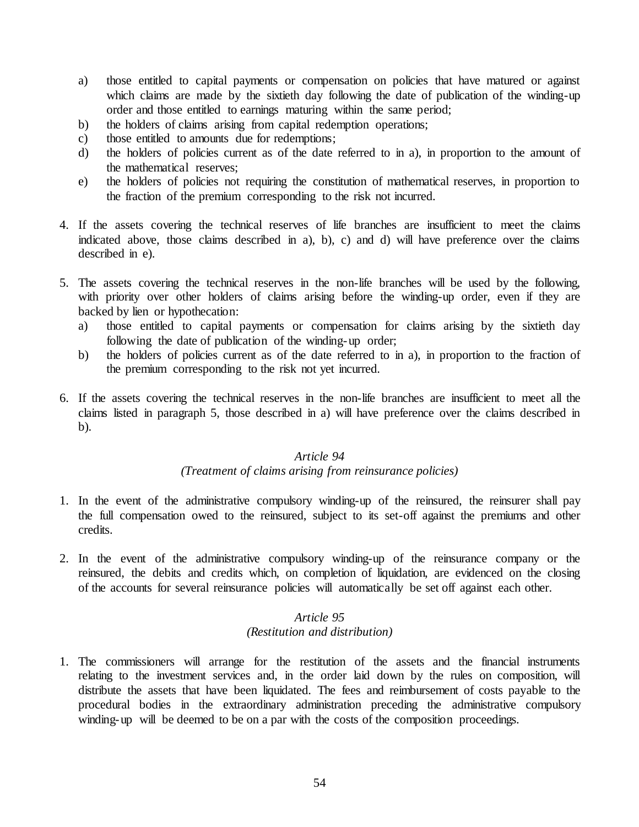- a) those entitled to capital payments or compensation on policies that have matured or against which claims are made by the sixtieth day following the date of publication of the winding-up order and those entitled to earnings maturing within the same period;
- b) the holders of claims arising from capital redemption operations;
- c) those entitled to amounts due for redemptions;
- d) the holders of policies current as of the date referred to in a), in proportion to the amount of the mathematical reserves;
- e) the holders of policies not requiring the constitution of mathematical reserves, in proportion to the fraction of the premium corresponding to the risk not incurred.
- 4. If the assets covering the technical reserves of life branches are insufficient to meet the claims indicated above, those claims described in a), b), c) and d) will have preference over the claims described in e).
- 5. The assets covering the technical reserves in the non-life branches will be used by the following, with priority over other holders of claims arising before the winding-up order, even if they are backed by lien or hypothecation:
	- a) those entitled to capital payments or compensation for claims arising by the sixtieth day following the date of publication of the winding-up order;
	- b) the holders of policies current as of the date referred to in a), in proportion to the fraction of the premium corresponding to the risk not yet incurred.
- 6. If the assets covering the technical reserves in the non-life branches are insufficient to meet all the claims listed in paragraph 5, those described in a) will have preference over the claims described in b).

## *(Treatment of claims arising from reinsurance policies)*

- 1. In the event of the administrative compulsory winding-up of the reinsured, the reinsurer shall pay the full compensation owed to the reinsured, subject to its set-off against the premiums and other credits.
- 2. In the event of the administrative compulsory winding-up of the reinsurance company or the reinsured, the debits and credits which, on completion of liquidation, are evidenced on the closing of the accounts for several reinsurance policies will automatically be set off against each other.

## *Article 95 (Restitution and distribution)*

1. The commissioners will arrange for the restitution of the assets and the financial instruments relating to the investment services and, in the order laid down by the rules on composition, will distribute the assets that have been liquidated. The fees and reimbursement of costs payable to the procedural bodies in the extraordinary administration preceding the administrative compulsory winding-up will be deemed to be on a par with the costs of the composition proceedings.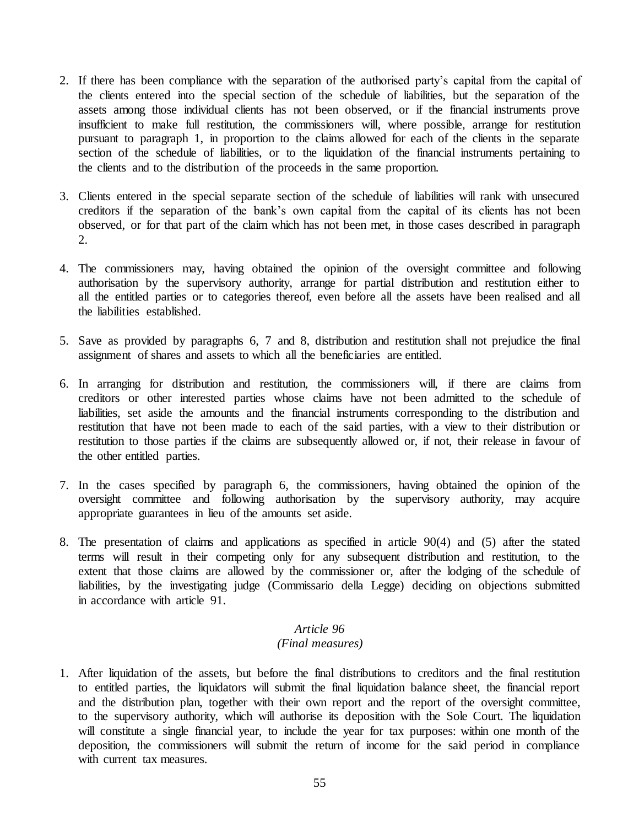- 2. If there has been compliance with the separation of the authorised party's capital from the capital of the clients entered into the special section of the schedule of liabilities, but the separation of the assets among those individual clients has not been observed, or if the financial instruments prove insufficient to make full restitution, the commissioners will, where possible, arrange for restitution pursuant to paragraph 1, in proportion to the claims allowed for each of the clients in the separate section of the schedule of liabilities, or to the liquidation of the financial instruments pertaining to the clients and to the distribution of the proceeds in the same proportion.
- 3. Clients entered in the special separate section of the schedule of liabilities will rank with unsecured creditors if the separation of the bank's own capital from the capital of its clients has not been observed, or for that part of the claim which has not been met, in those cases described in paragraph 2.
- 4. The commissioners may, having obtained the opinion of the oversight committee and following authorisation by the supervisory authority, arrange for partial distribution and restitution either to all the entitled parties or to categories thereof, even before all the assets have been realised and all the liabilities established.
- 5. Save as provided by paragraphs 6, 7 and 8, distribution and restitution shall not prejudice the final assignment of shares and assets to which all the beneficiaries are entitled.
- 6. In arranging for distribution and restitution, the commissioners will, if there are claims from creditors or other interested parties whose claims have not been admitted to the schedule of liabilities, set aside the amounts and the financial instruments corresponding to the distribution and restitution that have not been made to each of the said parties, with a view to their distribution or restitution to those parties if the claims are subsequently allowed or, if not, their release in favour of the other entitled parties.
- 7. In the cases specified by paragraph 6, the commissioners, having obtained the opinion of the oversight committee and following authorisation by the supervisory authority, may acquire appropriate guarantees in lieu of the amounts set aside.
- 8. The presentation of claims and applications as specified in article 90(4) and (5) after the stated terms will result in their competing only for any subsequent distribution and restitution, to the extent that those claims are allowed by the commissioner or, after the lodging of the schedule of liabilities, by the investigating judge (Commissario della Legge) deciding on objections submitted in accordance with article 91.

# *(Final measures)*

1. After liquidation of the assets, but before the final distributions to creditors and the final restitution to entitled parties, the liquidators will submit the final liquidation balance sheet, the financial report and the distribution plan, together with their own report and the report of the oversight committee, to the supervisory authority, which will authorise its deposition with the Sole Court. The liquidation will constitute a single financial year, to include the year for tax purposes: within one month of the deposition, the commissioners will submit the return of income for the said period in compliance with current tax measures.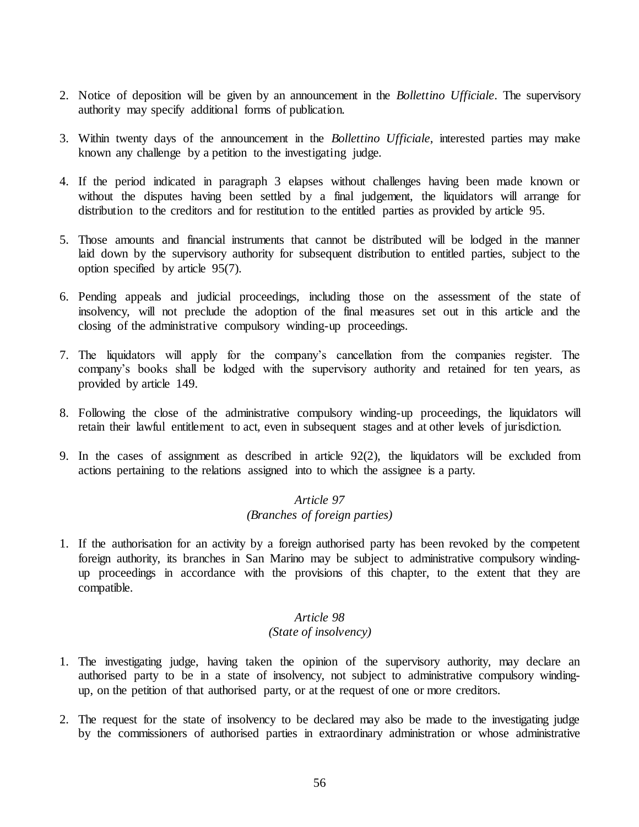- 2. Notice of deposition will be given by an announcement in the *Bollettino Ufficiale*. The supervisory authority may specify additional forms of publication.
- 3. Within twenty days of the announcement in the *Bollettino Ufficiale*, interested parties may make known any challenge by a petition to the investigating judge.
- 4. If the period indicated in paragraph 3 elapses without challenges having been made known or without the disputes having been settled by a final judgement, the liquidators will arrange for distribution to the creditors and for restitution to the entitled parties as provided by article 95.
- 5. Those amounts and financial instruments that cannot be distributed will be lodged in the manner laid down by the supervisory authority for subsequent distribution to entitled parties, subject to the option specified by article 95(7).
- 6. Pending appeals and judicial proceedings, including those on the assessment of the state of insolvency, will not preclude the adoption of the final measures set out in this article and the closing of the administrative compulsory winding-up proceedings.
- 7. The liquidators will apply for the company's cancellation from the companies register. The company's books shall be lodged with the supervisory authority and retained for ten years, as provided by article 149.
- 8. Following the close of the administrative compulsory winding-up proceedings, the liquidators will retain their lawful entitlement to act, even in subsequent stages and at other levels of jurisdiction.
- 9. In the cases of assignment as described in article 92(2), the liquidators will be excluded from actions pertaining to the relations assigned into to which the assignee is a party.

# *Article 97 (Branches of foreign parties)*

1. If the authorisation for an activity by a foreign authorised party has been revoked by the competent foreign authority, its branches in San Marino may be subject to administrative compulsory windingup proceedings in accordance with the provisions of this chapter, to the extent that they are compatible.

## *Article 98 (State of insolvency)*

- 1. The investigating judge, having taken the opinion of the supervisory authority, may declare an authorised party to be in a state of insolvency, not subject to administrative compulsory windingup, on the petition of that authorised party, or at the request of one or more creditors.
- 2. The request for the state of insolvency to be declared may also be made to the investigating judge by the commissioners of authorised parties in extraordinary administration or whose administrative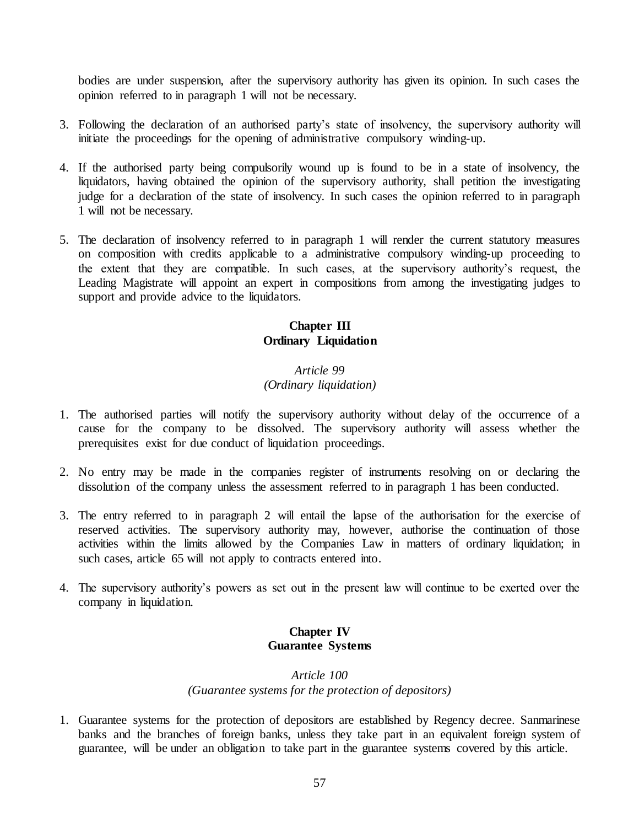bodies are under suspension, after the supervisory authority has given its opinion. In such cases the opinion referred to in paragraph 1 will not be necessary.

- 3. Following the declaration of an authorised party's state of insolvency, the supervisory authority will initiate the proceedings for the opening of administrative compulsory winding-up.
- 4. If the authorised party being compulsorily wound up is found to be in a state of insolvency, the liquidators, having obtained the opinion of the supervisory authority, shall petition the investigating judge for a declaration of the state of insolvency. In such cases the opinion referred to in paragraph 1 will not be necessary.
- 5. The declaration of insolvency referred to in paragraph 1 will render the current statutory measures on composition with credits applicable to a administrative compulsory winding-up proceeding to the extent that they are compatible. In such cases, at the supervisory authority's request, the Leading Magistrate will appoint an expert in compositions from among the investigating judges to support and provide advice to the liquidators.

# **Chapter III Ordinary Liquidation**

# *Article 99 (Ordinary liquidation)*

- 1. The authorised parties will notify the supervisory authority without delay of the occurrence of a cause for the company to be dissolved. The supervisory authority will assess whether the prerequisites exist for due conduct of liquidation proceedings.
- 2. No entry may be made in the companies register of instruments resolving on or declaring the dissolution of the company unless the assessment referred to in paragraph 1 has been conducted.
- 3. The entry referred to in paragraph 2 will entail the lapse of the authorisation for the exercise of reserved activities. The supervisory authority may, however, authorise the continuation of those activities within the limits allowed by the Companies Law in matters of ordinary liquidation; in such cases, article 65 will not apply to contracts entered into.
- 4. The supervisory authority's powers as set out in the present law will continue to be exerted over the company in liquidation.

## **Chapter IV Guarantee Systems**

# *Article 100 (Guarantee systems for the protection of depositors)*

1. Guarantee systems for the protection of depositors are established by Regency decree. Sanmarinese banks and the branches of foreign banks, unless they take part in an equivalent foreign system of guarantee, will be under an obligation to take part in the guarantee systems covered by this article.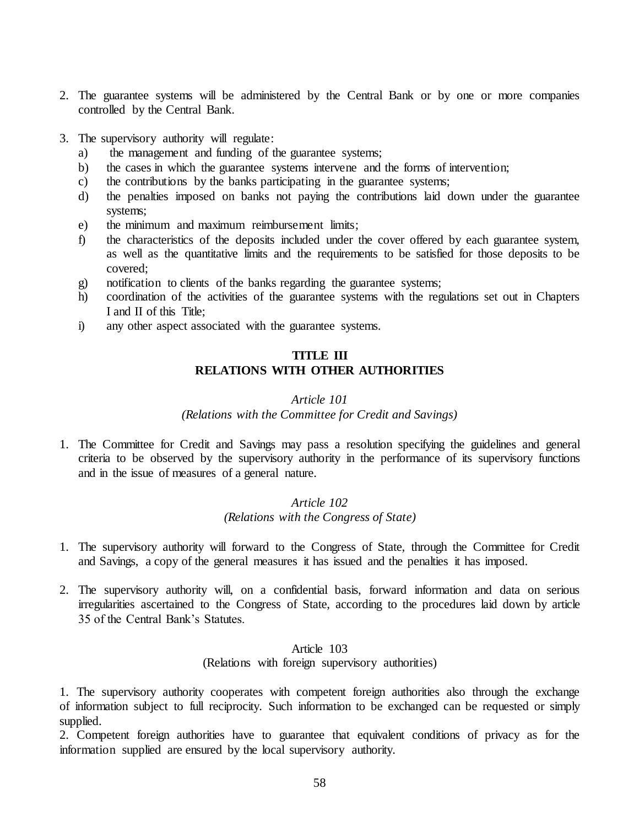- 2. The guarantee systems will be administered by the Central Bank or by one or more companies controlled by the Central Bank.
- 3. The supervisory authority will regulate:
	- a) the management and funding of the guarantee systems;
	- b) the cases in which the guarantee systems intervene and the forms of intervention;
	- c) the contributions by the banks participating in the guarantee systems;
	- d) the penalties imposed on banks not paying the contributions laid down under the guarantee systems;
	- e) the minimum and maximum reimbursement limits;
	- f) the characteristics of the deposits included under the cover offered by each guarantee system, as well as the quantitative limits and the requirements to be satisfied for those deposits to be covered;
	- g) notification to clients of the banks regarding the guarantee systems;
	- h) coordination of the activities of the guarantee systems with the regulations set out in Chapters I and II of this Title;
	- i) any other aspect associated with the guarantee systems.

# **TITLE III RELATIONS WITH OTHER AUTHORITIES**

#### *Article 101*

#### *(Relations with the Committee for Credit and Savings)*

1. The Committee for Credit and Savings may pass a resolution specifying the guidelines and general criteria to be observed by the supervisory authority in the performance of its supervisory functions and in the issue of measures of a general nature.

## *Article 102 (Relations with the Congress of State)*

- 1. The supervisory authority will forward to the Congress of State, through the Committee for Credit and Savings, a copy of the general measures it has issued and the penalties it has imposed.
- 2. The supervisory authority will, on a confidential basis, forward information and data on serious irregularities ascertained to the Congress of State, according to the procedures laid down by article 35 of the Central Bank's Statutes.

#### Article 103

(Relations with foreign supervisory authorities)

1. The supervisory authority cooperates with competent foreign authorities also through the exchange of information subject to full reciprocity. Such information to be exchanged can be requested or simply supplied.

2. Competent foreign authorities have to guarantee that equivalent conditions of privacy as for the information supplied are ensured by the local supervisory authority.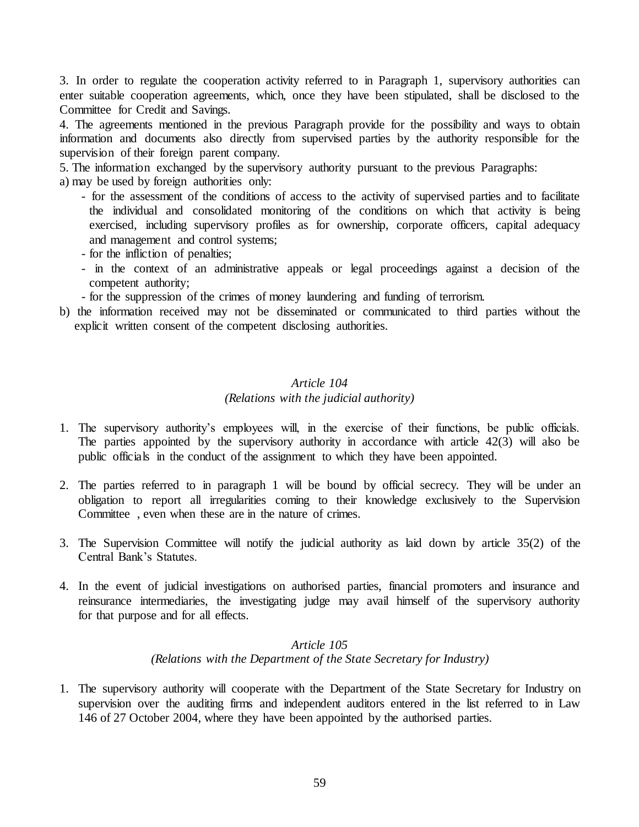3. In order to regulate the cooperation activity referred to in Paragraph 1, supervisory authorities can enter suitable cooperation agreements, which, once they have been stipulated, shall be disclosed to the Committee for Credit and Savings.

4. The agreements mentioned in the previous Paragraph provide for the possibility and ways to obtain information and documents also directly from supervised parties by the authority responsible for the supervision of their foreign parent company.

5. The information exchanged by the supervisory authority pursuant to the previous Paragraphs:

a) may be used by foreign authorities only:

- for the assessment of the conditions of access to the activity of supervised parties and to facilitate the individual and consolidated monitoring of the conditions on which that activity is being exercised, including supervisory profiles as for ownership, corporate officers, capital adequacy and management and control systems;
- for the infliction of penalties;
- in the context of an administrative appeals or legal proceedings against a decision of the competent authority;
- for the suppression of the crimes of money laundering and funding of terrorism.
- b) the information received may not be disseminated or communicated to third parties without the explicit written consent of the competent disclosing authorities.

# *Article 104 (Relations with the judicial authority)*

- 1. The supervisory authority's employees will, in the exercise of their functions, be public officials. The parties appointed by the supervisory authority in accordance with article 42(3) will also be public officials in the conduct of the assignment to which they have been appointed.
- 2. The parties referred to in paragraph 1 will be bound by official secrecy. They will be under an obligation to report all irregularities coming to their knowledge exclusively to the Supervision Committee , even when these are in the nature of crimes.
- 3. The Supervision Committee will notify the judicial authority as laid down by article 35(2) of the Central Bank's Statutes.
- 4. In the event of judicial investigations on authorised parties, financial promoters and insurance and reinsurance intermediaries, the investigating judge may avail himself of the supervisory authority for that purpose and for all effects.

## *Article 105 (Relations with the Department of the State Secretary for Industry)*

1. The supervisory authority will cooperate with the Department of the State Secretary for Industry on supervision over the auditing firms and independent auditors entered in the list referred to in Law 146 of 27 October 2004, where they have been appointed by the authorised parties.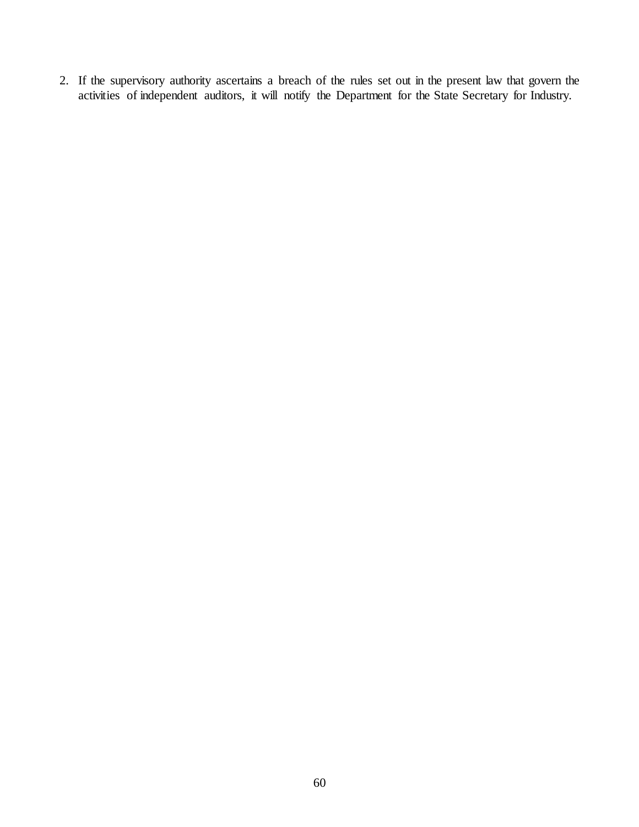2. If the supervisory authority ascertains a breach of the rules set out in the present law that govern the activities of independent auditors, it will notify the Department for the State Secretary for Industry.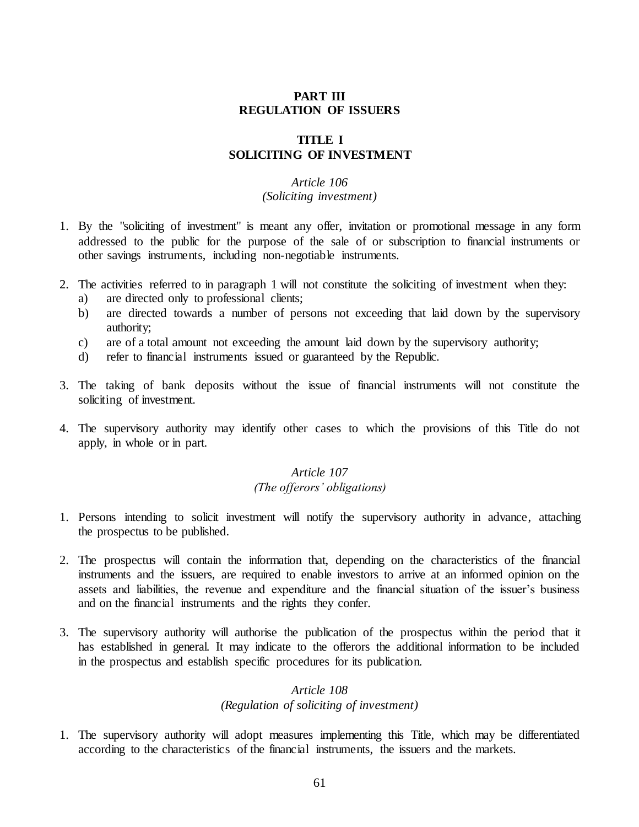## **PART III REGULATION OF ISSUERS**

## **TITLE I SOLICITING OF INVESTMENT**

# *Article 106*

### *(Soliciting investment)*

- 1. By the "soliciting of investment" is meant any offer, invitation or promotional message in any form addressed to the public for the purpose of the sale of or subscription to financial instruments or other savings instruments, including non-negotiable instruments.
- 2. The activities referred to in paragraph 1 will not constitute the soliciting of investment when they:
	- a) are directed only to professional clients;
	- b) are directed towards a number of persons not exceeding that laid down by the supervisory authority;
	- c) are of a total amount not exceeding the amount laid down by the supervisory authority;
	- d) refer to financial instruments issued or guaranteed by the Republic.
- 3. The taking of bank deposits without the issue of financial instruments will not constitute the soliciting of investment.
- 4. The supervisory authority may identify other cases to which the provisions of this Title do not apply, in whole or in part.

# *Article 107*

## *(The offerors' obligations)*

- 1. Persons intending to solicit investment will notify the supervisory authority in advance, attaching the prospectus to be published.
- 2. The prospectus will contain the information that, depending on the characteristics of the financial instruments and the issuers, are required to enable investors to arrive at an informed opinion on the assets and liabilities, the revenue and expenditure and the financial situation of the issuer's business and on the financial instruments and the rights they confer.
- 3. The supervisory authority will authorise the publication of the prospectus within the period that it has established in general. It may indicate to the offerors the additional information to be included in the prospectus and establish specific procedures for its publication.

# *Article 108*

### *(Regulation of soliciting of investment)*

1. The supervisory authority will adopt measures implementing this Title, which may be differentiated according to the characteristics of the financial instruments, the issuers and the markets.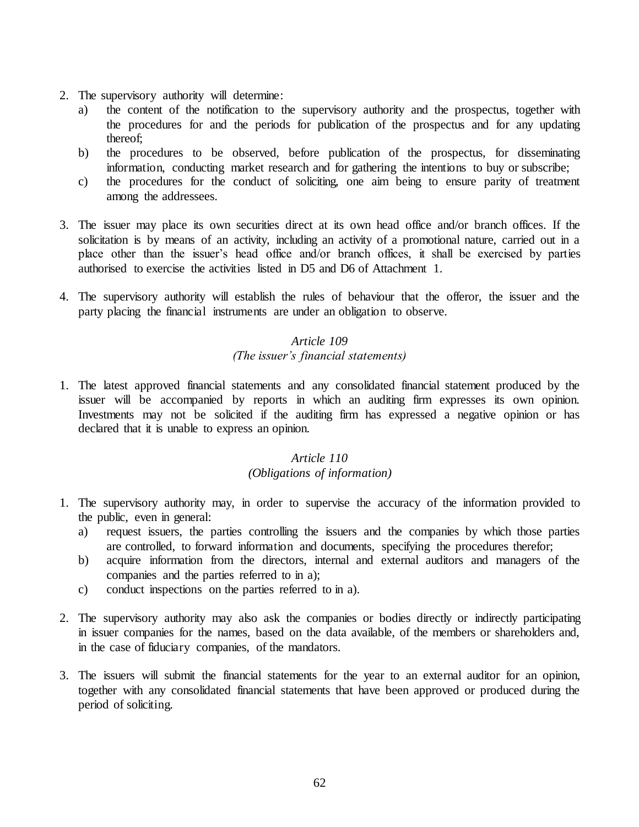- 2. The supervisory authority will determine:
	- a) the content of the notification to the supervisory authority and the prospectus, together with the procedures for and the periods for publication of the prospectus and for any updating thereof;
	- b) the procedures to be observed, before publication of the prospectus, for disseminating information, conducting market research and for gathering the intentions to buy or subscribe;
	- c) the procedures for the conduct of soliciting, one aim being to ensure parity of treatment among the addressees.
- 3. The issuer may place its own securities direct at its own head office and/or branch offices. If the solicitation is by means of an activity, including an activity of a promotional nature, carried out in a place other than the issuer's head office and/or branch offices, it shall be exercised by parties authorised to exercise the activities listed in D5 and D6 of Attachment 1.
- 4. The supervisory authority will establish the rules of behaviour that the offeror, the issuer and the party placing the financial instruments are under an obligation to observe.

# *Article 109 (The issuer's financial statements)*

1. The latest approved financial statements and any consolidated financial statement produced by the issuer will be accompanied by reports in which an auditing firm expresses its own opinion. Investments may not be solicited if the auditing firm has expressed a negative opinion or has declared that it is unable to express an opinion.

# *Article 110*

# *(Obligations of information)*

- 1. The supervisory authority may, in order to supervise the accuracy of the information provided to the public, even in general:
	- a) request issuers, the parties controlling the issuers and the companies by which those parties are controlled, to forward information and documents, specifying the procedures therefor;
	- b) acquire information from the directors, internal and external auditors and managers of the companies and the parties referred to in a);
	- c) conduct inspections on the parties referred to in a).
- 2. The supervisory authority may also ask the companies or bodies directly or indirectly participating in issuer companies for the names, based on the data available, of the members or shareholders and, in the case of fiduciary companies, of the mandators.
- 3. The issuers will submit the financial statements for the year to an external auditor for an opinion, together with any consolidated financial statements that have been approved or produced during the period of soliciting.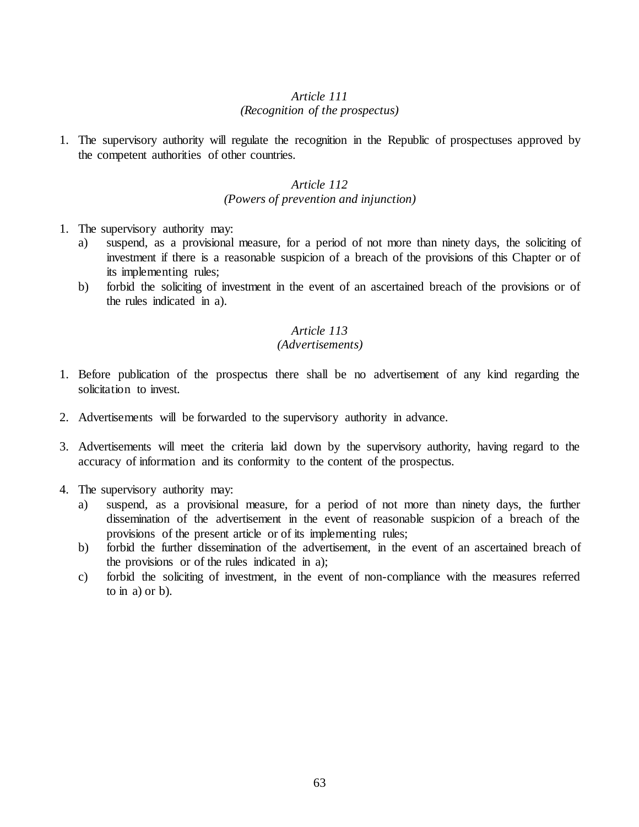# *Article 111 (Recognition of the prospectus)*

1. The supervisory authority will regulate the recognition in the Republic of prospectuses approved by the competent authorities of other countries.

## *Article 112 (Powers of prevention and injunction)*

- 1. The supervisory authority may:
	- a) suspend, as a provisional measure, for a period of not more than ninety days, the soliciting of investment if there is a reasonable suspicion of a breach of the provisions of this Chapter or of its implementing rules;
	- b) forbid the soliciting of investment in the event of an ascertained breach of the provisions or of the rules indicated in a).

### *Article 113*

## *(Advertisements)*

- 1. Before publication of the prospectus there shall be no advertisement of any kind regarding the solicitation to invest.
- 2. Advertisements will be forwarded to the supervisory authority in advance.
- 3. Advertisements will meet the criteria laid down by the supervisory authority, having regard to the accuracy of information and its conformity to the content of the prospectus.
- 4. The supervisory authority may:
	- a) suspend, as a provisional measure, for a period of not more than ninety days, the further dissemination of the advertisement in the event of reasonable suspicion of a breach of the provisions of the present article or of its implementing rules;
	- b) forbid the further dissemination of the advertisement, in the event of an ascertained breach of the provisions or of the rules indicated in a);
	- c) forbid the soliciting of investment, in the event of non-compliance with the measures referred to in a) or b).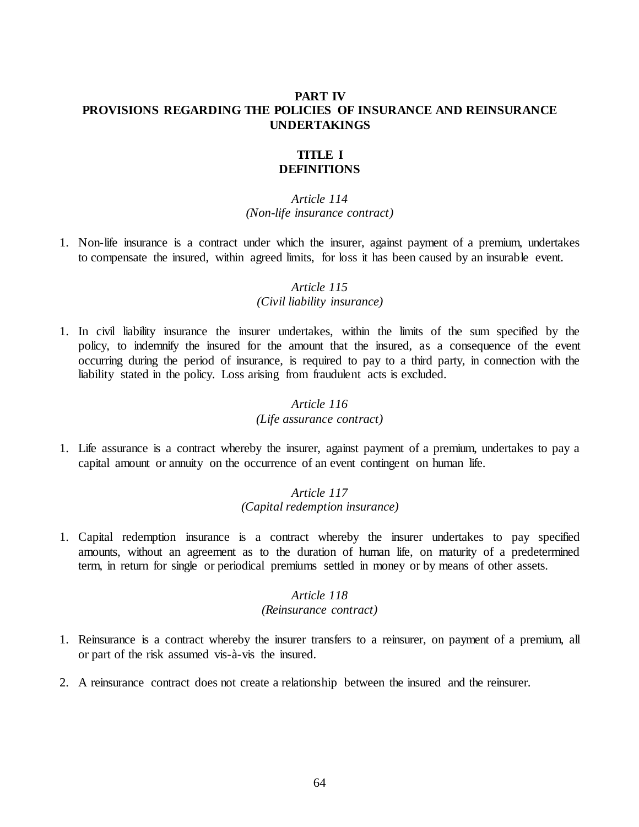## **PART IV PROVISIONS REGARDING THE POLICIES OF INSURANCE AND REINSURANCE UNDERTAKINGS**

#### **TITLE I DEFINITIONS**

#### *Article 114 (Non-life insurance contract)*

1. Non-life insurance is a contract under which the insurer, against payment of a premium, undertakes to compensate the insured, within agreed limits, for loss it has been caused by an insurable event.

# *Article 115*

## *(Civil liability insurance)*

1. In civil liability insurance the insurer undertakes, within the limits of the sum specified by the policy, to indemnify the insured for the amount that the insured, as a consequence of the event occurring during the period of insurance, is required to pay to a third party, in connection with the liability stated in the policy. Loss arising from fraudulent acts is excluded.

## *Article 116*

### *(Life assurance contract)*

1. Life assurance is a contract whereby the insurer, against payment of a premium, undertakes to pay a capital amount or annuity on the occurrence of an event contingent on human life.

## *Article 117 (Capital redemption insurance)*

1. Capital redemption insurance is a contract whereby the insurer undertakes to pay specified amounts, without an agreement as to the duration of human life, on maturity of a predetermined term, in return for single or periodical premiums settled in money or by means of other assets.

# *Article 118*

### *(Reinsurance contract)*

- 1. Reinsurance is a contract whereby the insurer transfers to a reinsurer, on payment of a premium, all or part of the risk assumed vis-à-vis the insured.
- 2. A reinsurance contract does not create a relationship between the insured and the reinsurer.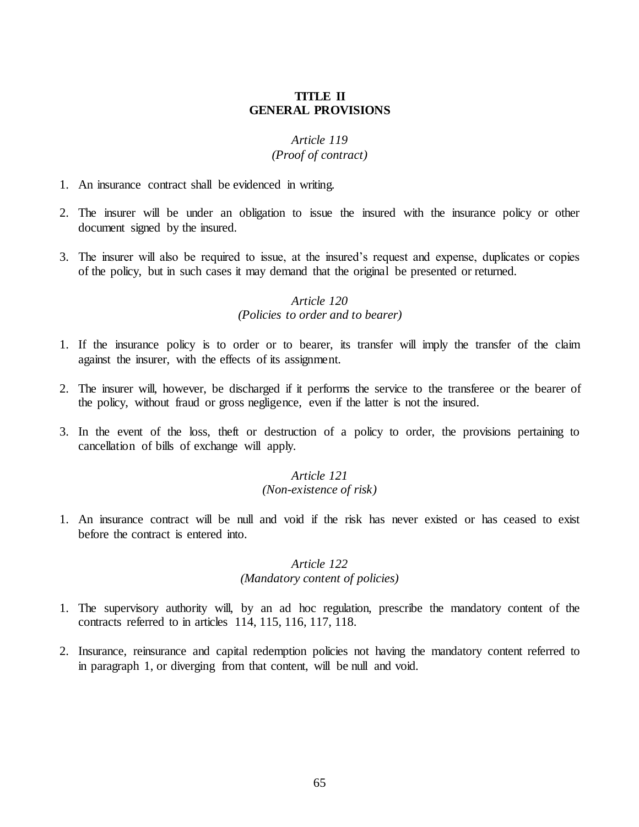### **TITLE II GENERAL PROVISIONS**

# *Article 119*

## *(Proof of contract)*

- 1. An insurance contract shall be evidenced in writing.
- 2. The insurer will be under an obligation to issue the insured with the insurance policy or other document signed by the insured.
- 3. The insurer will also be required to issue, at the insured's request and expense, duplicates or copies of the policy, but in such cases it may demand that the original be presented or returned.

#### *Article 120 (Policies to order and to bearer)*

- 1. If the insurance policy is to order or to bearer, its transfer will imply the transfer of the claim against the insurer, with the effects of its assignment.
- 2. The insurer will, however, be discharged if it performs the service to the transferee or the bearer of the policy, without fraud or gross negligence, even if the latter is not the insured.
- 3. In the event of the loss, theft or destruction of a policy to order, the provisions pertaining to cancellation of bills of exchange will apply.

### *Article 121*

## *(Non-existence of risk)*

1. An insurance contract will be null and void if the risk has never existed or has ceased to exist before the contract is entered into.

#### *Article 122 (Mandatory content of policies)*

- 1. The supervisory authority will, by an ad hoc regulation, prescribe the mandatory content of the contracts referred to in articles 114, 115, 116, 117, 118.
- 2. Insurance, reinsurance and capital redemption policies not having the mandatory content referred to in paragraph 1, or diverging from that content, will be null and void.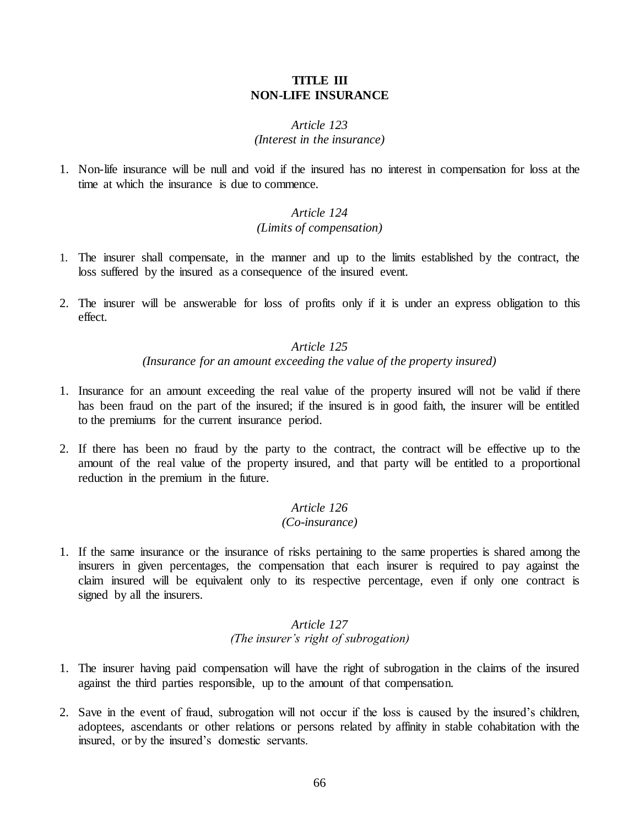### **TITLE III NON-LIFE INSURANCE**

## *Article 123 (Interest in the insurance)*

1. Non-life insurance will be null and void if the insured has no interest in compensation for loss at the time at which the insurance is due to commence.

## *Article 124 (Limits of compensation)*

- 1. The insurer shall compensate, in the manner and up to the limits established by the contract, the loss suffered by the insured as a consequence of the insured event.
- 2. The insurer will be answerable for loss of profits only if it is under an express obligation to this effect.

# *Article 125 (Insurance for an amount exceeding the value of the property insured)*

- 1. Insurance for an amount exceeding the real value of the property insured will not be valid if there has been fraud on the part of the insured; if the insured is in good faith, the insurer will be entitled to the premiums for the current insurance period.
- 2. If there has been no fraud by the party to the contract, the contract will be effective up to the amount of the real value of the property insured, and that party will be entitled to a proportional reduction in the premium in the future.

#### *Article 126 (Co-insurance)*

1. If the same insurance or the insurance of risks pertaining to the same properties is shared among the insurers in given percentages, the compensation that each insurer is required to pay against the claim insured will be equivalent only to its respective percentage, even if only one contract is signed by all the insurers.

## *Article 127 (The insurer's right of subrogation)*

- 1. The insurer having paid compensation will have the right of subrogation in the claims of the insured against the third parties responsible, up to the amount of that compensation.
- 2. Save in the event of fraud, subrogation will not occur if the loss is caused by the insured's children, adoptees, ascendants or other relations or persons related by affinity in stable cohabitation with the insured, or by the insured's domestic servants.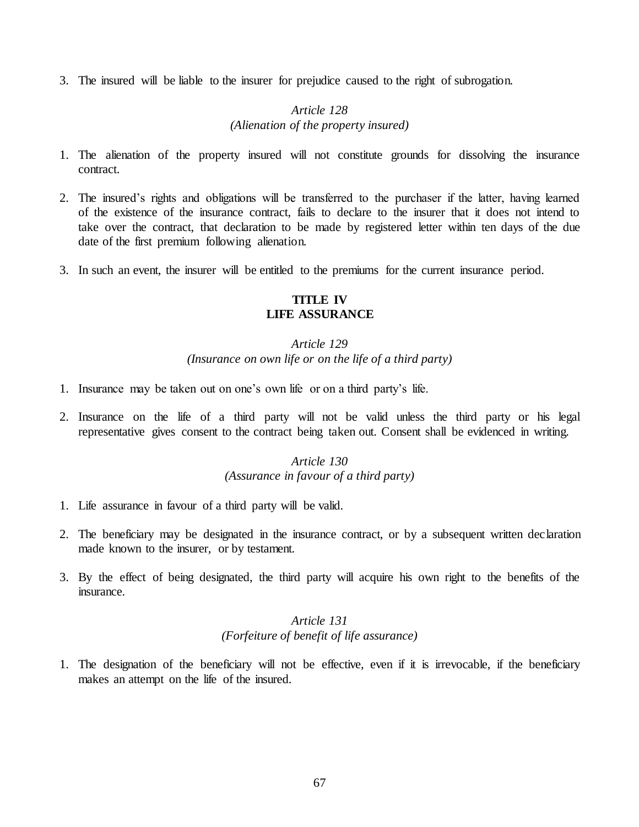3. The insured will be liable to the insurer for prejudice caused to the right of subrogation.

# *Article 128 (Alienation of the property insured)*

- 1. The alienation of the property insured will not constitute grounds for dissolving the insurance contract.
- 2. The insured's rights and obligations will be transferred to the purchaser if the latter, having learned of the existence of the insurance contract, fails to declare to the insurer that it does not intend to take over the contract, that declaration to be made by registered letter within ten days of the due date of the first premium following alienation.
- 3. In such an event, the insurer will be entitled to the premiums for the current insurance period.

#### **TITLE IV LIFE ASSURANCE**

# *Article 129 (Insurance on own life or on the life of a third party)*

- 1. Insurance may be taken out on one's own life or on a third party's life.
- 2. Insurance on the life of a third party will not be valid unless the third party or his legal representative gives consent to the contract being taken out. Consent shall be evidenced in writing.

## *Article 130 (Assurance in favour of a third party)*

- 1. Life assurance in favour of a third party will be valid.
- 2. The beneficiary may be designated in the insurance contract, or by a subsequent written declaration made known to the insurer, or by testament.
- 3. By the effect of being designated, the third party will acquire his own right to the benefits of the insurance.

# *Article 131 (Forfeiture of benefit of life assurance)*

1. The designation of the beneficiary will not be effective, even if it is irrevocable, if the beneficiary makes an attempt on the life of the insured.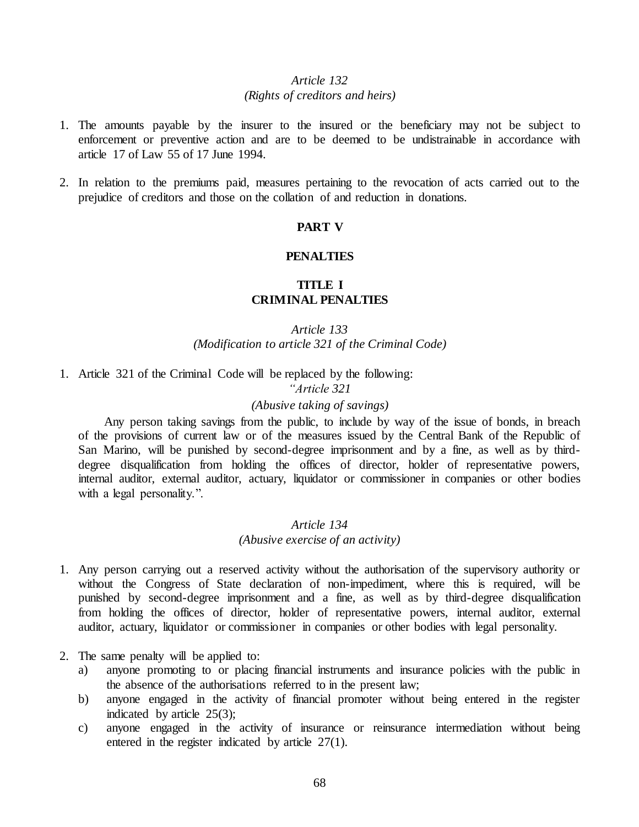#### *Article 132 (Rights of creditors and heirs)*

- 1. The amounts payable by the insurer to the insured or the beneficiary may not be subject to enforcement or preventive action and are to be deemed to be undistrainable in accordance with article 17 of Law 55 of 17 June 1994.
- 2. In relation to the premiums paid, measures pertaining to the revocation of acts carried out to the prejudice of creditors and those on the collation of and reduction in donations.

### **PART V**

#### **PENALTIES**

# **TITLE I CRIMINAL PENALTIES**

## *Article 133 (Modification to article 321 of the Criminal Code)*

1. Article 321 of the Criminal Code will be replaced by the following:

*"Article 321*

#### *(Abusive taking of savings)*

Any person taking savings from the public, to include by way of the issue of bonds, in breach of the provisions of current law or of the measures issued by the Central Bank of the Republic of San Marino, will be punished by second-degree imprisonment and by a fine, as well as by thirddegree disqualification from holding the offices of director, holder of representative powers, internal auditor, external auditor, actuary, liquidator or commissioner in companies or other bodies with a legal personality.".

### *Article 134*

#### *(Abusive exercise of an activity)*

- 1. Any person carrying out a reserved activity without the authorisation of the supervisory authority or without the Congress of State declaration of non-impediment, where this is required, will be punished by second-degree imprisonment and a fine, as well as by third-degree disqualification from holding the offices of director, holder of representative powers, internal auditor, external auditor, actuary, liquidator or commissioner in companies or other bodies with legal personality.
- 2. The same penalty will be applied to:
	- a) anyone promoting to or placing financial instruments and insurance policies with the public in the absence of the authorisations referred to in the present law;
	- b) anyone engaged in the activity of financial promoter without being entered in the register indicated by article  $25(3)$ ;
	- c) anyone engaged in the activity of insurance or reinsurance intermediation without being entered in the register indicated by article 27(1).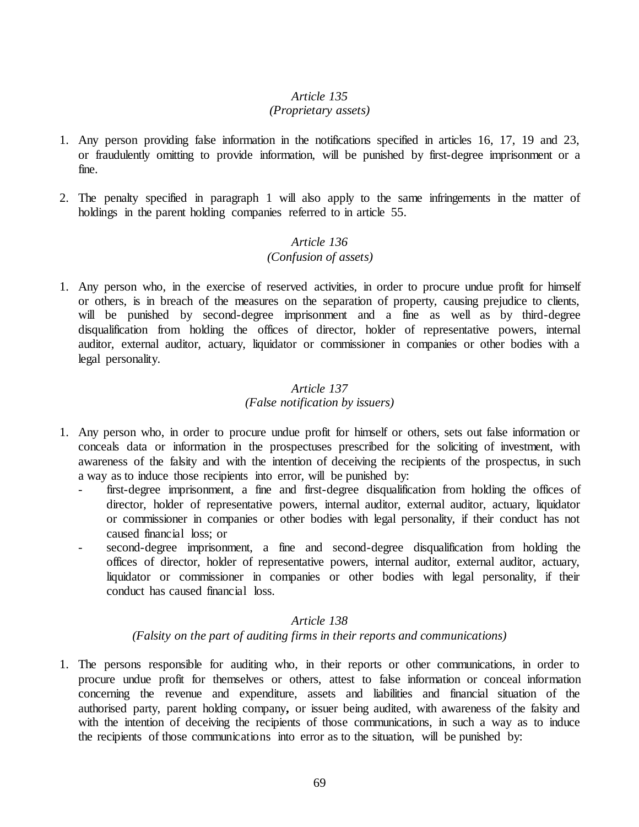#### *(Proprietary assets)*

- 1. Any person providing false information in the notifications specified in articles 16, 17, 19 and 23, or fraudulently omitting to provide information, will be punished by first-degree imprisonment or a fine.
- 2. The penalty specified in paragraph 1 will also apply to the same infringements in the matter of holdings in the parent holding companies referred to in article 55.

## *Article 136 (Confusion of assets)*

1. Any person who, in the exercise of reserved activities, in order to procure undue profit for himself or others, is in breach of the measures on the separation of property, causing prejudice to clients, will be punished by second-degree imprisonment and a fine as well as by third-degree disqualification from holding the offices of director, holder of representative powers, internal auditor, external auditor, actuary, liquidator or commissioner in companies or other bodies with a legal personality.

#### *Article 137 (False notification by issuers)*

- 1. Any person who, in order to procure undue profit for himself or others, sets out false information or conceals data or information in the prospectuses prescribed for the soliciting of investment, with awareness of the falsity and with the intention of deceiving the recipients of the prospectus, in such a way as to induce those recipients into error, will be punished by:
	- first-degree imprisonment, a fine and first-degree disqualification from holding the offices of director, holder of representative powers, internal auditor, external auditor, actuary, liquidator or commissioner in companies or other bodies with legal personality, if their conduct has not caused financial loss; or
	- second-degree imprisonment, a fine and second-degree disqualification from holding the offices of director, holder of representative powers, internal auditor, external auditor, actuary, liquidator or commissioner in companies or other bodies with legal personality, if their conduct has caused financial loss.

### *Article 138*

*(Falsity on the part of auditing firms in their reports and communications)*

1. The persons responsible for auditing who, in their reports or other communications, in order to procure undue profit for themselves or others, attest to false information or conceal information concerning the revenue and expenditure, assets and liabilities and financial situation of the authorised party, parent holding company**,** or issuer being audited, with awareness of the falsity and with the intention of deceiving the recipients of those communications, in such a way as to induce the recipients of those communications into error as to the situation, will be punished by: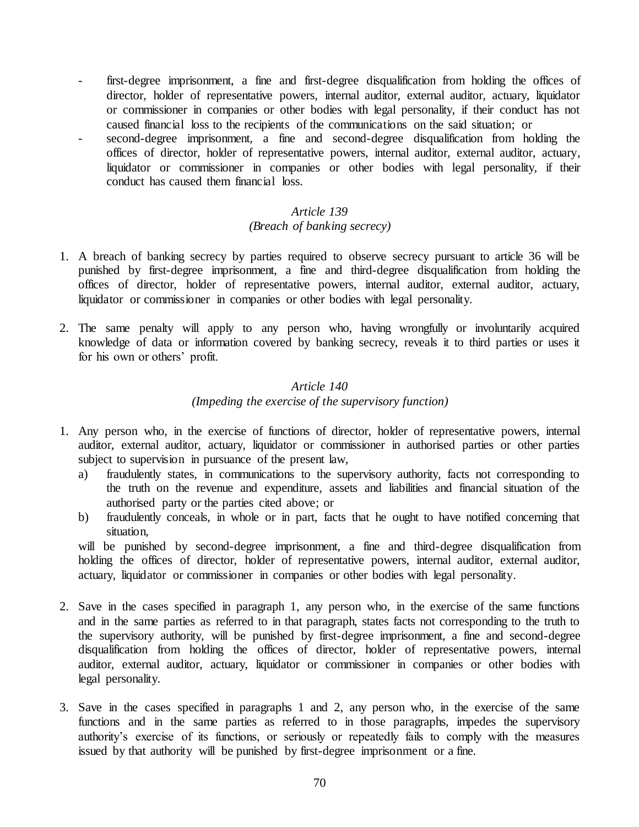- first-degree imprisonment, a fine and first-degree disqualification from holding the offices of director, holder of representative powers, internal auditor, external auditor, actuary, liquidator or commissioner in companies or other bodies with legal personality, if their conduct has not caused financial loss to the recipients of the communications on the said situation; or
- second-degree imprisonment, a fine and second-degree disqualification from holding the offices of director, holder of representative powers, internal auditor, external auditor, actuary, liquidator or commissioner in companies or other bodies with legal personality, if their conduct has caused them financial loss.

### *(Breach of banking secrecy)*

- 1. A breach of banking secrecy by parties required to observe secrecy pursuant to article 36 will be punished by first-degree imprisonment, a fine and third-degree disqualification from holding the offices of director, holder of representative powers, internal auditor, external auditor, actuary, liquidator or commissioner in companies or other bodies with legal personality.
- 2. The same penalty will apply to any person who, having wrongfully or involuntarily acquired knowledge of data or information covered by banking secrecy, reveals it to third parties or uses it for his own or others' profit.

# *Article 140 (Impeding the exercise of the supervisory function)*

- 1. Any person who, in the exercise of functions of director, holder of representative powers, internal auditor, external auditor, actuary, liquidator or commissioner in authorised parties or other parties subject to supervision in pursuance of the present law,
	- a) fraudulently states, in communications to the supervisory authority, facts not corresponding to the truth on the revenue and expenditure, assets and liabilities and financial situation of the authorised party or the parties cited above; or
	- b) fraudulently conceals, in whole or in part, facts that he ought to have notified concerning that situation,

will be punished by second-degree imprisonment, a fine and third-degree disqualification from holding the offices of director, holder of representative powers, internal auditor, external auditor, actuary, liquidator or commissioner in companies or other bodies with legal personality.

- 2. Save in the cases specified in paragraph 1, any person who, in the exercise of the same functions and in the same parties as referred to in that paragraph, states facts not corresponding to the truth to the supervisory authority, will be punished by first-degree imprisonment, a fine and second-degree disqualification from holding the offices of director, holder of representative powers, internal auditor, external auditor, actuary, liquidator or commissioner in companies or other bodies with legal personality.
- 3. Save in the cases specified in paragraphs 1 and 2, any person who, in the exercise of the same functions and in the same parties as referred to in those paragraphs, impedes the supervisory authority's exercise of its functions, or seriously or repeatedly fails to comply with the measures issued by that authority will be punished by first-degree imprisonment or a fine.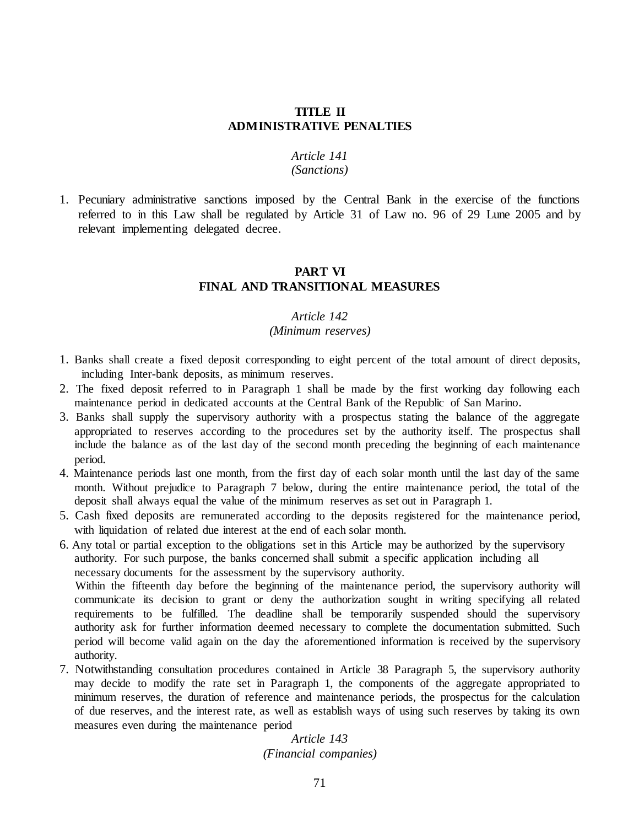#### **TITLE II ADMINISTRATIVE PENALTIES**

#### *Article 141 (Sanctions)*

# 1. Pecuniary administrative sanctions imposed by the Central Bank in the exercise of the functions referred to in this Law shall be regulated by Article 31 of Law no. 96 of 29 Lune 2005 and by relevant implementing delegated decree.

## **PART VI FINAL AND TRANSITIONAL MEASURES**

#### *Article 142*

#### *(Minimum reserves)*

- 1. Banks shall create a fixed deposit corresponding to eight percent of the total amount of direct deposits, including Inter-bank deposits, as minimum reserves.
- 2. The fixed deposit referred to in Paragraph 1 shall be made by the first working day following each maintenance period in dedicated accounts at the Central Bank of the Republic of San Marino.
- 3. Banks shall supply the supervisory authority with a prospectus stating the balance of the aggregate appropriated to reserves according to the procedures set by the authority itself. The prospectus shall include the balance as of the last day of the second month preceding the beginning of each maintenance period.
- 4. Maintenance periods last one month, from the first day of each solar month until the last day of the same month. Without prejudice to Paragraph 7 below, during the entire maintenance period, the total of the deposit shall always equal the value of the minimum reserves as set out in Paragraph 1.
- 5. Cash fixed deposits are remunerated according to the deposits registered for the maintenance period, with liquidation of related due interest at the end of each solar month.
- 6. Any total or partial exception to the obligations set in this Article may be authorized by the supervisory authority. For such purpose, the banks concerned shall submit a specific application including all necessary documents for the assessment by the supervisory authority.

 Within the fifteenth day before the beginning of the maintenance period, the supervisory authority will communicate its decision to grant or deny the authorization sought in writing specifying all related requirements to be fulfilled. The deadline shall be temporarily suspended should the supervisory authority ask for further information deemed necessary to complete the documentation submitted. Such period will become valid again on the day the aforementioned information is received by the supervisory authority.

7. Notwithstanding consultation procedures contained in Article 38 Paragraph 5, the supervisory authority may decide to modify the rate set in Paragraph 1, the components of the aggregate appropriated to minimum reserves, the duration of reference and maintenance periods, the prospectus for the calculation of due reserves, and the interest rate, as well as establish ways of using such reserves by taking its own measures even during the maintenance period

> *Article 143 (Financial companies)*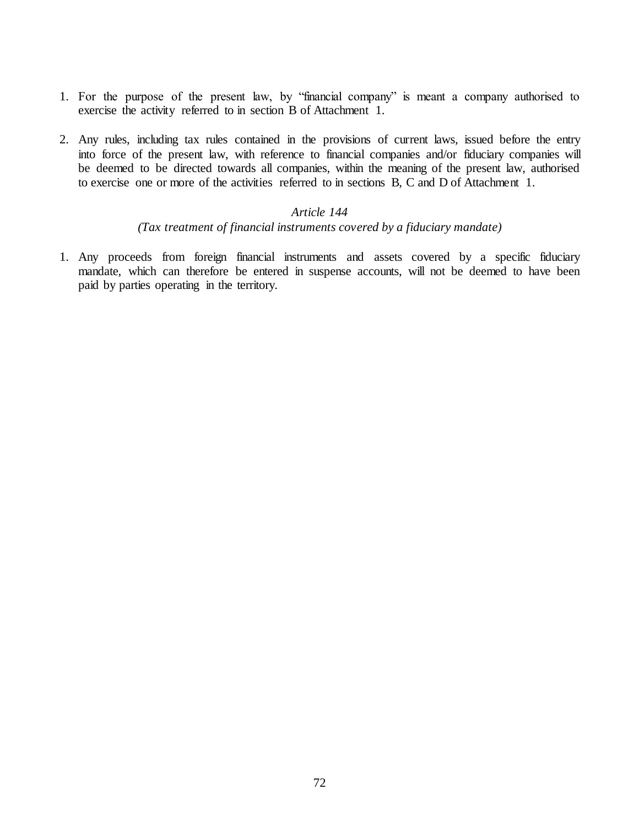- 1. For the purpose of the present law, by "financial company" is meant a company authorised to exercise the activity referred to in section B of Attachment 1.
- 2. Any rules, including tax rules contained in the provisions of current laws, issued before the entry into force of the present law, with reference to financial companies and/or fiduciary companies will be deemed to be directed towards all companies, within the meaning of the present law, authorised to exercise one or more of the activities referred to in sections B, C and D of Attachment 1.

#### *(Tax treatment of financial instruments covered by a fiduciary mandate)*

1. Any proceeds from foreign financial instruments and assets covered by a specific fiduciary mandate, which can therefore be entered in suspense accounts, will not be deemed to have been paid by parties operating in the territory.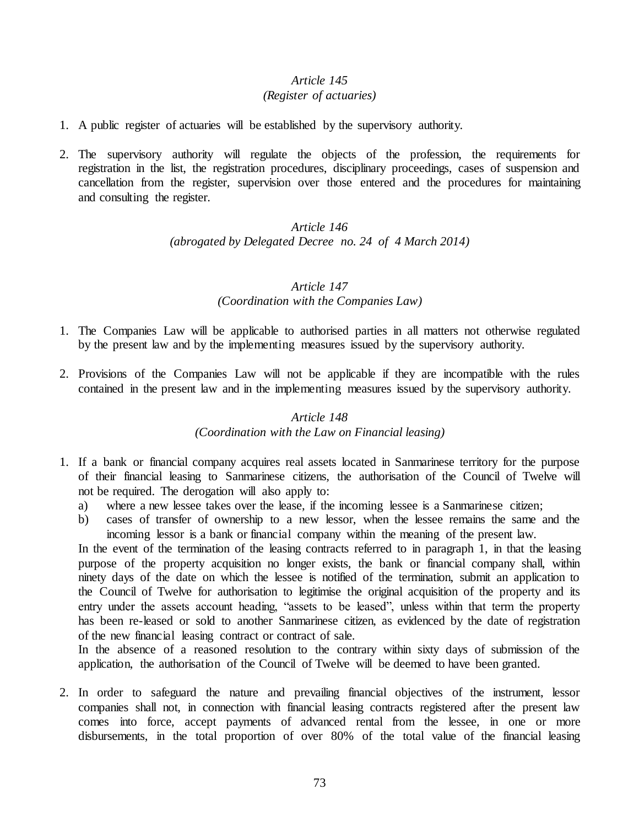# *Article 145*

## *(Register of actuaries)*

- 1. A public register of actuaries will be established by the supervisory authority.
- 2. The supervisory authority will regulate the objects of the profession, the requirements for registration in the list, the registration procedures, disciplinary proceedings, cases of suspension and cancellation from the register, supervision over those entered and the procedures for maintaining and consulting the register.

# *Article 146 (abrogated by Delegated Decree no. 24 of 4 March 2014)*

## *Article 147 (Coordination with the Companies Law)*

- 1. The Companies Law will be applicable to authorised parties in all matters not otherwise regulated by the present law and by the implementing measures issued by the supervisory authority.
- 2. Provisions of the Companies Law will not be applicable if they are incompatible with the rules contained in the present law and in the implementing measures issued by the supervisory authority.

#### *Article 148*

#### *(Coordination with the Law on Financial leasing)*

- 1. If a bank or financial company acquires real assets located in Sanmarinese territory for the purpose of their financial leasing to Sanmarinese citizens, the authorisation of the Council of Twelve will not be required. The derogation will also apply to:
	- a) where a new lessee takes over the lease, if the incoming lessee is a Sanmarinese citizen;
	- b) cases of transfer of ownership to a new lessor, when the lessee remains the same and the incoming lessor is a bank or financial company within the meaning of the present law.

In the event of the termination of the leasing contracts referred to in paragraph 1, in that the leasing purpose of the property acquisition no longer exists, the bank or financial company shall, within ninety days of the date on which the lessee is notified of the termination, submit an application to the Council of Twelve for authorisation to legitimise the original acquisition of the property and its entry under the assets account heading, "assets to be leased", unless within that term the property has been re-leased or sold to another Sanmarinese citizen, as evidenced by the date of registration of the new financial leasing contract or contract of sale.

In the absence of a reasoned resolution to the contrary within sixty days of submission of the application, the authorisation of the Council of Twelve will be deemed to have been granted.

2. In order to safeguard the nature and prevailing financial objectives of the instrument, lessor companies shall not, in connection with financial leasing contracts registered after the present law comes into force, accept payments of advanced rental from the lessee, in one or more disbursements, in the total proportion of over 80% of the total value of the financial leasing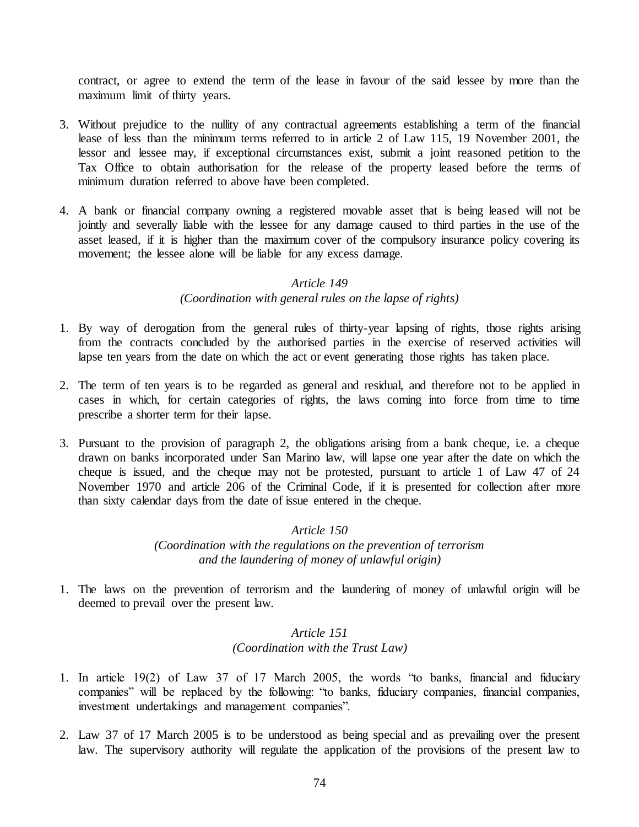contract, or agree to extend the term of the lease in favour of the said lessee by more than the maximum limit of thirty years.

- 3. Without prejudice to the nullity of any contractual agreements establishing a term of the financial lease of less than the minimum terms referred to in article 2 of Law 115, 19 November 2001, the lessor and lessee may, if exceptional circumstances exist, submit a joint reasoned petition to the Tax Office to obtain authorisation for the release of the property leased before the terms of minimum duration referred to above have been completed.
- 4. A bank or financial company owning a registered movable asset that is being leased will not be jointly and severally liable with the lessee for any damage caused to third parties in the use of the asset leased, if it is higher than the maximum cover of the compulsory insurance policy covering its movement; the lessee alone will be liable for any excess damage.

#### *Article 149*

## *(Coordination with general rules on the lapse of rights)*

- 1. By way of derogation from the general rules of thirty-year lapsing of rights, those rights arising from the contracts concluded by the authorised parties in the exercise of reserved activities will lapse ten years from the date on which the act or event generating those rights has taken place.
- 2. The term of ten years is to be regarded as general and residual, and therefore not to be applied in cases in which, for certain categories of rights, the laws coming into force from time to time prescribe a shorter term for their lapse.
- 3. Pursuant to the provision of paragraph 2, the obligations arising from a bank cheque, i.e. a cheque drawn on banks incorporated under San Marino law, will lapse one year after the date on which the cheque is issued, and the cheque may not be protested, pursuant to article 1 of Law 47 of 24 November 1970 and article 206 of the Criminal Code, if it is presented for collection after more than sixty calendar days from the date of issue entered in the cheque.

#### *Article 150*

*(Coordination with the regulations on the prevention of terrorism and the laundering of money of unlawful origin)*

1. The laws on the prevention of terrorism and the laundering of money of unlawful origin will be deemed to prevail over the present law.

## *Article 151 (Coordination with the Trust Law)*

- 1. In article 19(2) of Law 37 of 17 March 2005, the words "to banks, financial and fiduciary companies" will be replaced by the following: "to banks, fiduciary companies, financial companies, investment undertakings and management companies".
- 2. Law 37 of 17 March 2005 is to be understood as being special and as prevailing over the present law. The supervisory authority will regulate the application of the provisions of the present law to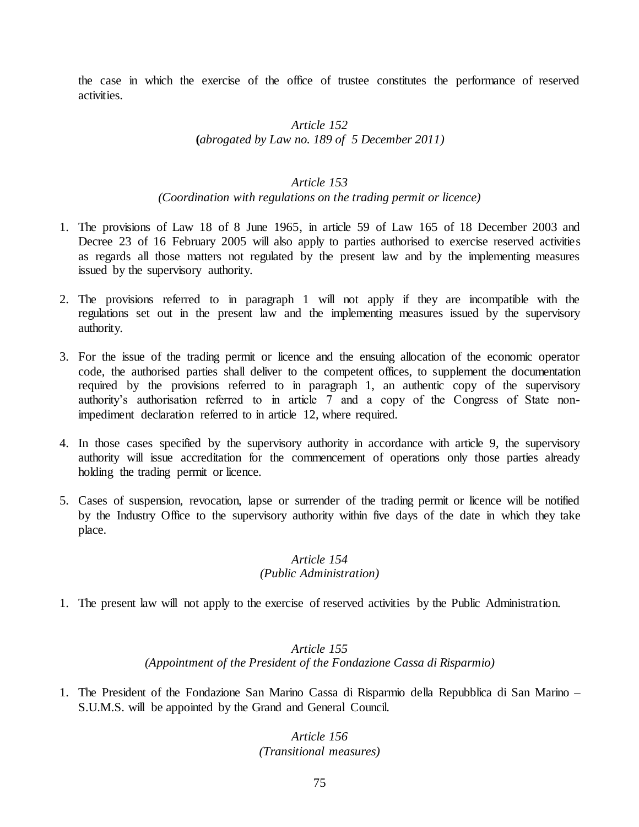the case in which the exercise of the office of trustee constitutes the performance of reserved activities.

## *Article 152* **(***abrogated by Law no. 189 of 5 December 2011)*

#### *Article 153*

#### *(Coordination with regulations on the trading permit or licence)*

- 1. The provisions of Law 18 of 8 June 1965, in article 59 of Law 165 of 18 December 2003 and Decree 23 of 16 February 2005 will also apply to parties authorised to exercise reserved activities as regards all those matters not regulated by the present law and by the implementing measures issued by the supervisory authority.
- 2. The provisions referred to in paragraph 1 will not apply if they are incompatible with the regulations set out in the present law and the implementing measures issued by the supervisory authority.
- 3. For the issue of the trading permit or licence and the ensuing allocation of the economic operator code, the authorised parties shall deliver to the competent offices, to supplement the documentation required by the provisions referred to in paragraph 1, an authentic copy of the supervisory authority's authorisation referred to in article 7 and a copy of the Congress of State nonimpediment declaration referred to in article 12, where required.
- 4. In those cases specified by the supervisory authority in accordance with article 9, the supervisory authority will issue accreditation for the commencement of operations only those parties already holding the trading permit or licence.
- 5. Cases of suspension, revocation, lapse or surrender of the trading permit or licence will be notified by the Industry Office to the supervisory authority within five days of the date in which they take place.

## *Article 154 (Public Administration)*

1. The present law will not apply to the exercise of reserved activities by the Public Administration.

## *Article 155 (Appointment of the President of the Fondazione Cassa di Risparmio)*

1. The President of the Fondazione San Marino Cassa di Risparmio della Repubblica di San Marino – S.U.M.S. will be appointed by the Grand and General Council.

# *Article 156 (Transitional measures)*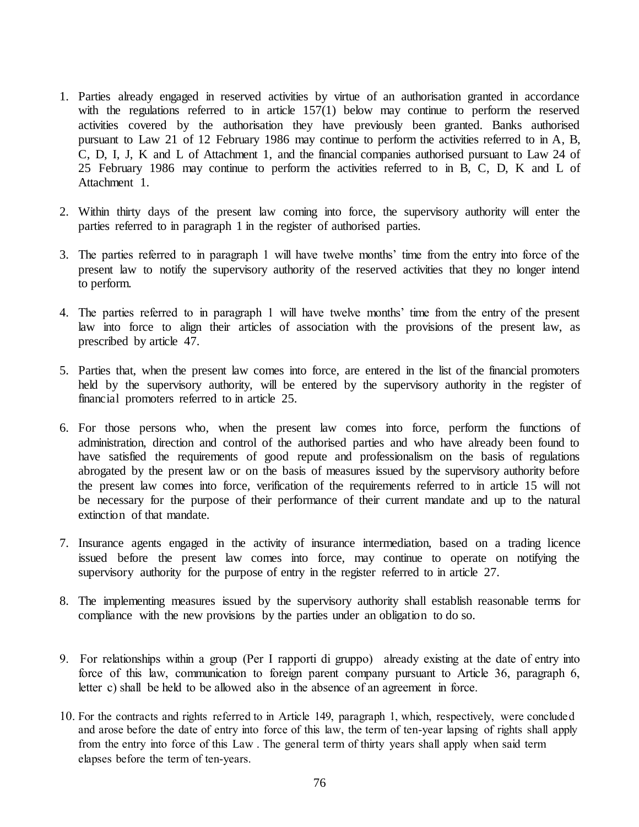- 1. Parties already engaged in reserved activities by virtue of an authorisation granted in accordance with the regulations referred to in article 157(1) below may continue to perform the reserved activities covered by the authorisation they have previously been granted. Banks authorised pursuant to Law 21 of 12 February 1986 may continue to perform the activities referred to in A, B, C, D, I, J, K and L of Attachment 1, and the financial companies authorised pursuant to Law 24 of 25 February 1986 may continue to perform the activities referred to in B, C, D, K and L of Attachment 1.
- 2. Within thirty days of the present law coming into force, the supervisory authority will enter the parties referred to in paragraph 1 in the register of authorised parties.
- 3. The parties referred to in paragraph 1 will have twelve months' time from the entry into force of the present law to notify the supervisory authority of the reserved activities that they no longer intend to perform.
- 4. The parties referred to in paragraph 1 will have twelve months' time from the entry of the present law into force to align their articles of association with the provisions of the present law, as prescribed by article 47.
- 5. Parties that, when the present law comes into force, are entered in the list of the financial promoters held by the supervisory authority, will be entered by the supervisory authority in the register of financial promoters referred to in article 25.
- 6. For those persons who, when the present law comes into force, perform the functions of administration, direction and control of the authorised parties and who have already been found to have satisfied the requirements of good repute and professionalism on the basis of regulations abrogated by the present law or on the basis of measures issued by the supervisory authority before the present law comes into force, verification of the requirements referred to in article 15 will not be necessary for the purpose of their performance of their current mandate and up to the natural extinction of that mandate.
- 7. Insurance agents engaged in the activity of insurance intermediation, based on a trading licence issued before the present law comes into force, may continue to operate on notifying the supervisory authority for the purpose of entry in the register referred to in article 27.
- 8. The implementing measures issued by the supervisory authority shall establish reasonable terms for compliance with the new provisions by the parties under an obligation to do so.
- 9. For relationships within a group (Per I rapporti di gruppo) already existing at the date of entry into force of this law, communication to foreign parent company pursuant to Article 36, paragraph 6, letter c) shall be held to be allowed also in the absence of an agreement in force.
- 10. For the contracts and rights referred to in Article 149, paragraph 1, which, respectively, were concluded and arose before the date of entry into force of this law, the term of ten-year lapsing of rights shall apply from the entry into force of this Law . The general term of thirty years shall apply when said term elapses before the term of ten-years.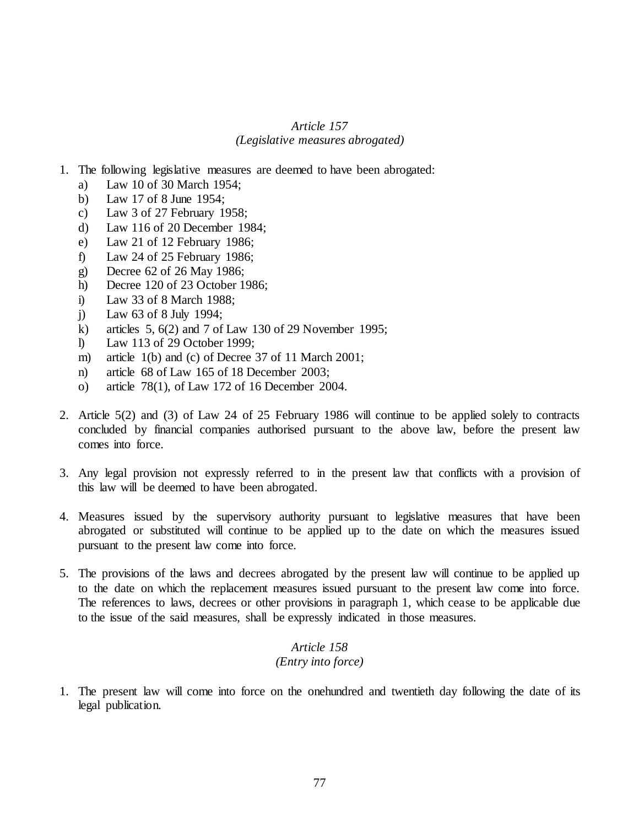#### *Article 157 (Legislative measures abrogated)*

- 1. The following legislative measures are deemed to have been abrogated:
	- a) Law 10 of 30 March 1954;
	- b) Law 17 of 8 June 1954;
	- c) Law 3 of 27 February 1958;
	- d) Law 116 of 20 December 1984;
	- e) Law 21 of 12 February 1986;
	- f) Law 24 of 25 February 1986;
	- g) Decree 62 of 26 May 1986;
	- h) Decree 120 of 23 October 1986;
	- i) Law 33 of 8 March 1988;
	- j) Law 63 of 8 July 1994;
	- k) articles 5, 6(2) and 7 of Law 130 of 29 November 1995;
	- l) Law 113 of 29 October 1999;
	- m) article 1(b) and (c) of Decree 37 of 11 March 2001;
	- n) article 68 of Law 165 of 18 December 2003;
	- o) article 78(1), of Law 172 of 16 December 2004.
- 2. Article 5(2) and (3) of Law 24 of 25 February 1986 will continue to be applied solely to contracts concluded by financial companies authorised pursuant to the above law, before the present law comes into force.
- 3. Any legal provision not expressly referred to in the present law that conflicts with a provision of this law will be deemed to have been abrogated.
- 4. Measures issued by the supervisory authority pursuant to legislative measures that have been abrogated or substituted will continue to be applied up to the date on which the measures issued pursuant to the present law come into force.
- 5. The provisions of the laws and decrees abrogated by the present law will continue to be applied up to the date on which the replacement measures issued pursuant to the present law come into force. The references to laws, decrees or other provisions in paragraph 1, which cease to be applicable due to the issue of the said measures, shall be expressly indicated in those measures.

## *Article 158 (Entry into force)*

1. The present law will come into force on the onehundred and twentieth day following the date of its legal publication.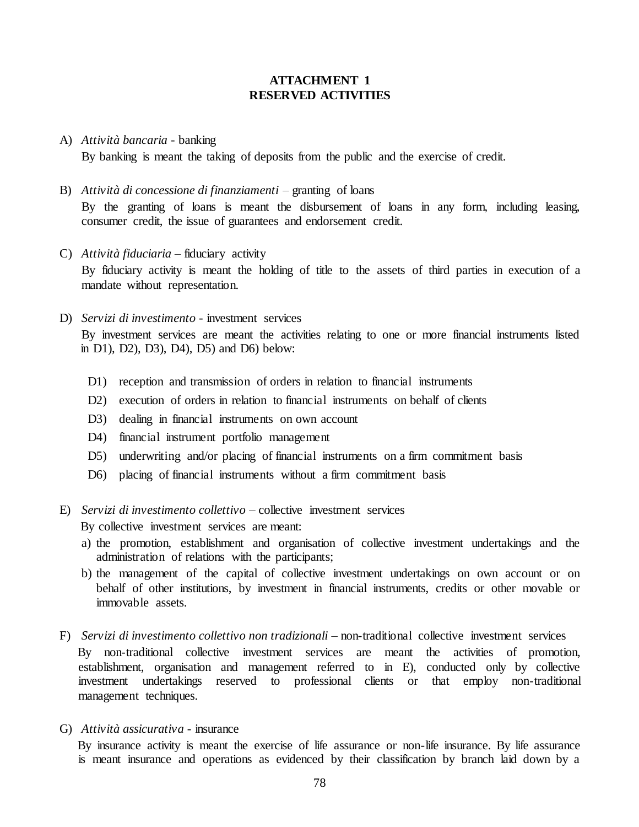#### **ATTACHMENT 1 RESERVED ACTIVITIES**

- A) *Attività bancaria* banking By banking is meant the taking of deposits from the public and the exercise of credit.
- B) *Attività di concessione di finanziamenti –* granting of loans By the granting of loans is meant the disbursement of loans in any form, including leasing, consumer credit, the issue of guarantees and endorsement credit.
- C) *Attività fiduciaria* fiduciary activity By fiduciary activity is meant the holding of title to the assets of third parties in execution of a mandate without representation.
- D) *Servizi di investimento*  investment services

By investment services are meant the activities relating to one or more financial instruments listed in D1), D2), D3), D4), D5) and D6) below:

- D1) reception and transmission of orders in relation to financial instruments
- D2) execution of orders in relation to financial instruments on behalf of clients
- D3) dealing in financial instruments on own account
- D4) financial instrument portfolio management
- D5) underwriting and/or placing of financial instruments on a firm commitment basis
- D6) placing of financial instruments without a firm commitment basis
- E) *Servizi di investimento collettivo* collective investment services

By collective investment services are meant:

- a) the promotion, establishment and organisation of collective investment undertakings and the administration of relations with the participants;
- b) the management of the capital of collective investment undertakings on own account or on behalf of other institutions, by investment in financial instruments, credits or other movable or immovable assets.
- F) *Servizi di investimento collettivo non tradizionali –* non-traditional collective investment services By non-traditional collective investment services are meant the activities of promotion, establishment, organisation and management referred to in E), conducted only by collective investment undertakings reserved to professional clients or that employ non-traditional management techniques.
- G) *Attività assicurativa* insurance

By insurance activity is meant the exercise of life assurance or non-life insurance. By life assurance is meant insurance and operations as evidenced by their classification by branch laid down by a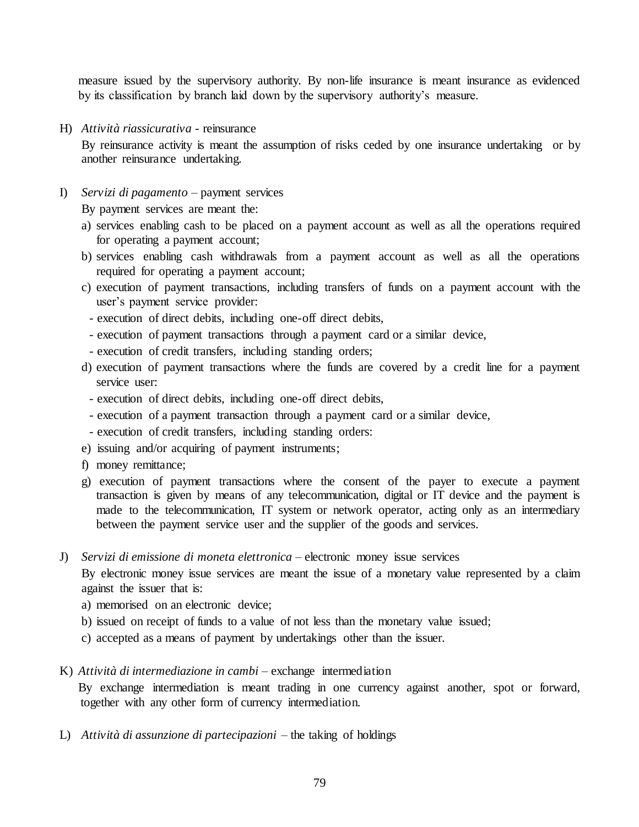measure issued by the supervisory authority. By non-life insurance is meant insurance as evidenced by its classification by branch laid down by the supervisory authority's measure.

H) *Attività riassicurativa* - reinsurance

By reinsurance activity is meant the assumption of risks ceded by one insurance undertaking or by another reinsurance undertaking.

I) *Servizi di pagamento* – payment services

By payment services are meant the:

- a) services enabling cash to be placed on a payment account as well as all the operations required for operating a payment account;
- b) services enabling cash withdrawals from a payment account as well as all the operations required for operating a payment account;
- c) execution of payment transactions, including transfers of funds on a payment account with the user's payment service provider:
	- execution of direct debits, including one-off direct debits,
	- execution of payment transactions through a payment card or a similar device,
- execution of credit transfers, including standing orders;
- d) execution of payment transactions where the funds are covered by a credit line for a payment service user:
	- execution of direct debits, including one-off direct debits,
	- execution of a payment transaction through a payment card or a similar device,
	- execution of credit transfers, including standing orders:
- e) issuing and/or acquiring of payment instruments;
- f) money remittance;
- g) execution of payment transactions where the consent of the payer to execute a payment transaction is given by means of any telecommunication, digital or IT device and the payment is made to the telecommunication, IT system or network operator, acting only as an intermediary between the payment service user and the supplier of the goods and services.
- J) *Servizi di emissione di moneta elettronica*  electronic money issue services

By electronic money issue services are meant the issue of a monetary value represented by a claim against the issuer that is:

- a) memorised on an electronic device;
- b) issued on receipt of funds to a value of not less than the monetary value issued;
- c) accepted as a means of payment by undertakings other than the issuer.
- K) *Attività di intermediazione in cambi* exchange intermediation

By exchange intermediation is meant trading in one currency against another, spot or forward, together with any other form of currency intermediation.

L) *Attività di assunzione di partecipazioni* – the taking of holdings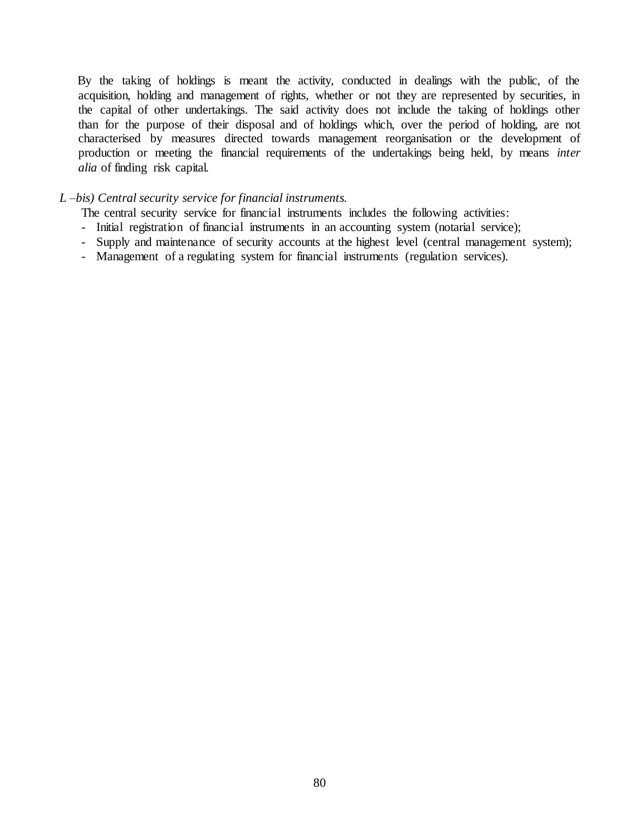By the taking of holdings is meant the activity, conducted in dealings with the public, of the acquisition, holding and management of rights, whether or not they are represented by securities, in the capital of other undertakings. The said activity does not include the taking of holdings other than for the purpose of their disposal and of holdings which, over the period of holding, are not characterised by measures directed towards management reorganisation or the development of production or meeting the financial requirements of the undertakings being held, by means *inter alia* of finding risk capital.

#### *L –bis) Central security service for financial instruments.*

The central security service for financial instruments includes the following activities:

- Initial registration of financial instruments in an accounting system (notarial service);
- Supply and maintenance of security accounts at the highest level (central management system);
- Management of a regulating system for financial instruments (regulation services).